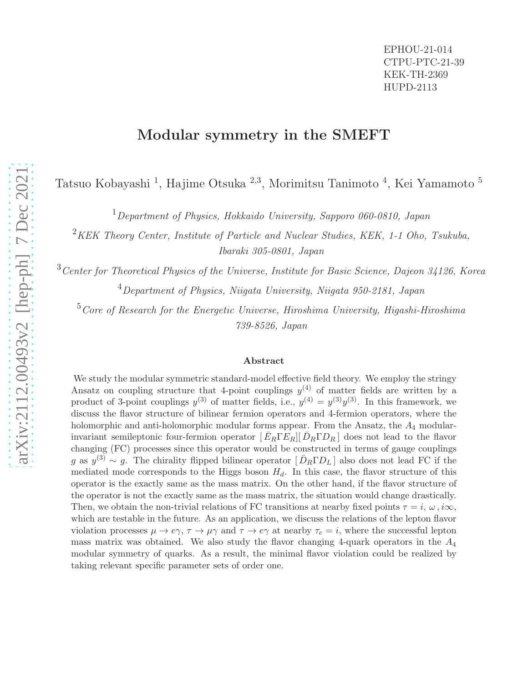### Modular symmetry in the SMEFT

Tatsuo Kobayashi <sup>1</sup>, Hajime Otsuka <sup>2,3</sup>, Morimitsu Tanimoto <sup>4</sup>, Kei Yamamoto <sup>5</sup>

 $1$ Department of Physics, Hokkaido University, Sapporo 060-0810, Japan

 $2$ KEK Theory Center, Institute of Particle and Nuclear Studies, KEK, 1-1 Oho, Tsukuba, Ibaraki 305-0801, Japan

<sup>3</sup>Center for Theoretical Physics of the Universe, Institute for Basic Science, Dajeon 34126, Korea <sup>4</sup>Department of Physics, Niigata University, Niigata 950-2181, Japan

 $5C$  Core of Research for the Energetic Universe, Hiroshima University, Higashi-Hiroshima 739-8526, Japan

#### Abstract

We study the modular symmetric standard-model effective field theory. We employ the stringy Ansatz on coupling structure that 4-point couplings  $y^{(4)}$  of matter fields are written by a product of 3-point couplings  $y^{(3)}$  of matter fields, i.e.,  $y^{(4)} = y^{(3)}y^{(3)}$ . In this framework, we discuss the flavor structure of bilinear fermion operators and 4-fermion operators, where the holomorphic and anti-holomorphic modular forms appear. From the Ansatz, the  $A_4$  modularinvariant semileptonic four-fermion operator  $\left[\bar{E}_R \Gamma E_R\right] \left[\bar{D}_R \Gamma D_R\right]$  does not lead to the flavor changing (FC) processes since this operator would be constructed in terms of gauge couplings g as  $y^{(3)} \sim g$ . The chirality flipped bilinear operator  $[\bar{D}_R \Gamma D_L]$  also does not lead FC if the mediated mode corresponds to the Higgs boson  $H_d$ . In this case, the flavor structure of this operator is the exactly same as the mass matrix. On the other hand, if the flavor structure of the operator is not the exactly same as the mass matrix, the situation would change drastically. Then, we obtain the non-trivial relations of FC transitions at nearby fixed points  $\tau = i$ ,  $\omega$ ,  $i\infty$ , which are testable in the future. As an application, we discuss the relations of the lepton flavor violation processes  $\mu \to e\gamma$ ,  $\tau \to \mu\gamma$  and  $\tau \to e\gamma$  at nearby  $\tau_e = i$ , where the successful lepton mass matrix was obtained. We also study the flavor changing 4-quark operators in the  $A_4$ modular symmetry of quarks. As a result, the minimal flavor violation could be realized by taking relevant specific parameter sets of order one.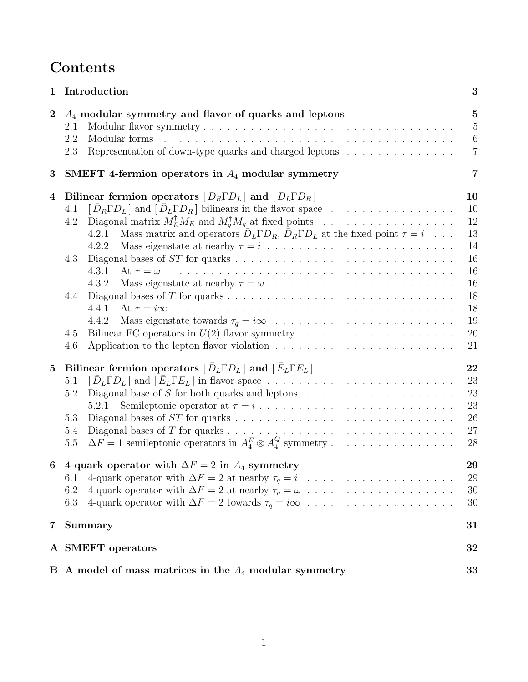## Contents

| 1              | Introduction                                                                                                                                                                                                                                                                                                                                                                                                                                                                                                                                                                                                                    | 3                                                                          |
|----------------|---------------------------------------------------------------------------------------------------------------------------------------------------------------------------------------------------------------------------------------------------------------------------------------------------------------------------------------------------------------------------------------------------------------------------------------------------------------------------------------------------------------------------------------------------------------------------------------------------------------------------------|----------------------------------------------------------------------------|
| $\bf{2}$       | $A_4$ modular symmetry and flavor of quarks and leptons<br>2.1<br>2.2<br>Representation of down-type quarks and charged leptons<br>2.3                                                                                                                                                                                                                                                                                                                                                                                                                                                                                          | $\bf{5}$<br>$\overline{5}$<br>$6\phantom{.}6$<br>$\overline{7}$            |
| 3              | SMEFT 4-fermion operators in $A_4$ modular symmetry                                                                                                                                                                                                                                                                                                                                                                                                                                                                                                                                                                             | $\overline{7}$                                                             |
| $\overline{4}$ | Bilinear fermion operators $\overline{D_R} \Gamma D_L$ and $\overline{D_L} \Gamma D_R$<br>$\left[\bar{D}_R \Gamma D_L\right]$ and $\left[\bar{D}_L \Gamma D_R\right]$ bilinears in the flavor space<br>4.1<br>Diagonal matrix $M_E^{\dagger} M_E$ and $M_d^{\dagger} M_q$ at fixed points<br>4.2<br>Mass matrix and operators $\bar{D}_L \Gamma D_R$ , $\bar{D}_R \Gamma D_L$ at the fixed point $\tau = i \dots$ .<br>4.2.1<br>Mass eigenstate at nearby $\tau = i \dots \dots \dots \dots \dots \dots \dots \dots \dots \dots$<br>4.2.2<br>4.3<br>4.3.1<br>At $\tau = \omega$<br>4.3.2<br>4.4<br>4.4.1<br>4.4.2<br>4.5<br>4.6 | 10<br>10<br>12<br>13<br>14<br>16<br>16<br>16<br>18<br>18<br>19<br>20<br>21 |
| $\mathbf{5}$   | Bilinear fermion operators $[\bar{D}_L\Gamma D_L]$ and $[\bar{E}_L\Gamma E_L]$<br>5.1<br>Diagonal base of $S$ for both quarks and leptons $\quad \ldots \ldots \ldots \ldots \ldots \ldots \ldots$<br>5.2<br>5.2.1<br>5.3<br>5.4<br>$\Delta F = 1$ semileptonic operators in $A_4^E \otimes A_4^Q$ symmetry<br>$5.5\,$                                                                                                                                                                                                                                                                                                          | 22<br>23<br>23<br>23<br>26<br>27<br>28                                     |
| 6              | 4-quark operator with $\Delta F = 2$ in $A_4$ symmetry<br>6.1<br>6.2<br>6.3                                                                                                                                                                                                                                                                                                                                                                                                                                                                                                                                                     | 29<br>29<br>30<br>30                                                       |
| 7              | Summary                                                                                                                                                                                                                                                                                                                                                                                                                                                                                                                                                                                                                         | 31                                                                         |
|                | A SMEFT operators                                                                                                                                                                                                                                                                                                                                                                                                                                                                                                                                                                                                               | 32                                                                         |
|                | B A model of mass matrices in the $A_4$ modular symmetry                                                                                                                                                                                                                                                                                                                                                                                                                                                                                                                                                                        | $\bf{33}$                                                                  |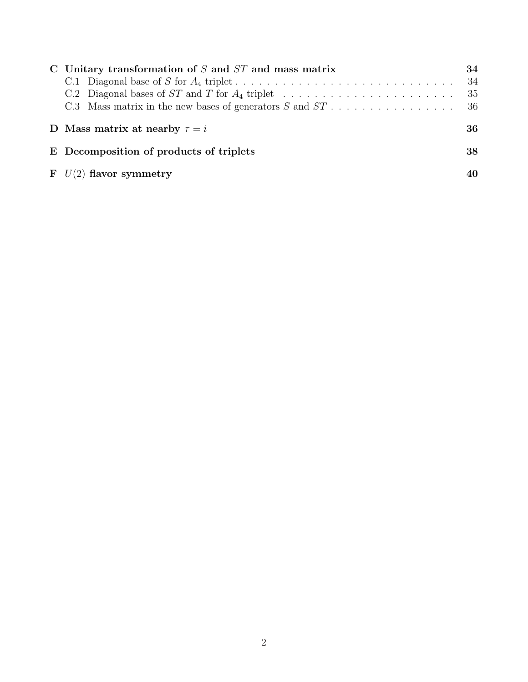| C Unitary transformation of $S$ and $ST$ and mass matrix                                         | 34 |
|--------------------------------------------------------------------------------------------------|----|
| C.1 Diagonal base of S for $A_4$ triplet                                                         | 34 |
|                                                                                                  | 35 |
| C.3 Mass matrix in the new bases of generators S and $ST \dots \dots \dots \dots \dots \dots$ 36 |    |
| D Mass matrix at nearby $\tau = i$                                                               | 36 |
| E Decomposition of products of triplets                                                          | 38 |
| $\mathbf{F}$ $U(2)$ flavor symmetry                                                              | 40 |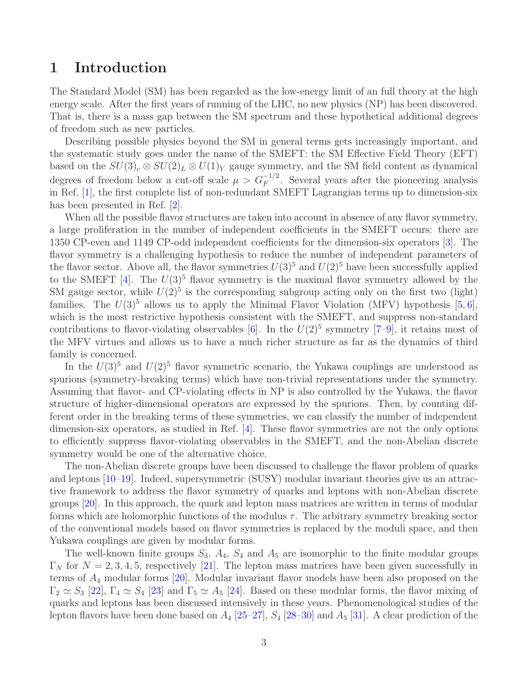## <span id="page-3-0"></span>1 Introduction

The Standard Model (SM) has been regarded as the low-energy limit of an full theory at the high energy scale. After the first years of running of the LHC, no new physics (NP) has been discovered. That is, there is a mass gap between the SM spectrum and these hypothetical additional degrees of freedom such as new particles.

Describing possible physics beyond the SM in general terms gets increasingly important, and the systematic study goes under the name of the SMEFT: the SM Effective Field Theory (EFT) based on the  $SU(3)_c \otimes SU(2)_L \otimes U(1)_Y$  gauge symmetry, and the SM field content as dynamical degrees of freedom below a cut-off scale  $\mu > G_F^{-1/2}$ . Several years after the pioneering analysis in Ref. [\[1\]](#page-41-0), the first complete list of non-redundant SMEFT Lagrangian terms up to dimension-six has been presented in Ref. [\[2\]](#page-41-1).

When all the possible flavor structures are taken into account in absence of any flavor symmetry, a large proliferation in the number of independent coefficients in the SMEFT occurs: there are 1350 CP-even and 1149 CP-odd independent coefficients for the dimension-six operators [\[3\]](#page-41-2). The flavor symmetry is a challenging hypothesis to reduce the number of independent parameters of the flavor sector. Above all, the flavor symmetries  $U(3)^5$  and  $U(2)^5$  have been successfully applied to the SMEFT [\[4\]](#page-41-3). The  $U(3)^5$  flavor symmetry is the maximal flavor symmetry allowed by the SM gauge sector, while  $U(2)^5$  is the corresponding subgroup acting only on the first two (light) families. The  $U(3)^5$  allows us to apply the Minimal Flavor Violation (MFV) hypothesis [\[5,](#page-41-4) [6\]](#page-41-5), which is the most restrictive hypothesis consistent with the SMEFT, and suppress non-standard contributions to flavor-violating observables  $[6]$ . In the  $U(2)^5$  symmetry  $[7-9]$ , it retains most of the MFV virtues and allows us to have a much richer structure as far as the dynamics of third family is concerned.

In the  $U(3)^5$  and  $U(2)^5$  flavor symmetric scenario, the Yukawa couplings are understood as spurions (symmetry-breaking terms) which have non-trivial representations under the symmetry. Assuming that flavor- and CP-violating effects in NP is also controlled by the Yukawa, the flavor structure of higher-dimensional operators are expressed by the spurions. Then, by counting different order in the breaking terms of these symmetries, we can classify the number of independent dimension-six operators, as studied in Ref. [\[4\]](#page-41-3). These flavor symmetries are not the only options to efficiently suppress flavor-violating observables in the SMEFT, and the non-Abelian discrete symmetry would be one of the alternative choice.

The non-Abelian discrete groups have been discussed to challenge the flavor problem of quarks and leptons [\[10–](#page-41-8)[19\]](#page-41-9). Indeed, supersymmetric (SUSY) modular invariant theories give us an attractive framework to address the flavor symmetry of quarks and leptons with non-Abelian discrete groups [\[20\]](#page-42-0). In this approach, the quark and lepton mass matrices are written in terms of modular forms which are holomorphic functions of the modulus  $\tau$ . The arbitrary symmetry breaking sector of the conventional models based on flavor symmetries is replaced by the moduli space, and then Yukawa couplings are given by modular forms.

The well-known finite groups  $S_3$ ,  $A_4$ ,  $S_4$  and  $A_5$  are isomorphic to the finite modular groups  $\Gamma_N$  for  $N = 2, 3, 4, 5$ , respectively [\[21\]](#page-42-1). The lepton mass matrices have been given successfully in terms of A<sup>4</sup> modular forms [\[20\]](#page-42-0). Modular invariant flavor models have been also proposed on the  $\Gamma_2 \simeq S_3$  [\[22\]](#page-42-2),  $\Gamma_4 \simeq S_4$  [\[23\]](#page-42-3) and  $\Gamma_5 \simeq A_5$  [\[24\]](#page-42-4). Based on these modular forms, the flavor mixing of quarks and leptons has been discussed intensively in these years. Phenomenological studies of the lepton flavors have been done based on  $A_4$  [\[25–](#page-42-5)[27\]](#page-42-6),  $S_4$  [\[28–](#page-42-7)[30\]](#page-42-8) and  $A_5$  [\[31\]](#page-42-9). A clear prediction of the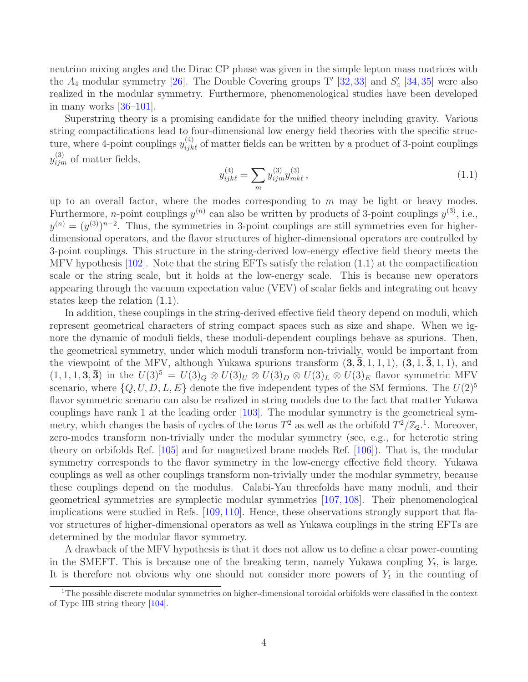neutrino mixing angles and the Dirac CP phase was given in the simple lepton mass matrices with the  $A_4$  modular symmetry [\[26\]](#page-42-10). The Double Covering groups T' [\[32,](#page-42-11) [33\]](#page-42-12) and  $S'_4$  [\[34,](#page-42-13) [35\]](#page-42-14) were also realized in the modular symmetry. Furthermore, phenomenological studies have been developed in many works  $|36-101|$ .

Superstring theory is a promising candidate for the unified theory including gravity. Various string compactifications lead to four-dimensional low energy field theories with the specific structure, where 4-point couplings  $y_{ijk\ell}^{(4)}$  of matter fields can be written by a product of 3-point couplings  $y_{ijm}^{(3)}$  of matter fields,

<span id="page-4-0"></span>
$$
y_{ijk\ell}^{(4)} = \sum_{m} y_{ijm}^{(3)} y_{mk\ell}^{(3)}, \qquad (1.1)
$$

up to an overall factor, where the modes corresponding to  $m$  may be light or heavy modes. Furthermore, *n*-point couplings  $y^{(n)}$  can also be written by products of 3-point couplings  $y^{(3)}$ , i.e.,  $y^{(n)} = (y^{(3)})^{n-2}$ . Thus, the symmetries in 3-point couplings are still symmetries even for higherdimensional operators, and the flavor structures of higher-dimensional operators are controlled by 3-point couplings. This structure in the string-derived low-energy effective field theory meets the MFV hypothesis [\[102\]](#page-45-1). Note that the string EFTs satisfy the relation [\(1.1\)](#page-4-0) at the compactification scale or the string scale, but it holds at the low-energy scale. This is because new operators appearing through the vacuum expectation value (VEV) of scalar fields and integrating out heavy states keep the relation [\(1.1\)](#page-4-0).

In addition, these couplings in the string-derived effective field theory depend on moduli, which represent geometrical characters of string compact spaces such as size and shape. When we ignore the dynamic of moduli fields, these moduli-dependent couplings behave as spurions. Then, the geometrical symmetry, under which moduli transform non-trivially, would be important from the viewpoint of the MFV, although Yukawa spurions transform  $(3, \bar{3}, 1, 1, 1), (3, 1, \bar{3}, 1, 1),$  and  $(1, 1, 1, 3, \overline{3})$  in the  $U(3)^5 = U(3)_Q \otimes U(3)_U \otimes U(3)_D \otimes U(3)_L \otimes U(3)_E$  flavor symmetric MFV scenario, where  $\{Q, U, D, L, E\}$  denote the five independent types of the SM fermions. The  $U(2)^5$ flavor symmetric scenario can also be realized in string models due to the fact that matter Yukawa couplings have rank 1 at the leading order [\[103\]](#page-45-2). The modular symmetry is the geometrical symmetry, which changes the basis of cycles of the torus  $T^2$  as well as the orbifold  $T^2/\mathbb{Z}_2$ .<sup>[1](#page-4-1)</sup>. Moreover, zero-modes transform non-trivially under the modular symmetry (see, e.g., for heterotic string theory on orbifolds Ref. [\[105\]](#page-46-0) and for magnetized brane models Ref. [\[106\]](#page-46-1)). That is, the modular symmetry corresponds to the flavor symmetry in the low-energy effective field theory. Yukawa couplings as well as other couplings transform non-trivially under the modular symmetry, because these couplings depend on the modulus. Calabi-Yau threefolds have many moduli, and their geometrical symmetries are symplectic modular symmetries [\[107,](#page-46-2) [108\]](#page-46-3). Their phenomenological implications were studied in Refs. [\[109,](#page-46-4) [110\]](#page-46-5). Hence, these observations strongly support that flavor structures of higher-dimensional operators as well as Yukawa couplings in the string EFTs are determined by the modular flavor symmetry.

A drawback of the MFV hypothesis is that it does not allow us to define a clear power-counting in the SMEFT. This is because one of the breaking term, namely Yukawa coupling  $Y_t$ , is large. It is therefore not obvious why one should not consider more powers of  $Y_t$  in the counting of

<span id="page-4-1"></span><sup>&</sup>lt;sup>1</sup>The possible discrete modular symmetries on higher-dimensional toroidal orbifolds were classified in the context of Type IIB string theory [\[104\]](#page-46-6).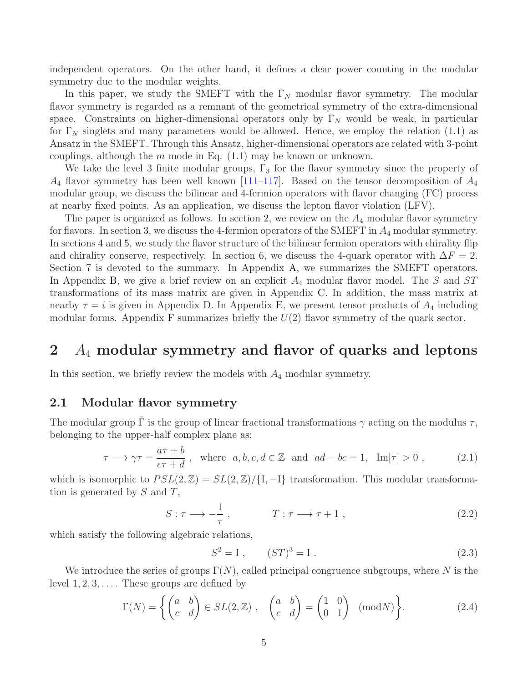independent operators. On the other hand, it defines a clear power counting in the modular symmetry due to the modular weights.

In this paper, we study the SMEFT with the  $\Gamma_N$  modular flavor symmetry. The modular flavor symmetry is regarded as a remnant of the geometrical symmetry of the extra-dimensional space. Constraints on higher-dimensional operators only by  $\Gamma_N$  would be weak, in particular for  $\Gamma_N$  singlets and many parameters would be allowed. Hence, we employ the relation [\(1.1\)](#page-4-0) as Ansatz in the SMEFT. Through this Ansatz, higher-dimensional operators are related with 3-point couplings, although the  $m$  mode in Eq.  $(1.1)$  may be known or unknown.

We take the level 3 finite modular groups,  $\Gamma_3$  for the flavor symmetry since the property of  $A_4$  flavor symmetry has been well known [\[111](#page-46-7)[–117\]](#page-46-8). Based on the tensor decomposition of  $A_4$ modular group, we discuss the bilinear and 4-fermion operators with flavor changing (FC) process at nearby fixed points. As an application, we discuss the lepton flavor violation (LFV).

The paper is organized as follows. In section [2,](#page-5-0) we review on the  $A_4$  modular flavor symmetry for flavors. In section [3,](#page-7-1) we discuss the 4-fermion operators of the SMEFT in  $A_4$  modular symmetry. In sections [4](#page-10-0) and [5,](#page-22-0) we study the flavor structure of the bilinear fermion operators with chirality flip and chirality conserve, respectively. In section [6,](#page-29-0) we discuss the 4-quark operator with  $\Delta F = 2$ . Section [7](#page-31-0) is devoted to the summary. In Appendix [A,](#page-32-0) we summarizes the SMEFT operators. In Appendix [B,](#page-33-0) we give a brief review on an explicit  $A_4$  modular flavor model. The S and ST transformations of its mass matrix are given in Appendix [C.](#page-34-0) In addition, the mass matrix at nearby  $\tau = i$  is given in Appendix [D.](#page-36-1) In Appendix [E,](#page-38-0) we present tensor products of  $A_4$  including modular forms. Appendix [F](#page-40-0) summarizes briefly the  $U(2)$  flavor symmetry of the quark sector.

## <span id="page-5-0"></span>2 A<sup>4</sup> modular symmetry and flavor of quarks and leptons

<span id="page-5-1"></span>In this section, we briefly review the models with  $A_4$  modular symmetry.

#### 2.1 Modular flavor symmetry

The modular group  $\Gamma$  is the group of linear fractional transformations  $\gamma$  acting on the modulus  $\tau$ , belonging to the upper-half complex plane as:

<span id="page-5-2"></span>
$$
\tau \longrightarrow \gamma \tau = \frac{a\tau + b}{c\tau + d} , \text{ where } a, b, c, d \in \mathbb{Z} \text{ and } ad - bc = 1, \text{ Im}[\tau] > 0 , \qquad (2.1)
$$

which is isomorphic to  $PSL(2, \mathbb{Z}) = SL(2, \mathbb{Z}) / \{I, -I\}$  transformation. This modular transformation is generated by  $S$  and  $T$ ,

$$
S: \tau \longrightarrow -\frac{1}{\tau}, \qquad T: \tau \longrightarrow \tau + 1, \qquad (2.2)
$$

which satisfy the following algebraic relations,

$$
S^2 = I , \t(ST)^3 = I . \t(2.3)
$$

We introduce the series of groups  $\Gamma(N)$ , called principal congruence subgroups, where N is the level  $1, 2, 3, \ldots$ . These groups are defined by

$$
\Gamma(N) = \left\{ \begin{pmatrix} a & b \\ c & d \end{pmatrix} \in SL(2, \mathbb{Z}) , \begin{pmatrix} a & b \\ c & d \end{pmatrix} = \begin{pmatrix} 1 & 0 \\ 0 & 1 \end{pmatrix} \pmod{N} \right\}.
$$
 (2.4)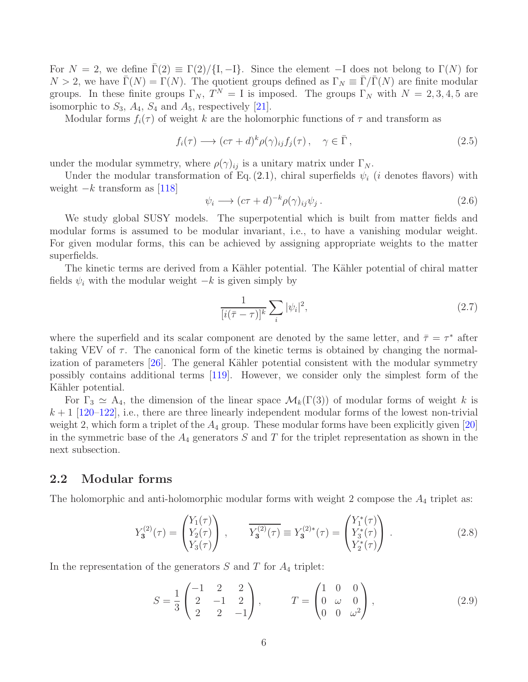For  $N = 2$ , we define  $\Gamma(2) \equiv \Gamma(2)/\{1, -1\}$ . Since the element  $-I$  does not belong to  $\Gamma(N)$  for  $N > 2$ , we have  $\overline{\Gamma}(N) = \Gamma(N)$ . The quotient groups defined as  $\Gamma_N \equiv \overline{\Gamma}/\overline{\Gamma}(N)$  are finite modular groups. In these finite groups  $\Gamma_N$ ,  $T^N = I$  is imposed. The groups  $\Gamma_N$  with  $N = 2, 3, 4, 5$  are isomorphic to  $S_3$ ,  $A_4$ ,  $S_4$  and  $A_5$ , respectively [\[21\]](#page-42-1).

Modular forms  $f_i(\tau)$  of weight k are the holomorphic functions of  $\tau$  and transform as

$$
f_i(\tau) \longrightarrow (c\tau + d)^k \rho(\gamma)_{ij} f_j(\tau), \quad \gamma \in \bar{\Gamma}, \qquad (2.5)
$$

under the modular symmetry, where  $\rho(\gamma)_{ij}$  is a unitary matrix under  $\Gamma_N$ .

Under the modular transformation of Eq. [\(2.1\)](#page-5-2), chiral superfields  $\psi_i$  (*i* denotes flavors) with weight  $-k$  transform as [\[118\]](#page-46-9)

$$
\psi_i \longrightarrow (c\tau + d)^{-k} \rho(\gamma)_{ij} \psi_j . \tag{2.6}
$$

We study global SUSY models. The superpotential which is built from matter fields and modular forms is assumed to be modular invariant, i.e., to have a vanishing modular weight. For given modular forms, this can be achieved by assigning appropriate weights to the matter superfields.

The kinetic terms are derived from a Kähler potential. The Kähler potential of chiral matter fields  $\psi_i$  with the modular weight  $-k$  is given simply by

<span id="page-6-1"></span>
$$
\frac{1}{[i(\bar{\tau}-\tau)]^k} \sum_{i} |\psi_i|^2,
$$
\n(2.7)

where the superfield and its scalar component are denoted by the same letter, and  $\bar{\tau} = \tau^*$  after taking VEV of  $\tau$ . The canonical form of the kinetic terms is obtained by changing the normalization of parameters  $[26]$ . The general Kähler potential consistent with the modular symmetry possibly contains additional terms [\[119\]](#page-46-10). However, we consider only the simplest form of the Kähler potential.

For  $\Gamma_3 \simeq A_4$ , the dimension of the linear space  $\mathcal{M}_k(\Gamma(3))$  of modular forms of weight k is  $k+1$  [\[120](#page-46-11)[–122\]](#page-47-0), i.e., there are three linearly independent modular forms of the lowest non-trivial weight 2, which form a triplet of the  $A_4$  group. These modular forms have been explicitly given [\[20\]](#page-42-0) in the symmetric base of the  $A_4$  generators S and T for the triplet representation as shown in the next subsection.

#### <span id="page-6-0"></span>2.2 Modular forms

The holomorphic and anti-holomorphic modular forms with weight 2 compose the  $A_4$  triplet as:

$$
Y_3^{(2)}(\tau) = \begin{pmatrix} Y_1(\tau) \\ Y_2(\tau) \\ Y_3(\tau) \end{pmatrix} , \qquad \overline{Y_3^{(2)}(\tau)} \equiv Y_3^{(2)*}(\tau) = \begin{pmatrix} Y_1^*(\tau) \\ Y_3^*(\tau) \\ Y_2^*(\tau) \end{pmatrix} . \tag{2.8}
$$

In the representation of the generators  $S$  and  $T$  for  $A_4$  triplet:

<span id="page-6-2"></span>
$$
S = \frac{1}{3} \begin{pmatrix} -1 & 2 & 2 \\ 2 & -1 & 2 \\ 2 & 2 & -1 \end{pmatrix}, \qquad T = \begin{pmatrix} 1 & 0 & 0 \\ 0 & \omega & 0 \\ 0 & 0 & \omega^2 \end{pmatrix}, \tag{2.9}
$$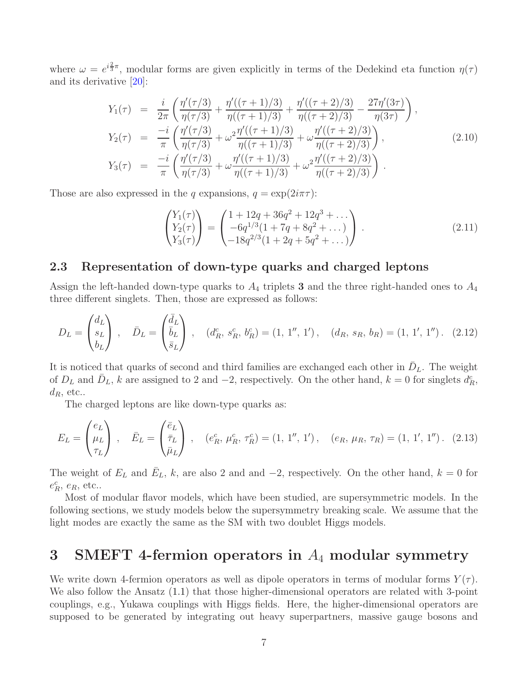where  $\omega = e^{i\frac{2}{3}\pi}$ , modular forms are given explicitly in terms of the Dedekind eta function  $\eta(\tau)$ and its derivative [\[20\]](#page-42-0):

$$
Y_1(\tau) = \frac{i}{2\pi} \left( \frac{\eta'(\tau/3)}{\eta(\tau/3)} + \frac{\eta'((\tau+1)/3)}{\eta((\tau+1)/3)} + \frac{\eta'((\tau+2)/3)}{\eta((\tau+2)/3)} - \frac{27\eta'(3\tau)}{\eta(3\tau)} \right),
$$
  
\n
$$
Y_2(\tau) = \frac{-i}{\pi} \left( \frac{\eta'(\tau/3)}{\eta(\tau/3)} + \omega^2 \frac{\eta'((\tau+1)/3)}{\eta((\tau+1)/3)} + \omega \frac{\eta'((\tau+2)/3)}{\eta((\tau+2)/3)} \right),
$$
  
\n
$$
Y_3(\tau) = \frac{-i}{\pi} \left( \frac{\eta'(\tau/3)}{\eta(\tau/3)} + \omega \frac{\eta'((\tau+1)/3)}{\eta((\tau+1)/3)} + \omega^2 \frac{\eta'((\tau+2)/3)}{\eta((\tau+2)/3)} \right).
$$
\n(2.10)

Those are also expressed in the q expansions,  $q = \exp(2i\pi\tau)$ :

<span id="page-7-2"></span>
$$
\begin{pmatrix} Y_1(\tau) \\ Y_2(\tau) \\ Y_3(\tau) \end{pmatrix} = \begin{pmatrix} 1 + 12q + 36q^2 + 12q^3 + \dots \\ -6q^{1/3}(1 + 7q + 8q^2 + \dots) \\ -18q^{2/3}(1 + 2q + 5q^2 + \dots) \end{pmatrix} . \tag{2.11}
$$

#### <span id="page-7-0"></span>2.3 Representation of down-type quarks and charged leptons

Assign the left-handed down-type quarks to  $A_4$  triplets 3 and the three right-handed ones to  $A_4$ three different singlets. Then, those are expressed as follows:

$$
D_L = \begin{pmatrix} d_L \\ s_L \\ b_L \end{pmatrix} , \quad \bar{D}_L = \begin{pmatrix} \bar{d}_L \\ \bar{b}_L \\ \bar{s}_L \end{pmatrix} , \quad (d_R^c, s_R^c, b_R^c) = (1, 1'', 1'), \quad (d_R, s_R, b_R) = (1, 1', 1''). \quad (2.12)
$$

It is noticed that quarks of second and third families are exchanged each other in  $\bar{D}_L$ . The weight of  $D_L$  and  $\bar{D}_L$ , k are assigned to 2 and  $-2$ , respectively. On the other hand,  $k = 0$  for singlets  $d_R^c$ ,  $d_R$ , etc..

The charged leptons are like down-type quarks as:

$$
E_L = \begin{pmatrix} e_L \\ \mu_L \\ \tau_L \end{pmatrix}, \quad \bar{E}_L = \begin{pmatrix} \bar{e}_L \\ \bar{\tau}_L \\ \bar{\mu}_L \end{pmatrix}, \quad (e_R^c, \mu_R^c, \tau_R^c) = (1, 1'', 1'), \quad (e_R, \mu_R, \tau_R) = (1, 1', 1''). \quad (2.13)
$$

The weight of  $E_L$  and  $\bar{E}_L$ , k, are also 2 and and -2, respectively. On the other hand,  $k = 0$  for  $e_R^c$ ,  $e_R$ , etc..

Most of modular flavor models, which have been studied, are supersymmetric models. In the following sections, we study models below the supersymmetry breaking scale. We assume that the light modes are exactly the same as the SM with two doublet Higgs models.

## <span id="page-7-1"></span>3 SMEFT 4-fermion operators in  $A_4$  modular symmetry

We write down 4-fermion operators as well as dipole operators in terms of modular forms  $Y(\tau)$ . We also follow the Ansatz  $(1.1)$  that those higher-dimensional operators are related with 3-point couplings, e.g., Yukawa couplings with Higgs fields. Here, the higher-dimensional operators are supposed to be generated by integrating out heavy superpartners, massive gauge bosons and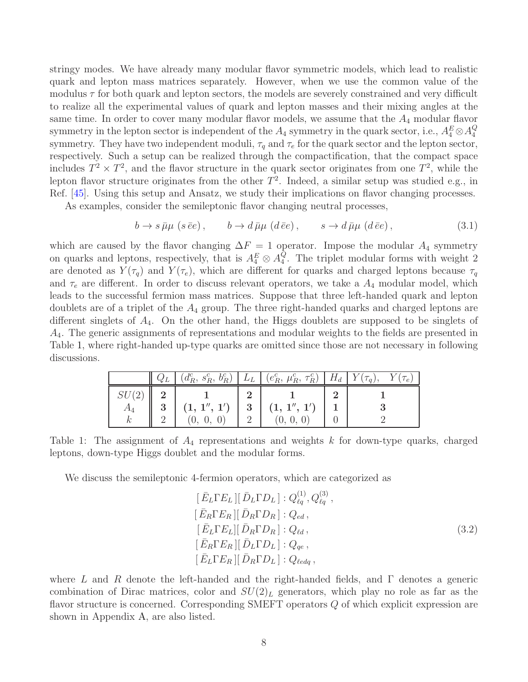stringy modes. We have already many modular flavor symmetric models, which lead to realistic quark and lepton mass matrices separately. However, when we use the common value of the modulus  $\tau$  for both quark and lepton sectors, the models are severely constrained and very difficult to realize all the experimental values of quark and lepton masses and their mixing angles at the same time. In order to cover many modular flavor models, we assume that the  $A_4$  modular flavor symmetry in the lepton sector is independent of the  $A_4$  symmetry in the quark sector, i.e.,  $A_4^E \otimes A_4^Q$ 4 symmetry. They have two independent moduli,  $\tau_q$  and  $\tau_e$  for the quark sector and the lepton sector, respectively. Such a setup can be realized through the compactification, that the compact space includes  $T^2 \times T^2$ , and the flavor structure in the quark sector originates from one  $T^2$ , while the lepton flavor structure originates from the other  $T^2$ . Indeed, a similar setup was studied e.g., in Ref. [\[45\]](#page-43-0). Using this setup and Ansatz, we study their implications on flavor changing processes.

As examples, consider the semileptonic flavor changing neutral processes,

$$
b \to s \bar{\mu}\mu \ (s \bar{e}e), \qquad b \to d \bar{\mu}\mu \ (d \bar{e}e), \qquad s \to d \bar{\mu}\mu \ (d \bar{e}e), \tag{3.1}
$$

which are caused by the flavor changing  $\Delta F = 1$  operator. Impose the modular  $A_4$  symmetry on quarks and leptons, respectively, that is  $A_4^E \otimes A_4^Q$ 4 . The triplet modular forms with weight 2 are denoted as  $Y(\tau_q)$  and  $Y(\tau_e)$ , which are different for quarks and charged leptons because  $\tau_q$ and  $\tau_e$  are different. In order to discuss relevant operators, we take a  $A_4$  modular model, which leads to the successful fermion mass matrices. Suppose that three left-handed quark and lepton doublets are of a triplet of the  $A_4$  group. The three right-handed quarks and charged leptons are different singlets of  $A_4$ . On the other hand, the Higgs doublets are supposed to be singlets of  $A_4$ . The generic assignments of representations and modular weights to the fields are presented in Table [1,](#page-8-0) where right-handed up-type quarks are omitted since those are not necessary in following discussions.

|       |   |  |                                                                                                                                | $Q_L$ $(d_R^c, s_R^c, b_R^c)$ $L_L$ $(e_R^c, \mu_R^c, \tau_R^c)$ $H_d$ $Y(\tau_q)$ , $Y(\tau_e)$ |
|-------|---|--|--------------------------------------------------------------------------------------------------------------------------------|--------------------------------------------------------------------------------------------------|
| SU(2) |   |  |                                                                                                                                |                                                                                                  |
| $A_4$ | 3 |  | $\left\{ \begin{array}{c c} (1,\,1^{\prime\prime},\,1^{\prime}) & 3 & (1,\,1^{\prime\prime},\,1^{\prime}) \end{array} \right.$ |                                                                                                  |
|       |   |  | (0, 0,                                                                                                                         |                                                                                                  |

Table 1: The assignment of  $A_4$  representations and weights k for down-type quarks, charged leptons, down-type Higgs doublet and the modular forms.

<span id="page-8-0"></span>We discuss the semileptonic 4-fermion operators, which are categorized as

$$
[\bar{E}_L \Gamma E_L] [\bar{D}_L \Gamma D_L] : Q_{\ell q}^{(1)}, Q_{\ell q}^{(3)},
$$
  
\n
$$
[\bar{E}_R \Gamma E_R] [\bar{D}_R \Gamma D_R] : Q_{ed},
$$
  
\n
$$
[\bar{E}_L \Gamma E_L] [\bar{D}_R \Gamma D_R] : Q_{td},
$$
  
\n
$$
[\bar{E}_R \Gamma E_R] [\bar{D}_L \Gamma D_L] : Q_{qe},
$$
  
\n
$$
[\bar{E}_L \Gamma E_R] [\bar{D}_R \Gamma D_L] : Q_{edq},
$$
\n(3.2)

where L and R denote the left-handed and the right-handed fields, and  $\Gamma$  denotes a generic combination of Dirac matrices, color and  $SU(2)_L$  generators, which play no role as far as the flavor structure is concerned. Corresponding SMEFT operators Q of which explicit expression are shown in Appendix [A,](#page-32-0) are also listed.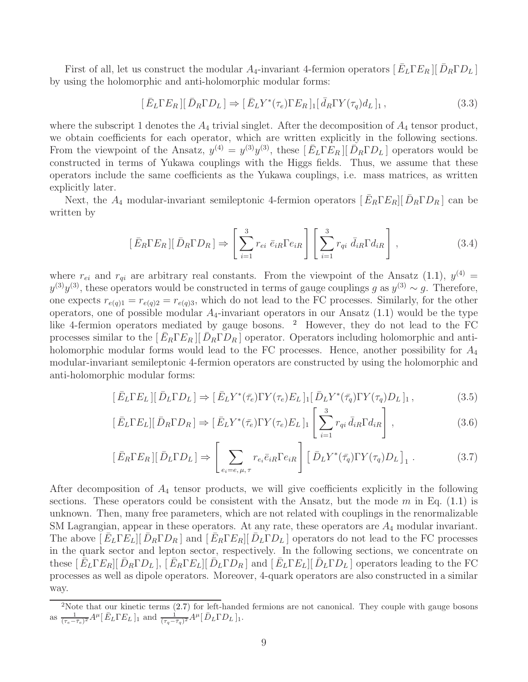First of all, let us construct the modular  $A_4$ -invariant 4-fermion operators  $[\bar{E}_L \Gamma E_R] [\bar{D}_R \Gamma D_L]$ by using the holomorphic and anti-holomorphic modular forms:

$$
[\bar{E}_L \Gamma E_R][\bar{D}_R \Gamma D_L] \Rightarrow [\bar{E}_L Y^*(\tau_e) \Gamma E_R]_1 [\bar{d}_R \Gamma Y(\tau_q) d_L]_1, \qquad (3.3)
$$

where the subscript 1 denotes the  $A_4$  trivial singlet. After the decomposition of  $A_4$  tensor product, we obtain coefficients for each operator, which are written explicitly in the following sections. From the viewpoint of the Ansatz,  $y^{(4)} = y^{(3)}y^{(3)}$ , these  $\left[\bar{E}_L \Gamma E_R\right] \left[\bar{D}_R \Gamma D_L\right]$  operators would be constructed in terms of Yukawa couplings with the Higgs fields. Thus, we assume that these operators include the same coefficients as the Yukawa couplings, i.e. mass matrices, as written explicitly later.

Next, the  $A_4$  modular-invariant semileptonic 4-fermion operators  $\left[ \bar{E}_R \Gamma E_R \right] \left[ \bar{D}_R \Gamma D_R \right]$  can be written by

$$
\left[\bar{E}_{R}\Gamma E_{R}\right]\left[\bar{D}_{R}\Gamma D_{R}\right]\Rightarrow\left[\sum_{i=1}^{3}r_{ei}\,\bar{e}_{iR}\Gamma e_{iR}\right]\left[\sum_{i=1}^{3}r_{qi}\,\bar{d}_{iR}\Gamma d_{iR}\right],\tag{3.4}
$$

where  $r_{ei}$  and  $r_{qi}$  are arbitrary real constants. From the viewpoint of the Ansatz [\(1.1\)](#page-4-0),  $y^{(4)} =$  $y^{(3)}y^{(3)}$ , these operators would be constructed in terms of gauge couplings g as  $y^{(3)} \sim g$ . Therefore, one expects  $r_{e(q)1} = r_{e(q)2} = r_{e(q)3}$ , which do not lead to the FC processes. Similarly, for the other operators, one of possible modular  $A_4$ -invariant operators in our Ansatz  $(1.1)$  would be the type like 4-fermion operators mediated by gauge bosons. <sup>[2](#page-9-0)</sup> However, they do not lead to the FC processes similar to the  $\left[$   $\bar{E}_R \Gamma E_R \right]$   $\left[$   $\bar{D}_R \Gamma D_R \right]$  operator. Operators including holomorphic and antiholomorphic modular forms would lead to the FC processes. Hence, another possibility for  $A_4$ modular-invariant semileptonic 4-fermion operators are constructed by using the holomorphic and anti-holomorphic modular forms:

$$
\left[\bar{E}_L \Gamma E_L\right] \left[\bar{D}_L \Gamma D_L\right] \Rightarrow \left[\bar{E}_L Y^*(\bar{\tau}_e) \Gamma Y(\tau_e) E_L\right]_1 \left[\bar{D}_L Y^*(\bar{\tau}_q) \Gamma Y(\tau_q) D_L\right]_1,\tag{3.5}
$$

$$
\left[\bar{E}_L \Gamma E_L\right] \left[\bar{D}_R \Gamma D_R\right] \Rightarrow \left[\bar{E}_L Y^*(\bar{\tau}_e) \Gamma Y(\tau_e) E_L\right]_1 \left[\sum_{i=1}^3 r_{qi} \bar{d}_{iR} \Gamma d_{iR}\right],\tag{3.6}
$$

$$
\left[\bar{E}_R \Gamma E_R \right] \left[\bar{D}_L \Gamma D_L \right] \Rightarrow \left[\sum_{e_i = e, \mu, \tau} r_{e_i} \bar{e}_{iR} \Gamma e_{iR} \right] \left[\bar{D}_L Y^*(\bar{\tau}_q) \Gamma Y(\tau_q) D_L \right]_1. \tag{3.7}
$$

After decomposition of  $A_4$  tensor products, we will give coefficients explicitly in the following sections. These operators could be consistent with the Ansatz, but the mode  $m$  in Eq. [\(1.1\)](#page-4-0) is unknown. Then, many free parameters, which are not related with couplings in the renormalizable SM Lagrangian, appear in these operators. At any rate, these operators are  $A_4$  modular invariant. The above  $\left[\bar{E}_L\Gamma E_L\right]\left[\bar{D}_R\Gamma D_R\right]$  and  $\left[\bar{E}_R\Gamma E_R\right]\left[\bar{D}_L\Gamma D_L\right]$  operators do not lead to the FC processes in the quark sector and lepton sector, respectively. In the following sections, we concentrate on these  $[\bar{E}_L \Gamma E_R] [\bar{D}_R \Gamma D_L], [\bar{E}_R \Gamma E_L] [\bar{D}_L \Gamma D_R]$  and  $[\bar{E}_L \Gamma E_L] [\bar{D}_L \Gamma D_L]$  operators leading to the FC processes as well as dipole operators. Moreover, 4-quark operators are also constructed in a similar way.

<span id="page-9-0"></span><sup>&</sup>lt;sup>2</sup>Note that our kinetic terms [\(2.7\)](#page-6-1) for left-handed fermions are not canonical. They couple with gauge bosons as  $\frac{1}{(\tau_e - \bar{\tau}_e)^2} A^{\mu} [\bar{E}_L \Gamma E_L]_1$  and  $\frac{1}{(\tau_q - \bar{\tau}_q)^2} A^{\mu} [\bar{D}_L \Gamma D_L]_1$ .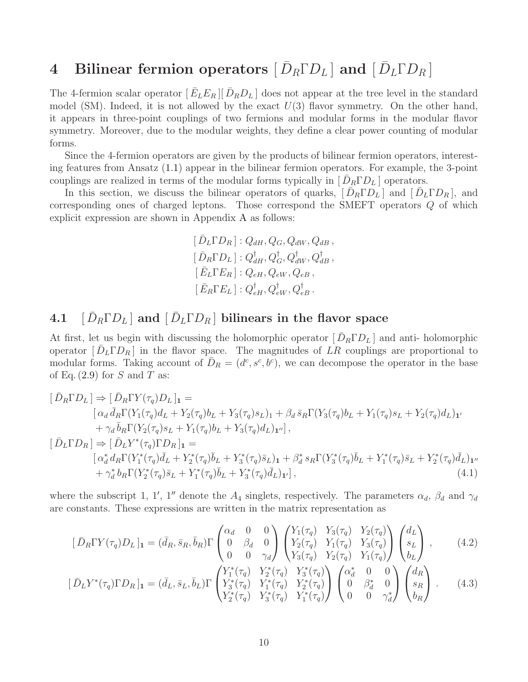# <span id="page-10-0"></span>4 Bilinear fermion operators  $[\bar{D}_R \Gamma D_L]$  and  $[\bar{D}_L \Gamma D_R]$

The 4-fermion scalar operator  $[\bar{E}_L E_R][\bar{D}_R D_L]$  does not appear at the tree level in the standard model (SM). Indeed, it is not allowed by the exact  $U(3)$  flavor symmetry. On the other hand, it appears in three-point couplings of two fermions and modular forms in the modular flavor symmetry. Moreover, due to the modular weights, they define a clear power counting of modular forms.

Since the 4-fermion operators are given by the products of bilinear fermion operators, interesting features from Ansatz [\(1.1\)](#page-4-0) appear in the bilinear fermion operators. For example, the 3-point couplings are realized in terms of the modular forms typically in  $[\bar{D}_R \Gamma D_L]$  operators.

In this section, we discuss the bilinear operators of quarks,  $[\bar{D}_R \Gamma D_L]$  and  $[\bar{D}_L \Gamma D_R]$ , and corresponding ones of charged leptons. Those correspond the SMEFT operators Q of which explicit expression are shown in Appendix [A](#page-32-0) as follows:

<span id="page-10-2"></span>
$$
[\bar{D}_L \Gamma D_R] : Q_{dH}, Q_G, Q_{dW}, Q_{dB},
$$
  
\n
$$
[\bar{D}_R \Gamma D_L] : Q_{dH}^{\dagger}, Q_G^{\dagger}, Q_{dW}^{\dagger}, Q_{dB}^{\dagger},
$$
  
\n
$$
[\bar{E}_L \Gamma E_R] : Q_{eH}, Q_{eW}, Q_{eB},
$$
  
\n
$$
[\bar{E}_R \Gamma E_L] : Q_{eH}^{\dagger}, Q_{eW}^{\dagger}, Q_{eB}^{\dagger}.
$$

## <span id="page-10-1"></span>4.1  $\left[\,\bar{D}_R\Gamma D_L\right]$  and  $\left[\,\bar{D}_L\Gamma D_R\,\right]$  bilinears in the flavor space

At first, let us begin with discussing the holomorphic operator  $[\bar{D}_R \Gamma D_L]$  and anti-holomorphic operator  $[\bar{D}_L\Gamma D_R]$  in the flavor space. The magnitudes of  $LR$  couplings are proportional to modular forms. Taking account of  $\bar{D}_R = (d^c, s^c, b^c)$ , we can decompose the operator in the base of Eq.  $(2.9)$  for S and T as:

$$
[\bar{D}_{R}\Gamma D_{L}] \Rightarrow [\bar{D}_{R}\Gamma Y(\tau_{q})D_{L}]_{1} =
$$
\n
$$
[\alpha_{d}\bar{d}_{R}\Gamma(Y_{1}(\tau_{q})d_{L} + Y_{2}(\tau_{q})b_{L} + Y_{3}(\tau_{q})s_{L})_{1} + \beta_{d}\bar{s}_{R}\Gamma(Y_{3}(\tau_{q})b_{L} + Y_{1}(\tau_{q})s_{L} + Y_{2}(\tau_{q})d_{L})_{1'}
$$
\n
$$
+ \gamma_{d}\bar{b}_{R}\Gamma(Y_{2}(\tau_{q})s_{L} + Y_{1}(\tau_{q})b_{L} + Y_{3}(\tau_{q})d_{L})_{1''}],
$$
\n
$$
[\bar{D}_{L}\Gamma D_{R}] \Rightarrow [\bar{D}_{L}Y^{*}(\tau_{q})\Gamma D_{R}]_{1} =
$$
\n
$$
[\alpha_{d}^{*}d_{R}\Gamma(Y_{1}^{*}(\tau_{q})\bar{d}_{L} + Y_{2}^{*}(\tau_{q})\bar{b}_{L} + Y_{3}^{*}(\tau_{q})\bar{s}_{L})_{1} + \beta_{d}^{*} s_{R}\Gamma(Y_{3}^{*}(\tau_{q})\bar{b}_{L} + Y_{1}^{*}(\tau_{q})\bar{s}_{L} + Y_{2}^{*}(\tau_{q})\bar{d}_{L})_{1''}
$$
\n
$$
+ \gamma_{d}^{*} b_{R}\Gamma(Y_{2}^{*}(\tau_{q})\bar{s}_{L} + Y_{1}^{*}(\tau_{q})\bar{b}_{L} + Y_{3}^{*}(\tau_{q})\bar{d}_{L})_{1'}], \qquad (4.1)
$$

where the subscript 1, 1', 1'' denote the  $A_4$  singlets, respectively. The parameters  $\alpha_d$ ,  $\beta_d$  and  $\gamma_d$ are constants. These expressions are written in the matrix representation as

$$
\begin{aligned}\n\left[\bar{D}_R \Gamma Y(\tau_q) D_L\right]_1 &= (\bar{d}_R, \bar{s}_R, \bar{b}_R) \Gamma \begin{pmatrix} \alpha_d & 0 & 0 \\ 0 & \beta_d & 0 \\ 0 & 0 & \gamma_d \end{pmatrix} \begin{pmatrix} Y_1(\tau_q) & Y_3(\tau_q) & Y_2(\tau_q) \\ Y_2(\tau_q) & Y_1(\tau_q) & Y_3(\tau_q) \\ Y_3(\tau_q) & Y_2(\tau_q) & Y_1(\tau_q) \end{pmatrix} \begin{pmatrix} d_L \\ s_L \\ b_L \end{pmatrix},\n\end{aligned} \tag{4.2}
$$
\n
$$
\begin{aligned}\n\left(\bar{D}_R \Gamma Y(\tau_q) D_L\right]_1 &= (\bar{d}_R, \bar{s}_R, \bar{b}_R) \Gamma \begin{pmatrix} \alpha_d & 0 & 0 \\ 0 & \beta_d & 0 \\ Y_1^*(\tau_q) & Y_2^*(\tau_q) & Y_3^*(\tau_q) \end{pmatrix} \begin{pmatrix} Y_1(\tau_q) & Y_2(\tau_q) \\ Y_2(\tau_q) & Y_1(\tau_q) \\ Y_2(\tau_q) & Y_2(\tau_q) \end{pmatrix} \begin{pmatrix} d_L \\ s_L \\ b_L \end{pmatrix},\n\end{aligned}
$$

$$
[\bar{D}_L Y^*(\tau_q) \Gamma D_R]_1 = (\bar{d}_L, \bar{s}_L, \bar{b}_L) \Gamma \begin{pmatrix} Y_1 (\tau_q) & Y_2 (\tau_q) & Y_3 (\tau_q) \\ Y_3^*(\tau_q) & Y_1^*(\tau_q) & Y_2^*(\tau_q) \\ Y_2^*(\tau_q) & Y_3^*(\tau_q) & Y_1^*(\tau_q) \end{pmatrix} \begin{pmatrix} \alpha_d & 0 & 0 \\ 0 & \beta_d^* & 0 \\ 0 & 0 & \gamma_d^* \end{pmatrix} \begin{pmatrix} a_R \\ s_R \\ b_R \end{pmatrix} . \tag{4.3}
$$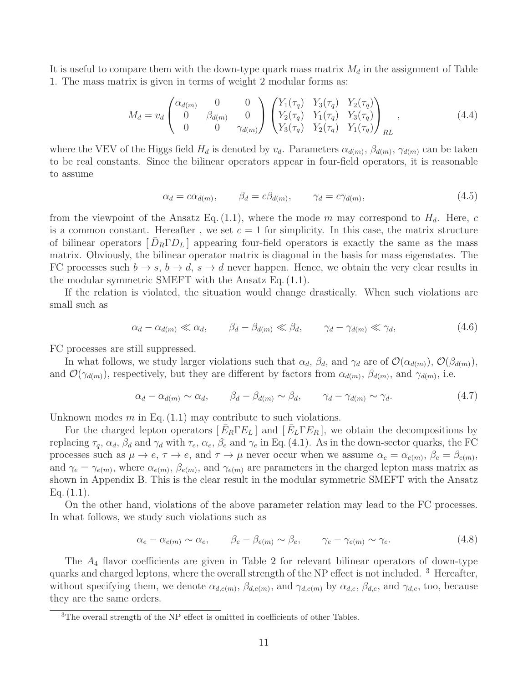It is useful to compare them with the down-type quark mass matrix  $M_d$  in the assignment of Table [1.](#page-8-0) The mass matrix is given in terms of weight 2 modular forms as:

$$
M_d = v_d \begin{pmatrix} \alpha_{d(m)} & 0 & 0 \\ 0 & \beta_{d(m)} & 0 \\ 0 & 0 & \gamma_{d(m)} \end{pmatrix} \begin{pmatrix} Y_1(\tau_q) & Y_3(\tau_q) & Y_2(\tau_q) \\ Y_2(\tau_q) & Y_1(\tau_q) & Y_3(\tau_q) \\ Y_3(\tau_q) & Y_2(\tau_q) & Y_1(\tau_q) \end{pmatrix}_{RL}, \qquad (4.4)
$$

where the VEV of the Higgs field  $H_d$  is denoted by  $v_d$ . Parameters  $\alpha_{d(m)}, \beta_{d(m)}, \gamma_{d(m)}$  can be taken to be real constants. Since the bilinear operators appear in four-field operators, it is reasonable to assume

<span id="page-11-1"></span>
$$
\alpha_d = c\alpha_{d(m)}, \qquad \beta_d = c\beta_{d(m)}, \qquad \gamma_d = c\gamma_{d(m)}, \tag{4.5}
$$

from the viewpoint of the Ansatz Eq. [\(1.1\)](#page-4-0), where the mode m may correspond to  $H_d$ . Here, c is a common constant. Hereafter, we set  $c = 1$  for simplicity. In this case, the matrix structure of bilinear operators  $[\bar{D}_R \Gamma D_L]$  appearing four-field operators is exactly the same as the mass matrix. Obviously, the bilinear operator matrix is diagonal in the basis for mass eigenstates. The FC processes such  $b \to s$ ,  $b \to d$ ,  $s \to d$  never happen. Hence, we obtain the very clear results in the modular symmetric SMEFT with the Ansatz Eq. [\(1.1\)](#page-4-0).

If the relation is violated, the situation would change drastically. When such violations are small such as

$$
\alpha_d - \alpha_{d(m)} \ll \alpha_d, \qquad \beta_d - \beta_{d(m)} \ll \beta_d, \qquad \gamma_d - \gamma_{d(m)} \ll \gamma_d, \tag{4.6}
$$

FC processes are still suppressed.

In what follows, we study larger violations such that  $\alpha_d$ ,  $\beta_d$ , and  $\gamma_d$  are of  $\mathcal{O}(\alpha_{d(m)})$ ,  $\mathcal{O}(\beta_{d(m)})$ , and  $\mathcal{O}(\gamma_{d(m)})$ , respectively, but they are different by factors from  $\alpha_{d(m)}$ ,  $\beta_{d(m)}$ , and  $\gamma_{d(m)}$ , i.e.

$$
\alpha_d - \alpha_{d(m)} \sim \alpha_d, \qquad \beta_d - \beta_{d(m)} \sim \beta_d, \qquad \gamma_d - \gamma_{d(m)} \sim \gamma_d. \tag{4.7}
$$

Unknown modes  $m$  in Eq.  $(1.1)$  may contribute to such violations.

For the charged lepton operators  $[\bar{E}_R \Gamma E_L]$  and  $[\bar{E}_L \Gamma E_R]$ , we obtain the decompositions by replacing  $\tau_q$ ,  $\alpha_d$ ,  $\beta_d$  and  $\gamma_d$  with  $\tau_e$ ,  $\alpha_e$ ,  $\beta_e$  and  $\gamma_e$  in Eq. [\(4.1\)](#page-10-2). As in the down-sector quarks, the FC processes such as  $\mu \to e$ ,  $\tau \to e$ , and  $\tau \to \mu$  never occur when we assume  $\alpha_e = \alpha_{e(m)}$ ,  $\beta_e = \beta_{e(m)}$ , and  $\gamma_e = \gamma_{e(m)}$ , where  $\alpha_{e(m)}$ ,  $\beta_{e(m)}$ , and  $\gamma_{e(m)}$  are parameters in the charged lepton mass matrix as shown in Appendix [B.](#page-33-0) This is the clear result in the modular symmetric SMEFT with the Ansatz Eq.  $(1.1)$ .

On the other hand, violations of the above parameter relation may lead to the FC processes. In what follows, we study such violations such as

$$
\alpha_e - \alpha_{e(m)} \sim \alpha_e, \qquad \beta_e - \beta_{e(m)} \sim \beta_e, \qquad \gamma_e - \gamma_{e(m)} \sim \gamma_e. \tag{4.8}
$$

The A<sup>4</sup> flavor coefficients are given in Table [2](#page-12-1) for relevant bilinear operators of down-type quarks and charged leptons, where the overall strength of the NP effect is not included.<sup>[3](#page-11-0)</sup> Hereafter, without specifying them, we denote  $\alpha_{d,e(m)}, \beta_{d,e(m)},$  and  $\gamma_{d,e(m)}$  by  $\alpha_{d,e}, \beta_{d,e},$  and  $\gamma_{d,e}$ , too, because they are the same orders.

<span id="page-11-0"></span><sup>&</sup>lt;sup>3</sup>The overall strength of the NP effect is omitted in coefficients of other Tables.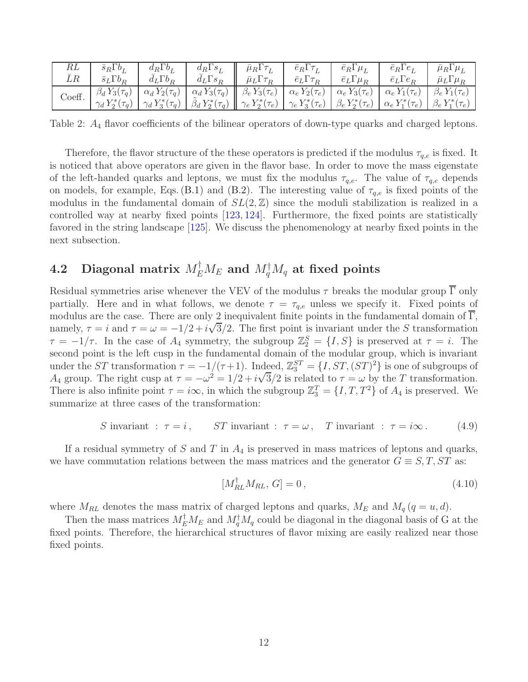| RL     | $\bar{s}_R \Gamma b_I$   | $d_R \Gamma b_I$         | $d_R \Gamma s_1$        | $\bar{\mu}_R \Gamma \tau_L$ | $\bar{e}_R \Gamma \tau_L$ | $\bar{e}_R \Gamma \mu_L$ | $\bar{e}_R\Gamma e_I$    | $\bar{\mu}_R \Gamma \mu_L$ |
|--------|--------------------------|--------------------------|-------------------------|-----------------------------|---------------------------|--------------------------|--------------------------|----------------------------|
| LR     | $\bar{s}_L \Gamma b_R$   | $d_L \Gamma b_R$         | $d_L \Gamma s_R$        | $\bar{\mu}_L \Gamma \tau_R$ | $\bar{e}_L \Gamma \tau_R$ | $\bar{e}_L\Gamma\mu_R$   | $\bar{e}_L \Gamma e_R$   | $\bar{\mu}_L\Gamma\mu_R$   |
| Coeff. | $\beta_d Y_3(\tau_q)$    | $\alpha_d Y_2(\tau_q)$   | $\alpha_d Y_3(\tau_q)$  | $\beta_e Y_3(\tau_e)$       | $\alpha_e Y_2(\tau_e)$    | $\alpha_e Y_3(\tau_e)$   | $\alpha_e Y_1(\tau_e)$   | $\beta_e Y_1(\tau_e)$      |
|        | $\gamma_d Y_2^*(\tau_q)$ | $\gamma_d Y_3^*(\tau_q)$ | $\beta_d Y_2^*(\tau_q)$ | $\gamma_e Y_2^*(\tau_e)$    | $\gamma_e Y_3^*(\tau_e)$  | $\beta_e\,Y^*_2(\tau_e)$ | $\alpha_e Y_1^*(\tau_e)$ | $\beta_e Y_1^*(\tau_e)$    |

<span id="page-12-1"></span>Table 2:  $A_4$  flavor coefficients of the bilinear operators of down-type quarks and charged leptons.

Therefore, the flavor structure of the these operators is predicted if the modulus  $\tau_{q,e}$  is fixed. It is noticed that above operators are given in the flavor base. In order to move the mass eigenstate of the left-handed quarks and leptons, we must fix the modulus  $\tau_{q,e}$ . The value of  $\tau_{q,e}$  depends on models, for example, Eqs. [\(B.1\)](#page-33-1) and [\(B.2\)](#page-34-2). The interesting value of  $\tau_{q,e}$  is fixed points of the modulus in the fundamental domain of  $SL(2, \mathbb{Z})$  since the moduli stabilization is realized in a controlled way at nearby fixed points [\[123,](#page-47-1) [124\]](#page-47-2). Furthermore, the fixed points are statistically favored in the string landscape [\[125\]](#page-47-3). We discuss the phenomenology at nearby fixed points in the next subsection.

## <span id="page-12-0"></span> $4.2 \quad$  Diagonal matrix  $M_E^\intercal M_E$  and  $M_q^\dagger M_q$  at fixed points

Residual symmetries arise whenever the VEV of the modulus  $\tau$  breaks the modular group  $\overline{\Gamma}$  only partially. Here and in what follows, we denote  $\tau = \tau_{q,e}$  unless we specify it. Fixed points of modulus are the case. There are only 2 inequivalent finite points in the fundamental domain of  $\Gamma$ , namely,  $\tau = i$  and  $\tau = \omega = -1/2 + i\sqrt{3}/2$ . The first point is invariant under the S transformation  $\tau = -1/\tau$ . In the case of  $A_4$  symmetry, the subgroup  $\mathbb{Z}_2^S = \{I, S\}$  is preserved at  $\tau = i$ . The second point is the left cusp in the fundamental domain of the modular group, which is invariant under the ST transformation  $\tau = -1/(\tau+1)$ . Indeed,  $\mathbb{Z}_3^{ST} = \{I, ST, (ST)^2\}$  is one of subgroups of A<sub>4</sub> group. The right cusp at  $\tau = -\omega^2 = 1/2 + i\sqrt{3}/2$  is related to  $\tau = \omega$  by the T transformation. There is also infinite point  $\tau = i\infty$ , in which the subgroup  $\mathbb{Z}_3^T = \{I, T, T^2\}$  of  $A_4$  is preserved. We summarize at three cases of the transformation:

S invariant : 
$$
\tau = i
$$
, ST invariant :  $\tau = \omega$ , T invariant :  $\tau = i\infty$ . (4.9)

If a residual symmetry of S and T in  $A_4$  is preserved in mass matrices of leptons and quarks, we have commutation relations between the mass matrices and the generator  $G \equiv S, T, ST$  as:

<span id="page-12-2"></span>
$$
[M_{RL}^{\dagger} M_{RL}, G] = 0, \qquad (4.10)
$$

where  $M_{RL}$  denotes the mass matrix of charged leptons and quarks,  $M_E$  and  $M_q$  ( $q = u, d$ ).

Then the mass matrices  $M_E^{\dagger} M_E$  and  $M_q^{\dagger} M_q$  could be diagonal in the diagonal basis of G at the fixed points. Therefore, the hierarchical structures of flavor mixing are easily realized near those fixed points.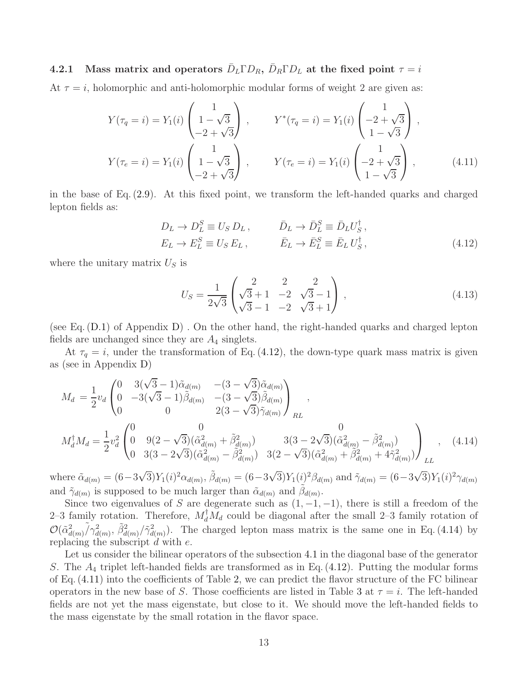<span id="page-13-0"></span>4.2.1 Mass matrix and operators  $\bar{D}_L \Gamma D_R$ ,  $\bar{D}_R \Gamma D_L$  at the fixed point  $\tau = i$ 

At  $\tau = i$ , holomorphic and anti-holomorphic modular forms of weight 2 are given as:

$$
Y(\tau_q = i) = Y_1(i) \begin{pmatrix} 1 \\ 1 - \sqrt{3} \\ -2 + \sqrt{3} \end{pmatrix}, \qquad Y^*(\tau_q = i) = Y_1(i) \begin{pmatrix} 1 \\ -2 + \sqrt{3} \\ 1 - \sqrt{3} \end{pmatrix},
$$
  

$$
Y(\tau_e = i) = Y_1(i) \begin{pmatrix} 1 \\ 1 - \sqrt{3} \\ -2 + \sqrt{3} \end{pmatrix}, \qquad Y(\tau_e = i) = Y_1(i) \begin{pmatrix} 1 \\ -2 + \sqrt{3} \\ 1 - \sqrt{3} \end{pmatrix},
$$
(4.11)

in the base of Eq. [\(2.9\)](#page-6-2). At this fixed point, we transform the left-handed quarks and charged lepton fields as:

$$
D_L \to D_L^S \equiv U_S D_L, \qquad \bar{D}_L \to \bar{D}_L^S \equiv \bar{D}_L U_S^{\dagger}, \nE_L \to E_L^S \equiv U_S E_L, \qquad \bar{E}_L \to \bar{E}_L^S \equiv \bar{E}_L U_S^{\dagger},
$$
\n(4.12)

where the unitary matrix  $U<sub>S</sub>$  is

<span id="page-13-4"></span><span id="page-13-3"></span><span id="page-13-2"></span><span id="page-13-1"></span>
$$
U_S = \frac{1}{2\sqrt{3}} \begin{pmatrix} 2 & 2 & 2 \\ \sqrt{3} + 1 & -2 & \sqrt{3} - 1 \\ \sqrt{3} - 1 & -2 & \sqrt{3} + 1 \end{pmatrix},
$$
(4.13)

(see Eq.  $(D.1)$  of Appendix [D\)](#page-36-1). On the other hand, the right-handed quarks and charged lepton fields are unchanged since they are  $A_4$  singlets.

At  $\tau_q = i$ , under the transformation of Eq. [\(4.12\)](#page-13-1), the down-type quark mass matrix is given as (see in Appendix [D\)](#page-36-1)

$$
M_{d} = \frac{1}{2}v_{d} \begin{pmatrix} 0 & 3(\sqrt{3}-1)\tilde{\alpha}_{d(m)} & -(3-\sqrt{3})\tilde{\alpha}_{d(m)} \\ 0 & -3(\sqrt{3}-1)\tilde{\beta}_{d(m)} & -(3-\sqrt{3})\tilde{\beta}_{d(m)} \\ 0 & 0 & 2(3-\sqrt{3})\tilde{\gamma}_{d(m)} \end{pmatrix}_{RL},
$$
  
\n
$$
M_{d}^{\dagger}M_{d} = \frac{1}{2}v_{d}^{2} \begin{pmatrix} 0 & 0 & 0 \\ 0 & 9(2-\sqrt{3})(\tilde{\alpha}_{d(m)}^{2} + \tilde{\beta}_{d(m)}^{2}) & 3(3-2\sqrt{3})(\tilde{\alpha}_{d(m)}^{2} - \tilde{\beta}_{d(m)}^{2}) \\ 0 & 3(3-2\sqrt{3})(\tilde{\alpha}_{d(m)}^{2} - \tilde{\beta}_{d(m)}^{2}) & 3(2-\sqrt{3})(\tilde{\alpha}_{d(m)}^{2} + \tilde{\beta}_{d(m)}^{2} + 4\tilde{\gamma}_{d(m)}^{2}) \end{pmatrix}_{LL},
$$
\n(4.14)

where  $\tilde{\alpha}_{d(m)} = (6 - 3\sqrt{3})Y_1(i)^2 \alpha_{d(m)}, \tilde{\beta}_{d(m)} = (6 - 3\sqrt{3})Y_1(i)^2 \beta_{d(m)}$  and  $\tilde{\gamma}_{d(m)} = (6 - 3\sqrt{3})Y_1(i)^2 \gamma_{d(m)}$ and  $\tilde{\gamma}_{d(m)}$  is supposed to be much larger than  $\tilde{\alpha}_{d(m)}$  and  $\tilde{\beta}_{d(m)}$ .

Since two eigenvalues of S are degenerate such as  $(1, -1, -1)$ , there is still a freedom of the 2–3 family rotation. Therefore,  $M_d^{\dagger} M_d$  could be diagonal after the small 2–3 family rotation of  $\mathcal{O}(\tilde{\alpha}_{d(m)}^2/\tilde{\gamma}_{d(m)}^2, \tilde{\beta}_{d(m)}^2/\tilde{\gamma}_{d(m)}^2)$ . The charged lepton mass matrix is the same one in Eq. [\(4.14\)](#page-13-2) by replacing the subscript  $d$  with  $e$ .

Let us consider the bilinear operators of the subsection [4.1](#page-10-1) in the diagonal base of the generator S. The  $A_4$  triplet left-handed fields are transformed as in Eq. [\(4.12\)](#page-13-1). Putting the modular forms of Eq. [\(4.11\)](#page-13-3) into the coefficients of Table [2,](#page-12-1) we can predict the flavor structure of the FC bilinear operators in the new base of S. Those coefficients are listed in Table [3](#page-15-0) at  $\tau = i$ . The left-handed fields are not yet the mass eigenstate, but close to it. We should move the left-handed fields to the mass eigenstate by the small rotation in the flavor space.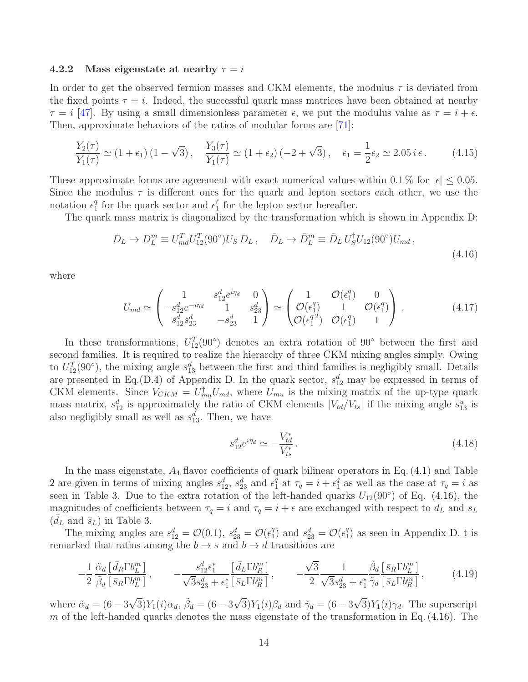#### <span id="page-14-0"></span>4.2.2 Mass eigenstate at nearby  $\tau = i$

In order to get the observed fermion masses and CKM elements, the modulus  $\tau$  is deviated from the fixed points  $\tau = i$ . Indeed, the successful quark mass matrices have been obtained at nearby  $\tau = i$  [\[47\]](#page-43-1). By using a small dimensionless parameter  $\epsilon$ , we put the modulus value as  $\tau = i + \epsilon$ . Then, approximate behaviors of the ratios of modular forms are [\[71\]](#page-44-0):

$$
\frac{Y_2(\tau)}{Y_1(\tau)} \simeq (1 + \epsilon_1) (1 - \sqrt{3}), \quad \frac{Y_3(\tau)}{Y_1(\tau)} \simeq (1 + \epsilon_2) (-2 + \sqrt{3}), \quad \epsilon_1 = \frac{1}{2} \epsilon_2 \simeq 2.05 \, i \, \epsilon \,. \tag{4.15}
$$

These approximate forms are agreement with exact numerical values within 0.1 % for  $|\epsilon| \leq 0.05$ . Since the modulus  $\tau$  is different ones for the quark and lepton sectors each other, we use the notation  $\epsilon_1^q$ <sup>q</sup> for the quark sector and  $\epsilon_1^{\ell}$  for the lepton sector hereafter.

The quark mass matrix is diagonalized by the transformation which is shown in Appendix [D:](#page-36-1)

<span id="page-14-3"></span>
$$
D_L \to D_L^m \equiv U_{md}^T U_{12}^T (90^\circ) U_S D_L \,, \quad \bar{D}_L \to \bar{D}_L^m \equiv \bar{D}_L U_S^\dagger U_{12} (90^\circ) U_{md} \,, \tag{4.16}
$$

where

$$
U_{md} \simeq \begin{pmatrix} 1 & s_{12}^d e^{i\eta_d} & 0 \\ -s_{12}^d e^{-i\eta_d} & 1 & s_{23}^d \\ s_{12}^d s_{23}^d & -s_{23}^d & 1 \end{pmatrix} \simeq \begin{pmatrix} 1 & \mathcal{O}(\epsilon_1^q) & 0 \\ \mathcal{O}(\epsilon_1^q) & 1 & \mathcal{O}(\epsilon_1^q) \\ \mathcal{O}(\epsilon_1^q^2) & \mathcal{O}(\epsilon_1^q) & 1 \end{pmatrix} . \tag{4.17}
$$

In these transformations,  $U_{12}^T(90°)$  denotes an extra rotation of  $90°$  between the first and second families. It is required to realize the hierarchy of three CKM mixing angles simply. Owing to  $U_{12}^T(90°)$ , the mixing angle  $s_{13}^d$  between the first and third families is negligibly small. Details are presented in Eq.[\(D.4\)](#page-37-0) of Appendix [D.](#page-36-1) In the quark sector,  $s_{12}^d$  may be expressed in terms of CKM elements. Since  $V_{CKM} = U_{mu}^{\dagger} U_{md}$ , where  $U_{mu}$  is the mixing matrix of the up-type quark mass matrix,  $s_{12}^d$  is approximately the ratio of CKM elements  $|V_{td}/V_{ts}|$  if the mixing angle  $s_{13}^u$  is also negligibly small as well as  $s_{13}^d$ . Then, we have

<span id="page-14-2"></span><span id="page-14-1"></span>
$$
s_{12}^d e^{i\eta_d} \simeq -\frac{V_{td}^*}{V_{ts}^*} \,. \tag{4.18}
$$

In the mass eigenstate,  $A_4$  flavor coefficients of quark bilinear operators in Eq. [\(4.1\)](#page-10-2) and Table [2](#page-12-1) are given in terms of mixing angles  $s_{12}^d$ ,  $s_{23}^d$  and  $\epsilon_1^q$ <sup>q</sup> at  $\tau_q = i + \epsilon_1^q$  $_1^q$  as well as the case at  $\tau_q = i$  as seen in Table [3.](#page-15-0) Due to the extra rotation of the left-handed quarks  $U_{12}(90°)$  of Eq. [\(4.16\)](#page-14-1), the magnitudes of coefficients between  $\tau_q = i$  and  $\tau_q = i + \epsilon$  are exchanged with respect to  $d_L$  and  $s_L$  $(\bar{d}_L$  and  $\bar{s}_L)$  in Table [3.](#page-15-0)

The mixing angles are  $s_{12}^d = \mathcal{O}(0.1), s_{23}^d = \mathcal{O}(\epsilon_1^d)$  $_1^q$ ) and  $s_{23}^d = \mathcal{O}(\epsilon_1^q)$  $_{1}^{q}$ ) as seen in Appendix [D.](#page-36-1) t is remarked that ratios among the  $b \to s$  and  $b \to d$  transitions are

$$
-\frac{1}{2}\frac{\tilde{\alpha}_d}{\tilde{\beta}_d}\frac{\left[\bar{d}_R\Gamma b_L^m\right]}{\left[\bar{s}_R\Gamma b_L^m\right]}, \qquad -\frac{s_{12}^d\epsilon_1^*}{\sqrt{3}s_{23}^d + \epsilon_1^*}\frac{\left[\bar{d}_L\Gamma b_R^m\right]}{\left[\bar{s}_L\Gamma b_R^m\right]}, \qquad -\frac{\sqrt{3}}{2}\frac{1}{\sqrt{3}s_{23}^d + \epsilon_1^*}\frac{\tilde{\beta}_d}{\tilde{\gamma}_d}\frac{\left[\bar{s}_R\Gamma b_L^m\right]}{\left[\bar{s}_L\Gamma b_R^m\right]},\qquad(4.19)
$$

where  $\tilde{\alpha}_d = (6 - 3\sqrt{3})Y_1(i)\alpha_d$ ,  $\tilde{\beta}_d = (6 - 3\sqrt{3})Y_1(i)\beta_d$  and  $\tilde{\gamma}_d = (6 - 3\sqrt{3})Y_1(i)\gamma_d$ . The superscript m of the left-handed quarks denotes the mass eigenstate of the transformation in Eq.  $(4.16)$ . The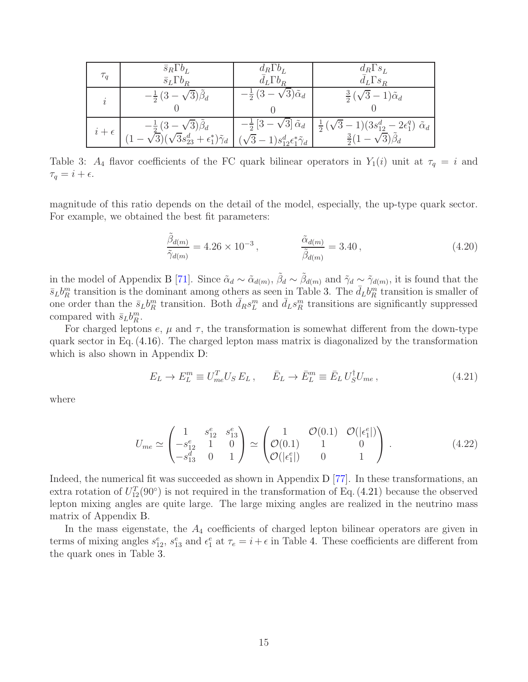| $\tau_q$     | $\bar{s}_R \Gamma b_L$<br>$\bar{s}_L\Gamma b_R$                                                                                                                           | $d_R \Gamma b_L$<br>$d_L \Gamma b_R$       | $d_R \Gamma s_L$<br>$d_L \Gamma s_R$                                                                                                                                    |
|--------------|---------------------------------------------------------------------------------------------------------------------------------------------------------------------------|--------------------------------------------|-------------------------------------------------------------------------------------------------------------------------------------------------------------------------|
| ı            | $-\frac{1}{2}(3-\sqrt{3})\beta_d$                                                                                                                                         | $-\frac{1}{2}(3-\sqrt{3})\tilde{\alpha}_d$ | $\frac{3}{2}(\sqrt{3}-1)\tilde{\alpha}_d$                                                                                                                               |
| $i+\epsilon$ | $-\frac{1}{2}(3-\sqrt{3})\tilde{\beta}_d$<br>$(1-\sqrt{3})(\sqrt{3}s_{23}^d+\epsilon_1^*)\tilde{\gamma}_d \bigm  (\sqrt{3}-1)s_{12}^d\epsilon_1^*\tilde{\gamma}_d \bigm $ |                                            | $-\frac{1}{2}\left[3-\sqrt{3}\right]\tilde{\alpha}_d \mid \frac{1}{2}(\sqrt{3}-1)(3s_{12}^d-2\epsilon_1^q)\tilde{\alpha}_d$<br>$\frac{3}{2}(1-\sqrt{3})\tilde{\beta}_d$ |

<span id="page-15-0"></span>Table 3:  $A_4$  flavor coefficients of the FC quark bilinear operators in  $Y_1(i)$  unit at  $\tau_q = i$  and  $\tau_q = i + \epsilon.$ 

magnitude of this ratio depends on the detail of the model, especially, the up-type quark sector. For example, we obtained the best fit parameters:

<span id="page-15-2"></span>
$$
\frac{\tilde{\beta}_{d(m)}}{\tilde{\gamma}_{d(m)}} = 4.26 \times 10^{-3}, \qquad \frac{\tilde{\alpha}_{d(m)}}{\tilde{\beta}_{d(m)}} = 3.40, \qquad (4.20)
$$

in the model of Appendix [B](#page-33-0) [\[71\]](#page-44-0). Since  $\tilde{\alpha}_d \sim \tilde{\alpha}_{d(m)}, \tilde{\beta}_d \sim \tilde{\beta}_{d(m)}$  and  $\tilde{\gamma}_d \sim \tilde{\gamma}_{d(m)},$  it is found that the  $\bar{s}_L b_R^m$  transition is the dominant among others as seen in Table [3.](#page-15-0) The  $\bar{d}_L b_R^m$  transition is smaller of one order than the  $\bar{s}_L b_R^m$  transition. Both  $\bar{d}_R s_L^m$  and  $\bar{d}_L s_R^m$  transitions are significantly suppressed compared with  $\bar{s}_L b_R^m$ .

For charged leptons  $e, \mu$  and  $\tau$ , the transformation is somewhat different from the down-type quark sector in Eq. [\(4.16\)](#page-14-1). The charged lepton mass matrix is diagonalized by the transformation which is also shown in Appendix [D:](#page-36-1)

<span id="page-15-1"></span>
$$
E_L \to E_L^m \equiv U_{me}^T U_S E_L , \qquad \bar{E}_L \to \bar{E}_L^m \equiv \bar{E}_L U_S^{\dagger} U_{me} , \qquad (4.21)
$$

where

$$
U_{me} \simeq \begin{pmatrix} 1 & s_{12}^e & s_{13}^e \\ -s_{12}^e & 1 & 0 \\ -s_{13}^d & 0 & 1 \end{pmatrix} \simeq \begin{pmatrix} 1 & \mathcal{O}(0.1) & \mathcal{O}(|\epsilon_1^e|) \\ \mathcal{O}((\epsilon_1^e|) & 1 & 0 \\ \mathcal{O}(|\epsilon_1^e|) & 0 & 1 \end{pmatrix} . \tag{4.22}
$$

Indeed, the numerical fit was succeeded as shown in Appendix  $D$  [\[77\]](#page-44-1). In these transformations, an extra rotation of  $U_{12}^T(90°)$  is not required in the transformation of Eq. [\(4.21\)](#page-15-1) because the observed lepton mixing angles are quite large. The large mixing angles are realized in the neutrino mass matrix of Appendix [B.](#page-33-0)

In the mass eigenstate, the  $A_4$  coefficients of charged lepton bilinear operators are given in terms of mixing angles  $s_{12}^e$ ,  $s_{13}^e$  and  $\epsilon_1^e$  at  $\tau_e = i + \epsilon$  in Table [4.](#page-16-3) These coefficients are different from the quark ones in Table [3.](#page-15-0)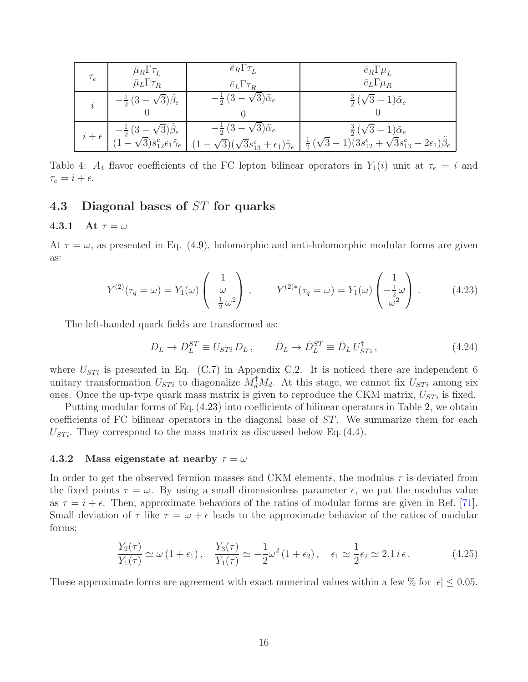| $\tau_e$ | $\bar{\mu}_R \Gamma \tau_L$<br>$\bar{\mu}_L \Gamma \tau_R$                                                                         | $\bar{e}_R \Gamma \tau_L$<br>$\bar{e}_L \Gamma \tau_R$                                                    | $\bar{e}_R \Gamma \mu_L$<br>$\bar{e}_L\Gamma\mu_R$                                                                            |
|----------|------------------------------------------------------------------------------------------------------------------------------------|-----------------------------------------------------------------------------------------------------------|-------------------------------------------------------------------------------------------------------------------------------|
|          | $-\frac{1}{2}(3-\sqrt{3})\hat{\beta}_e$                                                                                            | $-\frac{1}{2}(3-\sqrt{3})\tilde{\alpha}_e$                                                                | $rac{3}{2}(\sqrt{3}-1)\tilde{\alpha}_e$                                                                                       |
|          | $i+\epsilon\begin{bmatrix} -\frac{1}{2}(3-\sqrt{3})\tilde{\beta}_e\\ (1-\sqrt{3})s_{12}^e\epsilon_1\tilde{\gamma}_e \end{bmatrix}$ | $-\frac{1}{2}(3-\sqrt{3})\tilde{\alpha}_e$<br>$(1-\sqrt{3})(\sqrt{3}s^e_{13}+\epsilon_1)\tilde{\gamma}_e$ | $\frac{3}{2}(\sqrt{3}-1)\tilde{\alpha}_e$<br>$\frac{1}{2}(\sqrt{3}-1)(3s_{12}^e+\sqrt{3}s_{13}^e-2\epsilon_1)\tilde{\beta}_e$ |

<span id="page-16-3"></span>Table 4:  $A_4$  flavor coefficients of the FC lepton bilinear operators in  $Y_1(i)$  unit at  $\tau_e = i$  and  $\tau_e = i + \epsilon.$ 

### <span id="page-16-1"></span><span id="page-16-0"></span>4.3 Diagonal bases of ST for quarks

#### 4.3.1 At  $\tau = \omega$

At  $\tau = \omega$ , as presented in Eq. [\(4.9\)](#page-12-2), holomorphic and anti-holomorphic modular forms are given as:

$$
Y^{(2)}(\tau_q = \omega) = Y_1(\omega) \begin{pmatrix} 1 \\ \omega \\ -\frac{1}{2}\omega^2 \end{pmatrix}, \qquad Y^{(2)*}(\tau_q = \omega) = Y_1(\omega) \begin{pmatrix} 1 \\ -\frac{1}{2}\omega \\ \omega^2 \end{pmatrix}.
$$
 (4.23)

The left-handed quark fields are transformed as:

<span id="page-16-5"></span><span id="page-16-4"></span>
$$
D_L \to D_L^{ST} \equiv U_{STi} D_L \,, \qquad \bar{D}_L \to \bar{D}_L^{ST} \equiv \bar{D}_L U_{STi}^{\dagger} \,, \tag{4.24}
$$

where  $U_{STi}$  is presented in Eq. [\(C.7\)](#page-35-1) in Appendix [C.2.](#page-35-0) It is noticed there are independent 6 unitary transformation  $U_{STi}$  to diagonalize  $M_d^{\dagger} M_d$ . At this stage, we cannot fix  $U_{STi}$  among six ones. Once the up-type quark mass matrix is given to reproduce the CKM matrix,  $U_{STi}$  is fixed.

Putting modular forms of Eq. [\(4.23\)](#page-16-4) into coefficients of bilinear operators in Table [2,](#page-12-1) we obtain coefficients of FC bilinear operators in the diagonal base of ST. We summarize them for each  $U_{STi}$ . They correspond to the mass matrix as discussed below Eq. [\(4.4\)](#page-11-1).

#### <span id="page-16-2"></span>4.3.2 Mass eigenstate at nearby  $\tau = \omega$

In order to get the observed fermion masses and CKM elements, the modulus  $\tau$  is deviated from the fixed points  $\tau = \omega$ . By using a small dimensionless parameter  $\epsilon$ , we put the modulus value as  $\tau = i + \epsilon$ . Then, approximate behaviors of the ratios of modular forms are given in Ref. [\[71\]](#page-44-0). Small deviation of  $\tau$  like  $\tau = \omega + \epsilon$  leads to the approximate behavior of the ratios of modular forms:

$$
\frac{Y_2(\tau)}{Y_1(\tau)} \simeq \omega \left(1 + \epsilon_1\right), \quad \frac{Y_3(\tau)}{Y_1(\tau)} \simeq -\frac{1}{2}\omega^2 \left(1 + \epsilon_2\right), \quad \epsilon_1 \simeq \frac{1}{2}\epsilon_2 \simeq 2.1 \, i \, \epsilon \,. \tag{4.25}
$$

These approximate forms are agreement with exact numerical values within a few % for  $|\epsilon| \leq 0.05$ .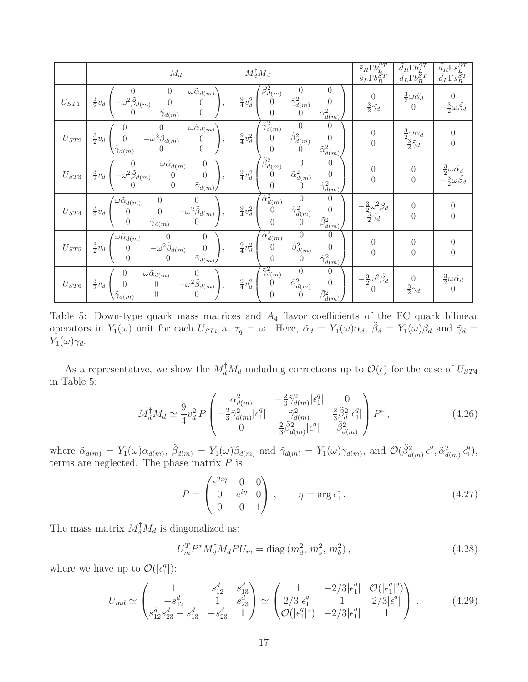|                  | $\mathcal{M}_d$                                                                                                                                                                                                                           | $M_d^{\dagger} M_d$                                                                                                                                                                                  | $\bar{s}_R\Gamma b_L^{ST}\\ \bar{s}_L\Gamma b_R^{ST}$                  | $\bar{d}_R\Gamma b_L^{ST} \\ \bar{d}_L\Gamma b_R^{ST}$               | $\bar{d}_R \Gamma s_L^{ST} \\ \bar{d}_L \Gamma s_R^{ST}$                    |
|------------------|-------------------------------------------------------------------------------------------------------------------------------------------------------------------------------------------------------------------------------------------|------------------------------------------------------------------------------------------------------------------------------------------------------------------------------------------------------|------------------------------------------------------------------------|----------------------------------------------------------------------|-----------------------------------------------------------------------------|
| ${\cal U}_{ST1}$ | $\omega \tilde{\alpha}_{d(m)}$ '<br>$\theta$<br>$-\omega^2 \tilde{\beta}_{d(m)}$<br>$\frac{3}{2}v_d$<br>$\theta$<br>$\overline{0}$<br>$\tilde{\gamma}_{d(m)}$<br>$\theta$                                                                 | $\tilde{\beta}_{d(m)}^2$<br>$\Omega$<br>$\frac{9}{4}v_d^2$<br>$\tilde{\gamma}^2_{d(m)}$<br>$\Omega$<br>$\tilde{\alpha}^2_{\underline{d}(m)}$<br>$\Omega$<br>$\Omega$                                 | $\overline{0}$<br>$rac{3}{2}\tilde{\gamma_d}$                          | $\frac{3}{2}\omega\tilde{\alpha_d}$<br>$\overline{0}$                | $rac{3}{2}\omega \tilde{\beta}_d$                                           |
| ${\cal U}_{ST2}$ | $\omega \tilde{\alpha}_{d(m)}$<br>$-\omega^2\check{\tilde{\beta}}_{d(m)}$<br>$\frac{3}{2}v_d$<br>$\overline{0}$<br>$\boldsymbol{0}$<br>$\overline{0}$<br>$\tilde{\gamma}_{d(m)}$                                                          | $\tilde{\gamma}^2_{d(m)}$<br>$\theta$<br>$\theta$<br>$\tilde{\beta}_{d(m)}^2$<br>$\frac{9}{4}v_d^2$<br>$\theta$<br>$\theta$<br>$\tilde{\alpha}_{\underline{d}\left( m\right) }^{2}$<br>$\Omega$      | $\boldsymbol{0}$<br>$\overline{0}$                                     | $\frac{3}{2}\omega\tilde{\alpha_d}$<br>$\frac{3}{2}\tilde{\gamma}_d$ | $\boldsymbol{0}$<br>$\overline{0}$                                          |
| ${\cal U}_{ST3}$ | $\omega \tilde{\alpha}_{d(m)}$<br>$-\omega^2 \tilde{\beta}_{d(m)}$<br>$rac{3}{2}v_d$<br>$\overline{0}$<br>$\boldsymbol{0}$<br>$\tilde{\gamma}_{d(\underline{m})}$<br>$\overline{0}$                                                       | $\tilde{\beta}_{d(m)}^2$<br>$\theta$<br>$\boldsymbol{0}$<br>$rac{9}{4}v_d^2$<br>$\tilde{\alpha}_{d(m)}^2$<br>$\theta$<br>$\Omega$<br>$\tilde{\gamma}_{d(m)}^2$<br>$\Omega$<br>$\theta$               | $\boldsymbol{0}$<br>$\overline{0}$                                     | $\boldsymbol{0}$<br>$\boldsymbol{0}$                                 | $\frac{3}{2}\omega\tilde{\alpha_d}$<br>$-\frac{3}{2}\omega \tilde{\beta_d}$ |
| ${\cal U}_{ST4}$ | $\sqrt{\omega}\tilde{\alpha}_{d(m)}$<br>$\begin{array}{c} 0 \\ 0 \end{array}$<br>$\begin{matrix}0\\-\omega^2\tilde{\beta}_{d(m)}\\0\end{matrix}$ ,<br>$\frac{3}{2}v_d$<br>$\begin{matrix} 0 \\ 0 \end{matrix}$<br>$\tilde{\gamma}_{d(m)}$ | $\tilde{\alpha}_{d(m)}^2$<br>$\overline{0}$<br>$\Omega$<br>$\tilde{\gamma}^2_{d(m)}$<br>$\frac{9}{4}v_d^2$<br>$\theta$<br>$\theta$<br>$\tilde{\beta}^2_{\underline{d}(m)}$ .<br>$\Omega$<br>$\theta$ | $-\frac{3}{2}\omega^2\tilde{\beta_d}$<br>$\frac{3}{2}\tilde{\gamma_d}$ | $\boldsymbol{0}$<br>$\overline{0}$                                   | $\overline{0}$<br>$\overline{0}$                                            |
| ${\cal U}_{ST5}$ | $\int \omega \tilde{\alpha}_{d(m)}$<br>$\boldsymbol{0}$<br>$\begin{array}{c} 0 \\ -\omega^2\tilde{\beta}_{d(m)} \\ 0 \end{array}$<br>$rac{3}{2}v_d$<br>$\boldsymbol{0}$<br>$\overline{0}$<br>$\tilde{\gamma}_{d(m)}$                      | $\tilde{\alpha}_{d(m)}^2$<br>$\boldsymbol{0}$<br>$\theta$<br>$\tilde{\beta}_{d(m)}^2$<br>$\frac{9}{4}v_d^2$<br>$\Omega$<br>$\Omega$<br>$\tilde{\gamma}^2_{d(m)}$<br>$\Omega$<br>$\left( \right)$     | $\boldsymbol{0}$<br>$\overline{0}$                                     | $\boldsymbol{0}$<br>$\boldsymbol{0}$                                 | 0<br>0                                                                      |
| ${\cal U}_{ST6}$ | $\omega \tilde{\alpha}_{d(m)}$<br>0<br>$\left(\begin{matrix}0\-\omega^2\tilde{\beta}_{d(m)}\0\end{matrix}\right)$<br>$rac{3}{2}v_d$<br>$\overline{0}$<br>$\boldsymbol{0}$<br>$\tilde{\gamma}_{d(m)}$                                      | $\tilde{\gamma}^2_{d(m)}$<br>$\overline{0}$<br>$\theta$<br>$\tilde{\alpha}_{d(m)}^2$<br>$\frac{9}{4}v_d^2$<br>$\theta$<br>$\theta$<br>$\tilde{\beta}_{d(m)}^2$<br>$\overline{0}$                     | $-\frac{3}{2}\omega^2 \tilde{\beta_d}$<br>$\Omega$                     | $\theta$<br>$rac{3}{2}\tilde{\gamma_d}$                              | $rac{3}{2}\omega\tilde{\alpha_d}$<br>$\theta$                               |

<span id="page-17-0"></span>Table 5: Down-type quark mass matrices and  $A_4$  flavor coefficients of the FC quark bilinear operators in  $Y_1(\omega)$  unit for each  $U_{STi}$  at  $\tau_q = \omega$ . Here,  $\tilde{\alpha}_d = Y_1(\omega)\alpha_d$ ,  $\tilde{\beta}_d = Y_1(\omega)\beta_d$  and  $\tilde{\gamma}_d =$  $Y_1(\omega)\gamma_d$ .

As a representative, we show the  $M_d^{\dagger} M_d$  including corrections up to  $\mathcal{O}(\epsilon)$  for the case of  $U_{ST4}$ in Table [5:](#page-17-0)

$$
M_d^{\dagger} M_d \simeq \frac{9}{4} v_d^2 P \begin{pmatrix} \tilde{\alpha}_{d(m)}^2 & -\frac{2}{3} \tilde{\gamma}_{d(m)}^2 |\epsilon_1^q| & 0\\ -\frac{2}{3} \tilde{\gamma}_{d(m)}^2 |\epsilon_1^q| & \tilde{\gamma}_{d(m)}^2 & \frac{2}{3} \tilde{\beta}_d^2 |\epsilon_1^q|\\ 0 & \frac{2}{3} \tilde{\beta}_{d(m)}^2 |\epsilon_1^q| & \tilde{\beta}_{d(m)}^2 \end{pmatrix} P^*,
$$
(4.26)

where  $\tilde{\alpha}_{d(m)} = Y_1(\omega) \alpha_{d(m)}, \tilde{\beta}_{d(m)} = Y_1(\omega) \beta_{d(m)}$  and  $\tilde{\gamma}_{d(m)} = Y_1(\omega) \gamma_{d(m)},$  and  $\mathcal{O}(\tilde{\beta}_{d(m)}^2 \epsilon_1^d)$  $\tilde{a}_1^2, \tilde{\alpha}_{d(m)}^2 \epsilon_1^q$  $\binom{q}{1},$ terms are neglected. The phase matrix  $P$  is

$$
P = \begin{pmatrix} e^{2i\eta} & 0 & 0 \\ 0 & e^{i\eta} & 0 \\ 0 & 0 & 1 \end{pmatrix}, \qquad \eta = \arg \epsilon_1^* \,. \tag{4.27}
$$

The mass matrix  $M_d^{\dagger} M_d$  is diagonalized as:

<span id="page-17-1"></span>
$$
U_m^T P^* M_d^{\dagger} M_d P U_m = \text{diag}(m_d^2, m_s^2, m_b^2), \qquad (4.28)
$$

where we have up to  $\mathcal{O}(|\epsilon_1^q)$  $_{1}^{q}$ ]):

$$
U_{md} \simeq \begin{pmatrix} 1 & s_{12}^d & s_{13}^d \\ -s_{12}^d & 1 & s_{23}^d \\ s_{12}^d s_{23}^d - s_{13}^d & -s_{23}^d & 1 \end{pmatrix} \simeq \begin{pmatrix} 1 & -2/3|\epsilon_1^q| & \mathcal{O}(|\epsilon_1^q|^2) \\ 2/3|\epsilon_1^q| & 1 & 2/3|\epsilon_1^q| \\ \mathcal{O}(|\epsilon_1^q|^2) & -2/3|\epsilon_1^q| & 1 \end{pmatrix} . \tag{4.29}
$$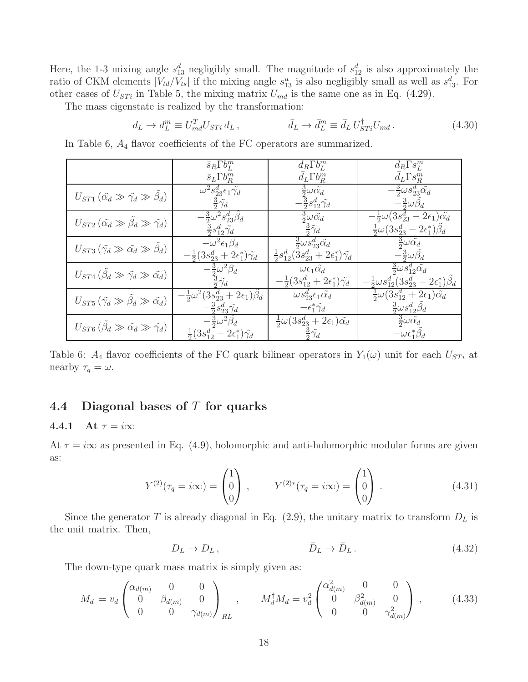Here, the 1-3 mixing angle  $s_{13}^d$  negligibly small. The magnitude of  $s_{12}^d$  is also approximately the ratio of CKM elements  $|V_{td}/V_{ts}|$  if the mixing angle  $s_{13}^u$  is also negligibly small as well as  $s_{13}^d$ . For other cases of  $U_{STi}$  in Table [5,](#page-17-0) the mixing matrix  $U_{md}$  is the same one as in Eq. [\(4.29\)](#page-17-1).

The mass eigenstate is realized by the transformation:

$$
d_L \to d_L^m \equiv U_{md}^T U_{STi} d_L, \qquad \qquad \bar{d}_L \to \bar{d}_L^m \equiv \bar{d}_L U_{STi}^\dagger U_{md} \,. \tag{4.30}
$$

In Table [6,](#page-18-2) A<sup>4</sup> flavor coefficients of the FC operators are summarized.

|                                                                      | $\bar{s}_R \Gamma b_L^m$                                               | $d_R \Gamma b_L^m$                                                          | $d_R \Gamma s_L^m$                                            |
|----------------------------------------------------------------------|------------------------------------------------------------------------|-----------------------------------------------------------------------------|---------------------------------------------------------------|
|                                                                      | $\bar{s}_L \Gamma b_R^m$                                               | $d_L \Gamma b_R^m$                                                          | $d_L \Gamma s_R^m$                                            |
| $U_{ST1}(\tilde{\alpha_d}\gg\tilde{\gamma_d}\gg\beta_d)$             | $\omega^2 s^d_{23} \epsilon_1 \tilde{\gamma_d}$                        | $rac{3}{2}\omega \tilde{\alpha_d}$                                          | $-\frac{3}{2}\omega s_{23}^d\tilde{\alpha_d}$                 |
|                                                                      | $rac{3}{2}\tilde{\gamma_d}$                                            | $-\frac{3}{2} s^d_{12} \tilde{\gamma_d}$                                    | $-\frac{3}{2}\omega\beta_d$                                   |
| $U_{ST2}(\tilde{\alpha_d}\gg \tilde{\beta_d}\gg \tilde{\gamma_d})$   | $-\frac{3}{2}\omega^2s_{23}^d\beta_d$                                  | $rac{3}{2}\omega \tilde{\alpha_d}$                                          | $-\frac{1}{2}\omega(3s_{23}^d-2\epsilon_1)\tilde{\alpha_d}$   |
|                                                                      | $rac{3}{2} s_{12}^d \tilde{\gamma}_d$                                  | $rac{3}{2}\tilde{\gamma}_d$                                                 | $\frac{1}{2}\omega(3s_{23}^d - 2\epsilon_1^*)\beta_d$         |
| $U_{ST3}(\tilde{\gamma_d}\gg \tilde{\alpha_d}\gg \beta_d)$           | $-\omega^2 \epsilon_1 \beta_d$                                         | $rac{3}{2}\omega s_{23}^d\tilde{\alpha_d}$                                  | $rac{3}{2}\omega \tilde{\alpha_d}$                            |
|                                                                      | $-\frac{1}{2}(3s_{23}^d + 2\epsilon_1^*)\tilde{\gamma_d}$              | $\frac{1}{2} s_{12}^d (\bar{3} s_{23}^d + 2 \epsilon_1^*) \tilde{\gamma}_d$ | $-\frac{3}{2}\omega \tilde{\beta}_d$                          |
| $U_{ST4}(\tilde{\beta}_d \gg \tilde{\gamma}_d \gg \tilde{\alpha}_d)$ | $-\frac{3}{2}\omega^2\tilde{\beta_d}$<br>$\frac{3}{2}\tilde{\gamma_d}$ | $\omega \epsilon_1 \tilde{\alpha_d}$                                        | $rac{3}{2}\omega s_{12}^d\tilde{\alpha_d}$                    |
|                                                                      |                                                                        | $-\frac{1}{2}(3s_{12}^d + 2\epsilon_1^*)\tilde{\gamma_d}$                   | $-\frac{1}{2}\omega s_{12}^d(3s_{23}^d-2\epsilon_1^*)\beta_d$ |
| $U_{ST5}(\tilde{\gamma_d}\gg\tilde{\beta_d}\gg\tilde{\alpha_d})$     | $-\frac{1}{2}\omega^2(3s_{23}^d + 2\epsilon_1)\beta_d$                 | $\omega s_{23}^d \epsilon_1 \tilde{\alpha_d}$                               | $\frac{1}{2}\omega(3s_{12}^d+2\epsilon_1)\tilde{\alpha_d}$    |
|                                                                      | $-\frac{3}{2} s^d_{23} \tilde{\gamma_d}$                               | $-\epsilon_1^*\tilde{\gamma_d}$                                             | $rac{3}{2}\omega s_{12}^d\beta_d$                             |
| $U_{ST6}(\hat{\beta}_d \gg \tilde{\alpha_d} \gg \tilde{\gamma_d})$   | $-\frac{3}{2}\omega^2\tilde{\beta_d}$                                  | $\frac{1}{2}\omega(3s_{23}^d + 2\epsilon_1)\tilde{\alpha_d}$                | $rac{3}{2}\omega \tilde{\alpha_d}$                            |
|                                                                      | $\frac{1}{2}(3s_{12}^d - 2\epsilon_1^*)\tilde{\gamma_d}$               | $rac{3}{2}\tilde{\gamma_d}$                                                 | $-\omega \epsilon_1^* \beta_d$                                |

<span id="page-18-2"></span>Table 6:  $A_4$  flavor coefficients of the FC quark bilinear operators in  $Y_1(\omega)$  unit for each  $U_{STi}$  at nearby  $\tau_q = \omega$ .

### <span id="page-18-1"></span><span id="page-18-0"></span>4.4 Diagonal bases of  $T$  for quarks

#### 4.4.1 At  $\tau = i\infty$

At  $\tau = i\infty$  as presented in Eq. [\(4.9\)](#page-12-2), holomorphic and anti-holomorphic modular forms are given as:

$$
Y^{(2)}(\tau_q = i\infty) = \begin{pmatrix} 1 \\ 0 \\ 0 \end{pmatrix} , \qquad Y^{(2)*}(\tau_q = i\infty) = \begin{pmatrix} 1 \\ 0 \\ 0 \end{pmatrix} . \tag{4.31}
$$

Since the generator T is already diagonal in Eq.  $(2.9)$ , the unitary matrix to transform  $D<sub>L</sub>$  is the unit matrix. Then,

<span id="page-18-3"></span>
$$
\bar{D}_L \to D_L, \qquad \qquad \bar{D}_L \to \bar{D}_L. \qquad (4.32)
$$

The down-type quark mass matrix is simply given as:

$$
M_d = v_d \begin{pmatrix} \alpha_{d(m)} & 0 & 0 \\ 0 & \beta_{d(m)} & 0 \\ 0 & 0 & \gamma_{d(m)} \end{pmatrix}_{RL}, \qquad M_d^{\dagger} M_d = v_d^2 \begin{pmatrix} \alpha_{d(m)}^2 & 0 & 0 \\ 0 & \beta_{d(m)}^2 & 0 \\ 0 & 0 & \gamma_{d(m)}^2 \end{pmatrix}, \qquad (4.33)
$$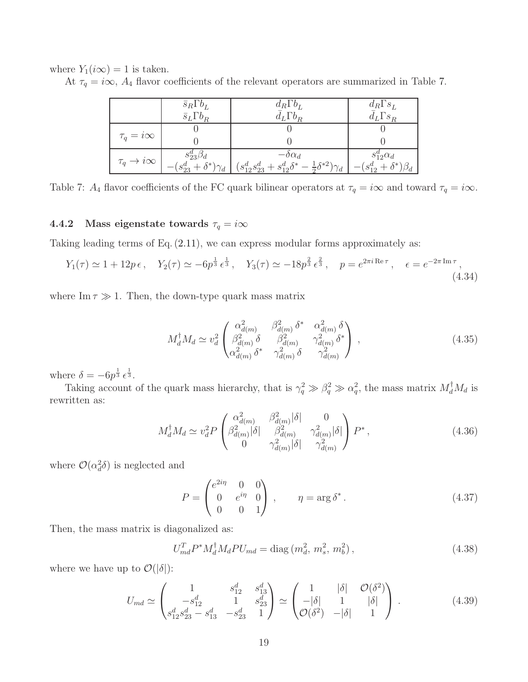where  $Y_1(i\infty) = 1$  is taken.

At  $\tau_q = i\infty$ ,  $A_4$  flavor coefficients of the relevant operators are summarized in Table [7.](#page-19-1)

|                              | $\bar{s}_R\Gamma b_L$            | $d_R \Gamma b_L$                                                             | $d_R \Gamma s_L$                |
|------------------------------|----------------------------------|------------------------------------------------------------------------------|---------------------------------|
|                              | $\bar{s}_L \Gamma b_R$           | $d_L \Gamma b_R$                                                             | $d_L \Gamma s_R$                |
|                              |                                  |                                                                              |                                 |
| $\tau_q = i\infty$           |                                  |                                                                              |                                 |
|                              | $s^a_{23}\beta_d$                | $-\delta \alpha_d$                                                           | $s_{12}^a \alpha_d$             |
| $\tau_q \rightarrow i\infty$ | $-(s_{23}^d + \delta^*)\gamma_d$ | $(s_{12}^d s_{23}^d + s_{12}^d \delta^* - \frac{1}{2} \delta^{*2}) \gamma_d$ | $-(s_{12}^d + \delta^*)\beta_d$ |

<span id="page-19-1"></span>Table 7:  $A_4$  flavor coefficients of the FC quark bilinear operators at  $\tau_q = i\infty$  and toward  $\tau_q = i\infty$ .

### <span id="page-19-0"></span>4.4.2 Mass eigenstate towards  $\tau_q = i\infty$

Taking leading terms of Eq. [\(2.11\)](#page-7-2), we can express modular forms approximately as:

$$
Y_1(\tau) \simeq 1 + 12p\,\epsilon \,, \quad Y_2(\tau) \simeq -6p^{\frac{1}{3}}\,\epsilon^{\frac{1}{3}} \,, \quad Y_3(\tau) \simeq -18p^{\frac{2}{3}}\,\epsilon^{\frac{2}{3}} \,, \quad p = e^{2\pi i \,\text{Re}\,\tau} \,, \quad \epsilon = e^{-2\pi \,\text{Im}\,\tau} \,, \tag{4.34}
$$

where  $\text{Im}\,\tau \gg 1$ . Then, the down-type quark mass matrix

$$
M_d^{\dagger} M_d \simeq v_d^2 \begin{pmatrix} \alpha_{d(m)}^2 & \beta_{d(m)}^2 \delta^* & \alpha_{d(m)}^2 \delta \\ \beta_{d(m)}^2 \delta & \beta_{d(m)}^2 & \gamma_{d(m)}^2 \delta^* \\ \alpha_{d(m)}^2 \delta^* & \gamma_{d(m)}^2 \delta & \gamma_{d(m)}^2 \end{pmatrix} ,
$$
 (4.35)

where  $\delta = -6p^{\frac{1}{3}} \epsilon^{\frac{1}{3}}$ .

Taking account of the quark mass hierarchy, that is  $\gamma_q^2 \gg \beta_q^2 \gg \alpha_q^2$ , the mass matrix  $M_d^{\dagger} M_d$  is rewritten as:

$$
M_d^{\dagger} M_d \simeq v_d^2 P \begin{pmatrix} \alpha_{d(m)}^2 & \beta_{d(m)}^2 |\delta| & 0\\ \beta_{d(m)}^2 |\delta| & \beta_{d(m)}^2 & \gamma_{d(m)}^2 |\delta|\\ 0 & \gamma_{d(m)}^2 |\delta| & \gamma_{d(m)}^2 \end{pmatrix} P^*,
$$
 (4.36)

where  $\mathcal{O}(\alpha_d^2 \delta)$  is neglected and

$$
P = \begin{pmatrix} e^{2i\eta} & 0 & 0 \\ 0 & e^{i\eta} & 0 \\ 0 & 0 & 1 \end{pmatrix}, \qquad \eta = \arg \delta^*.
$$
 (4.37)

Then, the mass matrix is diagonalized as:

$$
U_{md}^T P^* M_d^{\dagger} M_d P U_{md} = \text{diag}(m_d^2, m_s^2, m_b^2), \qquad (4.38)
$$

where we have up to  $\mathcal{O}(|\delta|)$ :

$$
U_{md} \simeq \begin{pmatrix} 1 & s_{12}^d & s_{13}^d \\ -s_{12}^d & 1 & s_{23}^d \\ s_{12}^d s_{23}^d - s_{13}^d & -s_{23}^d & 1 \end{pmatrix} \simeq \begin{pmatrix} 1 & |\delta| & \mathcal{O}(\delta^2) \\ -|\delta| & 1 & |\delta| \\ \mathcal{O}(\delta^2) & -|\delta| & 1 \end{pmatrix} . \tag{4.39}
$$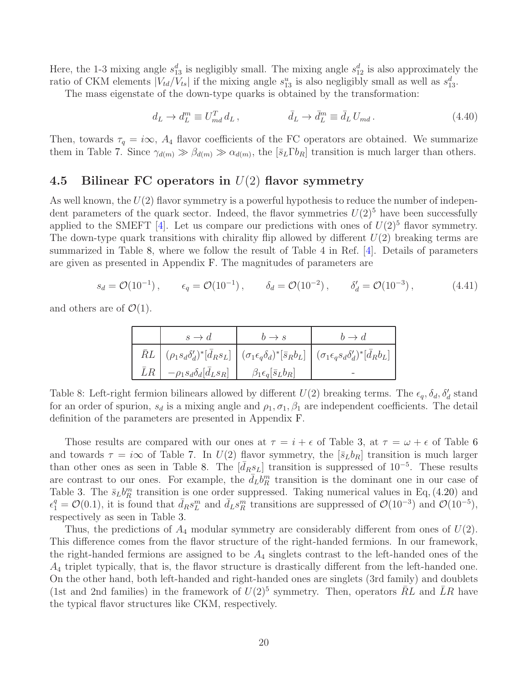Here, the 1-3 mixing angle  $s_{13}^d$  is negligibly small. The mixing angle  $s_{12}^d$  is also approximately the ratio of CKM elements  $|V_{td}/V_{ts}|$  if the mixing angle  $s_{13}^u$  is also negligibly small as well as  $s_{13}^d$ .

The mass eigenstate of the down-type quarks is obtained by the transformation:

<span id="page-20-2"></span>
$$
d_L \to d_L^m \equiv U_{md}^T d_L, \qquad \qquad \bar{d}_L \to \bar{d}_L^m \equiv \bar{d}_L U_{md} \,. \tag{4.40}
$$

Then, towards  $\tau_q = i\infty$ ,  $A_4$  flavor coefficients of the FC operators are obtained. We summarize them in Table [7.](#page-19-1) Since  $\gamma_{d(m)} \gg \beta_{d(m)} \gg \alpha_{d(m)}$ , the  $[\bar{s}_L \Gamma b_R]$  transition is much larger than others.

#### <span id="page-20-0"></span>4.5 Bilinear FC operators in  $U(2)$  flavor symmetry

As well known, the  $U(2)$  flavor symmetry is a powerful hypothesis to reduce the number of independent parameters of the quark sector. Indeed, the flavor symmetries  $U(2)^5$  have been successfully applied to the SMEFT [\[4\]](#page-41-3). Let us compare our predictions with ones of  $U(2)^5$  flavor symmetry. The down-type quark transitions with chirality flip allowed by different  $U(2)$  breaking terms are summarized in Table [8,](#page-20-1) where we follow the result of Table 4 in Ref. [\[4\]](#page-41-3). Details of parameters are given as presented in Appendix [F.](#page-40-0) The magnitudes of parameters are

$$
s_d = \mathcal{O}(10^{-1}), \qquad \epsilon_q = \mathcal{O}(10^{-1}), \qquad \delta_d = \mathcal{O}(10^{-2}), \qquad \delta_d' = \mathcal{O}(10^{-3}), \qquad (4.41)
$$

and others are of  $\mathcal{O}(1)$ .

| $s \to d$                                                                              | $h \rightarrow s$ | $b \rightarrow d$                                                                                                                                                                           |
|----------------------------------------------------------------------------------------|-------------------|---------------------------------------------------------------------------------------------------------------------------------------------------------------------------------------------|
|                                                                                        |                   | $\bar{R}L \ \left  \ (\rho_1s_d\delta_d')^*[\bar{d}_R s_L] \ \right  \ (\sigma_1\epsilon_q\delta_d)^*[\bar{s}_R b_L] \ \left  \ (\sigma_1\epsilon_q s_d\delta_d')^*[\bar{d}_R b_L] \right.$ |
| $\bar{L}R$ $-\rho_1 s_d \delta_d [\bar{d}_L s_R]$ $\beta_1 \epsilon_q [\bar{s}_L b_R]$ |                   |                                                                                                                                                                                             |

<span id="page-20-1"></span>Table 8: Left-right fermion bilinears allowed by different  $U(2)$  breaking terms. The  $\epsilon_q$ ,  $\delta_d$ ,  $\delta'_d$  stand for an order of spurion,  $s_d$  is a mixing angle and  $\rho_1, \sigma_1, \beta_1$  are independent coefficients. The detail definition of the parameters are presented in Appendix [F.](#page-40-0)

Those results are compared with our ones at  $\tau = i + \epsilon$  of Table [3,](#page-15-0) at  $\tau = \omega + \epsilon$  of Table [6](#page-18-2) and towards  $\tau = i\infty$  of Table [7.](#page-19-1) In  $U(2)$  flavor symmetry, the  $[\bar{s}_L b_R]$  transition is much larger than other ones as seen in Table [8.](#page-20-1) The  $[\bar{d}_R s_L]$  transition is suppressed of 10<sup>-5</sup>. These results are contrast to our ones. For example, the  $\bar{d}_L b_R^m$  transition is the dominant one in our case of Table [3.](#page-15-0) The  $\bar{s}_L b_R^m$  transition is one order suppressed. Taking numerical values in Eq, [\(4.20\)](#page-15-2) and  $\epsilon_1^q = \mathcal{O}(0.1)$ , it is found that  $\bar{d}_R s_L^m$  and  $\bar{d}_L s_R^m$  transitions are suppressed of  $\mathcal{O}(10^{-3})$  and  $\mathcal{O}(10^{-5})$ , respectively as seen in Table [3.](#page-15-0)

Thus, the predictions of  $A_4$  modular symmetry are considerably different from ones of  $U(2)$ . This difference comes from the flavor structure of the right-handed fermions. In our framework, the right-handed fermions are assigned to be  $A_4$  singlets contrast to the left-handed ones of the  $A_4$  triplet typically, that is, the flavor structure is drastically different from the left-handed one. On the other hand, both left-handed and right-handed ones are singlets (3rd family) and doublets (1st and 2nd families) in the framework of  $U(2)^5$  symmetry. Then, operators  $\overline{R}L$  and  $\overline{L}R$  have the typical flavor structures like CKM, respectively.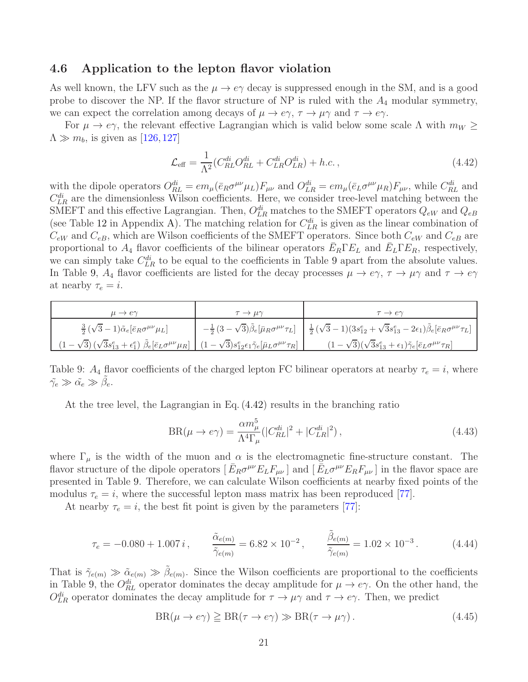#### <span id="page-21-0"></span>4.6 Application to the lepton flavor violation

As well known, the LFV such as the  $\mu \to e\gamma$  decay is suppressed enough in the SM, and is a good probe to discover the NP. If the flavor structure of NP is ruled with the  $A_4$  modular symmetry, we can expect the correlation among decays of  $\mu \to e\gamma$ ,  $\tau \to \mu\gamma$  and  $\tau \to e\gamma$ .

For  $\mu \to e\gamma$ , the relevant effective Lagrangian which is valid below some scale  $\Lambda$  with  $m_W \geq$  $\Lambda \gg m_b$ , is given as [\[126,](#page-47-4) [127\]](#page-47-5)

<span id="page-21-2"></span>
$$
\mathcal{L}_{\text{eff}} = \frac{1}{\Lambda^2} (C_{RL}^{di} O_{RL}^{di} + C_{LR}^{di} O_{LR}^{di}) + h.c.,
$$
\n(4.42)

with the dipole operators  $O_{RL}^{di} = em_{\mu} (\bar{e}_R \sigma^{\mu\nu} \mu_L) F_{\mu\nu}$  and  $O_{LR}^{di} = em_{\mu} (\bar{e}_L \sigma^{\mu\nu} \mu_R) F_{\mu\nu}$ , while  $C_{RL}^{di}$  and  $C_{LR}^{di}$  are the dimensionless Wilson coefficients. Here, we consider tree-level matching between the SMEFT and this effective Lagrangian. Then,  $O_{LR}^{di}$  matches to the SMEFT operators  $Q_{eW}$  and  $Q_{eB}$ (see Table [12](#page-32-1) in Appendix [A\)](#page-32-0). The matching relation for  $C_{LR}^{di}$  is given as the linear combination of  $C_{eW}$  and  $C_{eB}$ , which are Wilson coefficients of the SMEFT operators. Since both  $C_{eW}$  and  $C_{eB}$  are proportional to  $A_4$  flavor coefficients of the bilinear operators  $\bar{E}_R \Gamma E_L$  and  $\bar{E}_L \Gamma E_R$ , respectively, we can simply take  $C_{LR}^{di}$  to be equal to the coefficients in Table [9](#page-21-1) apart from the absolute values. In Table [9,](#page-21-1)  $A_4$  flavor coefficients are listed for the decay processes  $\mu \to e\gamma$ ,  $\tau \to \mu\gamma$  and  $\tau \to e\gamma$ at nearby  $\tau_e = i$ .

| $\frac{3}{2}(\sqrt{3}-1)\tilde{\alpha}_e[\bar{e}_R\sigma^{\mu\nu}\mu_L]$                                                                                                                                                        | $-\frac{1}{2}(3-\sqrt{3})\tilde{\beta}_{e}[\bar{\mu}_{R}\sigma^{\mu\nu}\tau_{L}] - \frac{1}{2}(\sqrt{3}-1)(3s_{12}^{e}+\sqrt{3}s_{13}^{e}-2\epsilon_{1})\tilde{\beta}_{e}[\bar{e}_{R}\sigma^{\mu\nu}\tau_{L}]$ |
|---------------------------------------------------------------------------------------------------------------------------------------------------------------------------------------------------------------------------------|----------------------------------------------------------------------------------------------------------------------------------------------------------------------------------------------------------------|
| $(1-\sqrt{3})\left(\sqrt{3}s_{13}^e+\epsilon_1^e\right)\tilde{\beta}_e\left[\bar{e}_L\sigma^{\mu\nu}\mu_R\right]\ \left[\ (1-\sqrt{3})s_{12}^e\epsilon_1\tilde{\gamma}_e\left[\bar{\mu}_L\sigma^{\mu\nu}\tau_R\right]\ \right]$ | $(1-\sqrt{3})(\sqrt{3}s_{13}^e+\epsilon_1)\tilde{\gamma}_e[\bar{e}_L\sigma^{\mu\nu}\tau_R]$                                                                                                                    |

Table 9:  $A_4$  flavor coefficients of the charged lepton FC bilinear operators at nearby  $\tau_e = i$ , where  $\tilde{\gamma_e} \gg \tilde{\alpha_e} \gg \tilde{\beta_e}.$ 

<span id="page-21-1"></span>At the tree level, the Lagrangian in Eq. [\(4.42\)](#page-21-2) results in the branching ratio

$$
BR(\mu \to e\gamma) = \frac{\alpha m_\mu^5}{\Lambda^4 \Gamma_\mu} (|C_{RL}^{di}|^2 + |C_{LR}^{di}|^2), \qquad (4.43)
$$

where  $\Gamma_{\mu}$  is the width of the muon and  $\alpha$  is the electromagnetic fine-structure constant. The flavor structure of the dipole operators  $[\bar{E}_R \sigma^{\mu\nu} E_L F_{\mu\nu}]$  and  $[\bar{E}_L \sigma^{\mu\nu} E_R F_{\mu\nu}]$  in the flavor space are presented in Table [9.](#page-21-1) Therefore, we can calculate Wilson coefficients at nearby fixed points of the modulus  $\tau_e = i$ , where the successful lepton mass matrix has been reproduced [\[77\]](#page-44-1).

At nearby  $\tau_e = i$ , the best fit point is given by the parameters [\[77\]](#page-44-1):

$$
\tau_e = -0.080 + 1.007 i, \qquad \frac{\tilde{\alpha}_{e(m)}}{\tilde{\gamma}_{e(m)}} = 6.82 \times 10^{-2}, \qquad \frac{\tilde{\beta}_{e(m)}}{\tilde{\gamma}_{e(m)}} = 1.02 \times 10^{-3}. \tag{4.44}
$$

That is  $\tilde{\gamma}_{e(m)} \gg \tilde{\beta}_{e(m)}$ . Since the Wilson coefficients are proportional to the coefficients in Table [9,](#page-21-1) the  $O_{RL}^{di}$  operator dominates the decay amplitude for  $\mu \to e\gamma$ . On the other hand, the  $O_{LR}^{di}$  operator dominates the decay amplitude for  $\tau \to \mu \gamma$  and  $\tau \to e \gamma$ . Then, we predict

$$
BR(\mu \to e\gamma) \ge BR(\tau \to e\gamma) \gg BR(\tau \to \mu\gamma). \tag{4.45}
$$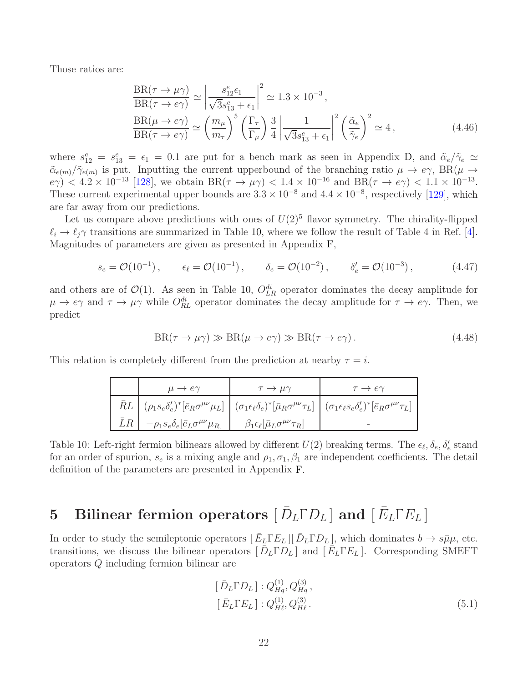Those ratios are:

$$
\frac{\text{BR}(\tau \to \mu \gamma)}{\text{BR}(\tau \to e \gamma)} \simeq \left| \frac{s_{12}^e \epsilon_1}{\sqrt{3} s_{13}^e + \epsilon_1} \right|^2 \simeq 1.3 \times 10^{-3},
$$
\n
$$
\frac{\text{BR}(\mu \to e \gamma)}{\text{BR}(\tau \to e \gamma)} \simeq \left( \frac{m_\mu}{m_\tau} \right)^5 \left( \frac{\Gamma_\tau}{\Gamma_\mu} \right) \frac{3}{4} \left| \frac{1}{\sqrt{3} s_{13}^e + \epsilon_1} \right|^2 \left( \frac{\tilde{\alpha}_e}{\tilde{\gamma}_e} \right)^2 \simeq 4,
$$
\n(4.46)

where  $s_{12}^e = s_{13}^e = \epsilon_1 = 0.1$  are put for a bench mark as seen in Appendix [D,](#page-36-1) and  $\tilde{\alpha}_e/\tilde{\gamma}_e \simeq$  $\tilde{\alpha}_{e(m)}/\tilde{\gamma}_{e(m)}$  is put. Inputting the current upperbound of the branching ratio  $\mu \to e\gamma$ , BR( $\mu \to$  $e\gamma$  < 4.2 × 10<sup>-13</sup> [\[128\]](#page-47-6), we obtain BR( $\tau \to \mu \gamma$ ) < 1.4 × 10<sup>-16</sup> and BR( $\tau \to e\gamma$ ) < 1.1 × 10<sup>-13</sup>. These current experimental upper bounds are  $3.3 \times 10^{-8}$  and  $4.4 \times 10^{-8}$ , respectively [\[129\]](#page-47-7), which are far away from our predictions.

Let us compare above predictions with ones of  $U(2)^5$  flavor symmetry. The chirality-flipped  $\ell_i \to \ell_j \gamma$  transitions are summarized in Table [10,](#page-22-1) where we follow the result of Table 4 in Ref. [\[4\]](#page-41-3). Magnitudes of parameters are given as presented in Appendix [F,](#page-40-0)

$$
s_e = \mathcal{O}(10^{-1}), \qquad \epsilon_\ell = \mathcal{O}(10^{-1}), \qquad \delta_e = \mathcal{O}(10^{-2}), \qquad \delta'_e = \mathcal{O}(10^{-3}), \qquad (4.47)
$$

and others are of  $\mathcal{O}(1)$ . As seen in Table [10,](#page-22-1)  $O_{LR}^{di}$  operator dominates the decay amplitude for  $\mu \to e\gamma$  and  $\tau \to \mu\gamma$  while  $O_{RL}^{di}$  operator dominates the decay amplitude for  $\tau \to e\gamma$ . Then, we predict

$$
BR(\tau \to \mu \gamma) \gg BR(\mu \to e \gamma) \gg BR(\tau \to e \gamma).
$$
 (4.48)

This relation is completely different from the prediction at nearby  $\tau = i$ .

|                                                                | $\bar{\phantom{a}}$ $\phantom{a}$ $\rightarrow$ $\mu\gamma$ |                                                                                                                                                                                                                                           |
|----------------------------------------------------------------|-------------------------------------------------------------|-------------------------------------------------------------------------------------------------------------------------------------------------------------------------------------------------------------------------------------------|
|                                                                |                                                             | $\bar{R}L \mid (\rho_1 s_e \delta'_e)^* [\bar{e}_R \sigma^{\mu\nu} \mu_L] \mid (\sigma_1 \epsilon_\ell \delta_e)^* [\bar{\mu}_R \sigma^{\mu\nu} \tau_L] \mid (\sigma_1 \epsilon_\ell s_e \delta'_e)^* [\bar{e}_R \sigma^{\mu\nu} \tau_L]$ |
| $\bar{L}R$ $-\rho_1s_e\delta_e[\bar{e}_L\sigma^{\mu\nu}\mu_R]$ | $\beta_1 \epsilon_\ell [\bar\mu_L \sigma^{\mu\nu} \tau_R]$  |                                                                                                                                                                                                                                           |

<span id="page-22-1"></span>Table 10: Left-right fermion bilinears allowed by different  $U(2)$  breaking terms. The  $\epsilon_{\ell}, \delta_{e}, \delta'_{e}$  stand for an order of spurion,  $s_e$  is a mixing angle and  $\rho_1, \sigma_1, \beta_1$  are independent coefficients. The detail definition of the parameters are presented in Appendix [F.](#page-40-0)

# <span id="page-22-0"></span>5 Bilinear fermion operators  $[\bar{D}_L \Gamma D_L]$  and  $[\bar{E}_L \Gamma E_L]$

In order to study the semileptonic operators  $\left[\bar{E}_{\underline{L}}\Gamma E_{\underline{L}}\right] \left[\bar{D}_{\underline{L}}\Gamma D_{\underline{L}}\right]$ , which dominates  $b \to s\bar{\mu}\mu$ , etc. transitions, we discuss the bilinear operators  $[\bar{D}_L \Gamma D_L]$  and  $[\bar{E}_L \Gamma E_L]$ . Corresponding SMEFT operators Q including fermion bilinear are

$$
[\bar{D}_{L}\Gamma D_{L}]: Q_{Hq}^{(1)}, Q_{Hq}^{(3)},
$$
  

$$
[\bar{E}_{L}\Gamma E_{L}]: Q_{H\ell}^{(1)}, Q_{H\ell}^{(3)}.
$$
\n(5.1)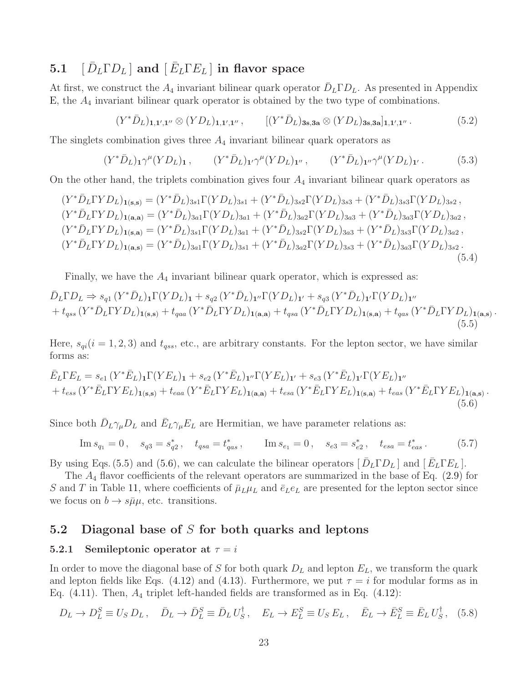## <span id="page-23-0"></span>5.1  $\left[\,\bar{D}_L\Gamma D_L\,\right]$  and  $\left[\,\bar{E}_L\Gamma E_L\,\right]$  in flavor space

At first, we construct the  $A_4$  invariant bilinear quark operator  $\bar{D}_L \Gamma D_L$ . As presented in Appendix [E,](#page-38-0) the  $A_4$  invariant bilinear quark operator is obtained by the two type of combinations.

$$
(Y^*\bar{D}_L)_{\mathbf{1},\mathbf{1}',\mathbf{1}''}\otimes(YD_L)_{\mathbf{1},\mathbf{1}',\mathbf{1}''},\qquad [(Y^*\bar{D}_L)_{\mathbf{3s},\mathbf{3a}}\otimes(YD_L)_{\mathbf{3s},\mathbf{3a}}]_{\mathbf{1},\mathbf{1}',\mathbf{1}''}.
$$
(5.2)

The singlets combination gives three  $A_4$  invariant bilinear quark operators as

$$
(Y^*\bar{D}_L)_1\gamma^{\mu}(YD_L)_1, \qquad (Y^*\bar{D}_L)_1\gamma^{\mu}(YD_L)_{1''}, \qquad (Y^*\bar{D}_L)_1\gamma^{\mu}(YD_L)_{1'}.
$$
 (5.3)

On the other hand, the triplets combination gives four  $A_4$  invariant bilinear quark operators as

$$
(Y^*\bar{D}_L\Gamma Y D_L)_{1(s,s)} = (Y^*\bar{D}_L)_{3s1}\Gamma (Y D_L)_{3s1} + (Y^*\bar{D}_L)_{3s2}\Gamma (Y D_L)_{3s3} + (Y^*\bar{D}_L)_{3s3}\Gamma (Y D_L)_{3s2},
$$
  
\n
$$
(Y^*\bar{D}_L\Gamma Y D_L)_{1(a,a)} = (Y^*\bar{D}_L)_{3a1}\Gamma (Y D_L)_{3a1} + (Y^*\bar{D}_L)_{3a2}\Gamma (Y D_L)_{3a3} + (Y^*\bar{D}_L)_{3a3}\Gamma (Y D_L)_{3a2},
$$
  
\n
$$
(Y^*\bar{D}_L\Gamma Y D_L)_{1(s,a)} = (Y^*\bar{D}_L)_{3s1}\Gamma (Y D_L)_{3a1} + (Y^*\bar{D}_L)_{3s2}\Gamma (Y D_L)_{3a3} + (Y^*\bar{D}_L)_{3s3}\Gamma (Y D_L)_{3a2},
$$
  
\n
$$
(Y^*\bar{D}_L\Gamma Y D_L)_{1(a,s)} = (Y^*\bar{D}_L)_{3a1}\Gamma (Y D_L)_{3s1} + (Y^*\bar{D}_L)_{3a2}\Gamma (Y D_L)_{3s3} + (Y^*\bar{D}_L)_{3a3}\Gamma (Y D_L)_{3s2}.
$$
  
\n
$$
(5.4)
$$

Finally, we have the  $A_4$  invariant bilinear quark operator, which is expressed as:

$$
\bar{D}_{L}\Gamma D_{L} \Rightarrow s_{q1}(Y^{*}\bar{D}_{L})_{1}\Gamma(YD_{L})_{1} + s_{q2}(Y^{*}\bar{D}_{L})_{1}{}^{\prime\prime}\Gamma(YD_{L})_{1}{}^{\prime} + s_{q3}(Y^{*}\bar{D}_{L})_{1}{}^{\prime}\Gamma(YD_{L})_{1}{}^{\prime\prime} \n+ t_{qss}(Y^{*}\bar{D}_{L}\Gamma YD_{L})_{1(s,s)} + t_{qaa}(Y^{*}\bar{D}_{L}\Gamma YD_{L})_{1(a,a)} + t_{qsa}(Y^{*}\bar{D}_{L}\Gamma YD_{L})_{1(s,a)} + t_{qas}(Y^{*}\bar{D}_{L}\Gamma YD_{L})_{1(a,s)}
$$
\n(5.5)

<span id="page-23-4"></span><span id="page-23-3"></span>.

Here,  $s_{qi}(i = 1, 2, 3)$  and  $t_{qss}$ , etc., are arbitrary constants. For the lepton sector, we have similar forms as:

$$
\bar{E}_{L}\Gamma E_{L} = s_{e1} (Y^{*}\bar{E}_{L})_{1}\Gamma(YE_{L})_{1} + s_{e2} (Y^{*}\bar{E}_{L})_{1} \cdot \Gamma(YE_{L})_{1} + s_{e3} (Y^{*}\bar{E}_{L})_{1} \cdot \Gamma(YE_{L})_{1} \cdot \n+ t_{ess} (Y^{*}\bar{E}_{L}\Gamma YE_{L})_{1(s,s)} + t_{eas} (Y^{*}\bar{E}_{L}\Gamma YE_{L})_{1(s,s)} + t_{eas} (Y^{*}\bar{E}_{L}\Gamma YE_{L})_{1(s,s)} \tag{5.6}
$$

Since both  $\bar{D}_L \gamma_\mu D_L$  and  $\bar{E}_L \gamma_\mu E_L$  are Hermitian, we have parameter relations as:

$$
\text{Im}\, s_{q_1} = 0 \,, \quad s_{q_3} = s_{q_2}^* \,, \quad t_{qsa} = t_{qas}^* \,, \qquad \text{Im}\, s_{e_1} = 0 \,, \quad s_{e_3} = s_{e_2}^* \,, \quad t_{esa} = t_{eas}^* \,. \tag{5.7}
$$

By using Eqs. [\(5.5\)](#page-23-3) and [\(5.6\)](#page-23-4), we can calculate the bilinear operators  $[\bar{D}_L \Gamma D_L]$  and  $[\bar{E}_L \Gamma E_L]$ .

The  $A_4$  flavor coefficients of the relevant operators are summarized in the base of Eq.  $(2.9)$  for S and T in Table [11,](#page-24-0) where coefficients of  $\bar{\mu}_L \mu_L$  and  $\bar{e}_L e_L$  are presented for the lepton sector since we focus on  $b \to s\bar{\mu}\mu$ , etc. transitions.

#### <span id="page-23-2"></span><span id="page-23-1"></span>5.2 Diagonal base of S for both quarks and leptons

#### 5.2.1 Semileptonic operator at  $\tau = i$

In order to move the diagonal base of S for both quark  $D<sub>L</sub>$  and lepton  $E<sub>L</sub>$ , we transform the quark and lepton fields like Eqs. [\(4.12\)](#page-13-1) and [\(4.13\)](#page-13-4). Furthermore, we put  $\tau = i$  for modular forms as in Eq.  $(4.11)$ . Then,  $A_4$  triplet left-handed fields are transformed as in Eq.  $(4.12)$ :

$$
D_L \to D_L^S \equiv U_S D_L, \quad \bar{D}_L \to \bar{D}_L^S \equiv \bar{D}_L U_S^{\dagger}, \quad E_L \to E_L^S \equiv U_S E_L, \quad \bar{E}_L \to \bar{E}_L^S \equiv \bar{E}_L U_S^{\dagger}, \quad (5.8)
$$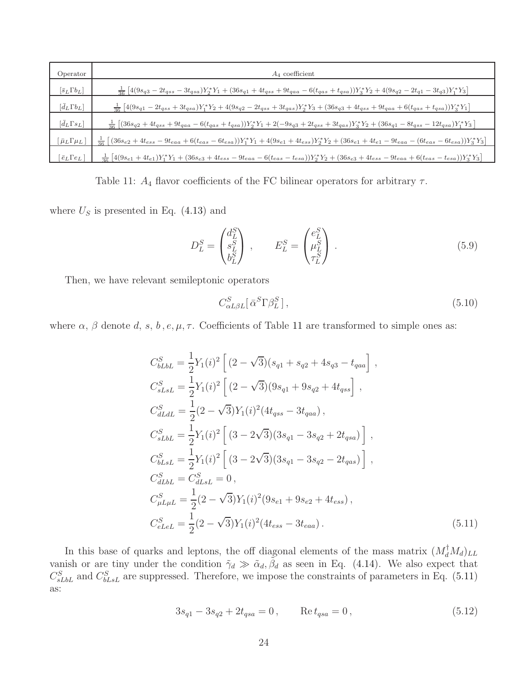| Operator                           | $A_4$ coefficient                                                                                                                                                                    |
|------------------------------------|--------------------------------------------------------------------------------------------------------------------------------------------------------------------------------------|
| $\left[\bar{s}_L\Gamma b_L\right]$ | $\frac{1}{36}\left[4(9s_{q3}-2t_{qss}-3t_{qss})Y_{2}^{*}Y_{1}+(36s_{q1}+4t_{qss}+9t_{qaa}-6(t_{qas}+t_{qsa}))Y_{3}^{*}Y_{2}+4(9s_{q2}-2t_{q1}-3t_{q3})Y_{1}^{*}Y_{3}\right]$         |
| $\left[d_L\Gamma b_L\right]$       | $\frac{1}{36}\left[4(9sq_1 - 2t_{qss} + 3t_{qss})Y_1^*Y_2 + 4(9sq_2 - 2t_{qss} + 3t_{qas})Y_2^*Y_3 + (36sq_3 + 4t_{qss} + 9t_{qaa} + 6(t_{qas} + t_{qsa}))Y_3^*Y_1\right]$           |
| $[\bar{d}_L \Gamma s_L]$           | $\frac{1}{36}\left[ (36s_{q2} + 4t_{qss} + 9t_{qaa} - 6(t_{qas} + t_{qsa}))Y_2^*Y_1 + 2(-9s_{q3} + 2t_{qss} + 3t_{qas})Y_3^*Y_2 + (36s_{q1} - 8t_{qss} - 12t_{qsa})Y_1^*Y_3 \right]$ |
| $\bar\mu_L\Gamma\mu_L$             | $[(36s_{e2}+4t_{ess}-9t_{eas}+6(t_{eas}-6t_{esa}))Y_1^*Y_1+4(9s_{e1}+4t_{ess})Y_2^*Y_2+(36s_{e1}+4t_{e1}-9t_{eas}-(6t_{eas}-6t_{esa}))Y_3^*Y_3]$<br>$rac{1}{36}$                     |
| $[\, \bar{e}_L \Gamma e_L \,]$     | $\frac{1}{36}\left[4(9s_{e1}+4t_{e1})Y_1^*Y_1+(36s_{e3}+4t_{ess}-9t_{eaa}-6(t_{eas}-t_{esa}))Y_2^*Y_2+(36s_{e3}+4t_{ess}-9t_{eaa}+6(t_{eas}-t_{esa}))Y_3^*Y_3\right]$                |

<span id="page-24-0"></span>Table 11:  $A_4$  flavor coefficients of the FC bilinear operators for arbitrary  $\tau$ .

where  $U<sub>S</sub>$  is presented in Eq. [\(4.13\)](#page-13-4) and

$$
D_L^S = \begin{pmatrix} d_L^S \\ s_L^S \\ b_L^S \end{pmatrix} , \qquad E_L^S = \begin{pmatrix} e_L^S \\ \mu_L^S \\ \tau_L^S \end{pmatrix} . \tag{5.9}
$$

Then, we have relevant semileptonic operators

$$
C_{\alpha L\beta L}^S[\,\bar{\alpha}^S\Gamma\beta_L^S\,]\,,\tag{5.10}
$$

where  $\alpha$ ,  $\beta$  denote d, s, b, e,  $\mu$ ,  $\tau$ . Coefficients of Table [11](#page-24-0) are transformed to simple ones as:

$$
C_{bLbL}^{S} = \frac{1}{2}Y_{1}(i)^{2} \left[ (2 - \sqrt{3})(s_{q1} + s_{q2} + 4s_{q3} - t_{qaa}) \right],
$$
  
\n
$$
C_{sLsL}^{S} = \frac{1}{2}Y_{1}(i)^{2} \left[ (2 - \sqrt{3})(9s_{q1} + 9s_{q2} + 4t_{qss}) \right],
$$
  
\n
$$
C_{dLdL}^{S} = \frac{1}{2}(2 - \sqrt{3})Y_{1}(i)^{2} (4t_{qss} - 3t_{qaa}),
$$
  
\n
$$
C_{sLbL}^{S} = \frac{1}{2}Y_{1}(i)^{2} \left[ (3 - 2\sqrt{3})(3s_{q1} - 3s_{q2} + 2t_{qsa}) \right],
$$
  
\n
$$
C_{bLsL}^{S} = \frac{1}{2}Y_{1}(i)^{2} \left[ (3 - 2\sqrt{3})(3s_{q1} - 3s_{q2} - 2t_{qas}) \right],
$$
  
\n
$$
C_{dLbL}^{S} = C_{dLsL}^{S} = 0,
$$
  
\n
$$
C_{\mu L\mu L}^{S} = \frac{1}{2}(2 - \sqrt{3})Y_{1}(i)^{2}(9s_{e1} + 9s_{e2} + 4t_{ess}),
$$
  
\n
$$
C_{eLeL}^{S} = \frac{1}{2}(2 - \sqrt{3})Y_{1}(i)^{2}(4t_{ess} - 3t_{eaa}).
$$
  
\n(5.11)

In this base of quarks and leptons, the off diagonal elements of the mass matrix  $(M_d^{\dagger}M_d)_{LL}$ vanish or are tiny under the condition  $\tilde{\gamma}_d \gg \tilde{\alpha}_d$ ,  $\tilde{\beta}_d$  as seen in Eq. [\(4.14\)](#page-13-2). We also expect that  $C_{sLbL}^S$  and  $C_{bLsL}^S$  are suppressed. Therefore, we impose the constraints of parameters in Eq. [\(5.11\)](#page-24-1) as:

<span id="page-24-2"></span><span id="page-24-1"></span>
$$
3s_{q1} - 3s_{q2} + 2t_{qsa} = 0, \qquad \text{Re}\,t_{qsa} = 0,\tag{5.12}
$$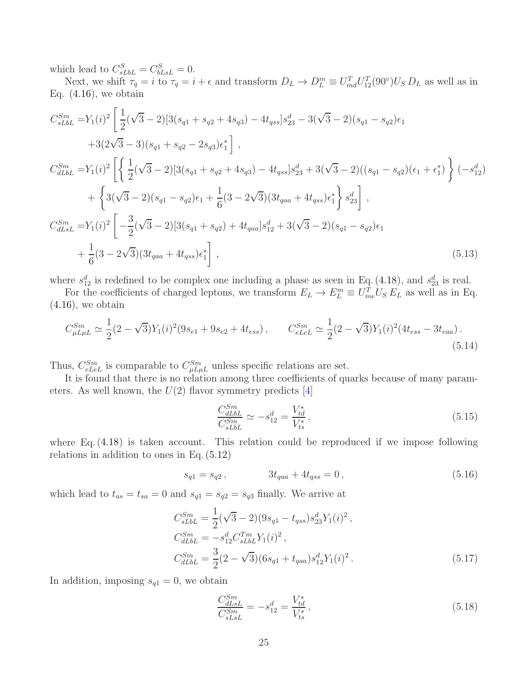which lead to  $C_{sLbL}^S = C_{bLsL}^S = 0$ .

Next, we shift  $\tau_q = i$  to  $\tau_q = i + \epsilon$  and transform  $D_L \to D_L^m \equiv U_{md}^T U_{12}^T (90^\circ) U_S D_L$  as well as in Eq.  $(4.16)$ , we obtain

$$
C_{sLbL}^{Sm} = Y_1(i)^2 \left[ \frac{1}{2} (\sqrt{3} - 2) [3(s_{q1} + s_{q2} + 4s_{q3}) - 4t_{qss}] s_{23}^d - 3(\sqrt{3} - 2)(s_{q1} - s_{q2}) \epsilon_1 + 3(2\sqrt{3} - 3)(s_{q1} + s_{q2} - 2s_{q3}) \epsilon_1^* \right],
$$
  

$$
C_{dLbL}^{Sm} = Y_1(i)^2 \left[ \left\{ \frac{1}{2} (\sqrt{3} - 2) [3(s_{q1} + s_{q2} + 4s_{q3}) - 4t_{qss}] s_{23}^d + 3(\sqrt{3} - 2)((s_{q1} - s_{q2})(\epsilon_1 + \epsilon_1^*) \right\} (-s_{12}^d) + \left\{ 3(\sqrt{3} - 2)(s_{q1} - s_{q2}) \epsilon_1 + \frac{1}{6} (3 - 2\sqrt{3}) (3t_{qaa} + 4t_{qss}) \epsilon_1^* \right\} s_{23}^d \right],
$$
  

$$
C_{dLsL}^{Sm} = Y_1(i)^2 \left[ -\frac{3}{2} (\sqrt{3} - 2) [3(s_{q1} + s_{q2}) + 4t_{qaa}] s_{12}^d + 3(\sqrt{3} - 2)(s_{q1} - s_{q2}) \epsilon_1 + \frac{1}{6} (3 - 2\sqrt{3}) (3t_{qaa} + 4t_{qss}) \epsilon_1^* \right],
$$
  
(5.13)

where  $s_{12}^d$  is redefined to be complex one including a phase as seen in Eq. [\(4.18\)](#page-14-2), and  $s_{23}^d$  is real.

For the coefficients of charged leptons, we transform  $E_L \to E_L^m \equiv U_{me}^T U_S E_L$  as well as in Eq.  $(4.16)$ , we obtain

$$
C_{\mu L \mu L}^{Sm} \simeq \frac{1}{2} (2 - \sqrt{3}) Y_1(i)^2 (9 s_{e1} + 9 s_{e2} + 4 t_{ess}), \qquad C_{e L e L}^{Sm} \simeq \frac{1}{2} (2 - \sqrt{3}) Y_1(i)^2 (4 t_{ess} - 3 t_{eaa}).
$$
\n(5.14)

Thus,  $C_{eLeL}^{Sm}$  is comparable to  $C_{\mu L\mu L}^{Sm}$  unless specific relations are set.

It is found that there is no relation among three coefficients of quarks because of many parameters. As well known, the  $U(2)$  flavor symmetry predicts [\[4\]](#page-41-3)

<span id="page-25-1"></span><span id="page-25-0"></span>
$$
\frac{C_{dLbL}^{Sm}}{C_{sLbL}^{Sm}} \simeq -s_{12}^d = \frac{V_{td}^*}{V_{ts}^*},
$$
\n(5.15)

where Eq.  $(4.18)$  is taken account. This relation could be reproduced if we impose following relations in addition to ones in Eq. [\(5.12\)](#page-24-2)

$$
s_{q1} = s_{q2}, \t 3t_{qaa} + 4t_{qss} = 0, \t (5.16)
$$

which lead to  $t_{as} = t_{sa} = 0$  and  $s_{q1} = s_{q2} = s_{q3}$  finally. We arrive at

$$
C_{sLbL}^{Sm} = \frac{1}{2} (\sqrt{3} - 2)(9s_{q1} - t_{qss}) s_{23}^d Y_1 (i)^2 ,
$$
  
\n
$$
C_{dLbL}^{Sm} = -s_{12}^d C_{sLbL}^{Tm} Y_1 (i)^2 ,
$$
  
\n
$$
C_{dLbL}^{Sm} = \frac{3}{2} (2 - \sqrt{3})(6s_{q1} + t_{qaa}) s_{12}^d Y_1 (i)^2 .
$$
\n(5.17)

In addition, imposing  $s_{q1} = 0$ , we obtain

$$
\frac{C_{dLsL}^{Sm}}{C_{sLsL}^{Sm}} = -s_{12}^d = \frac{V_{td}^*}{V_{ts}^*},\tag{5.18}
$$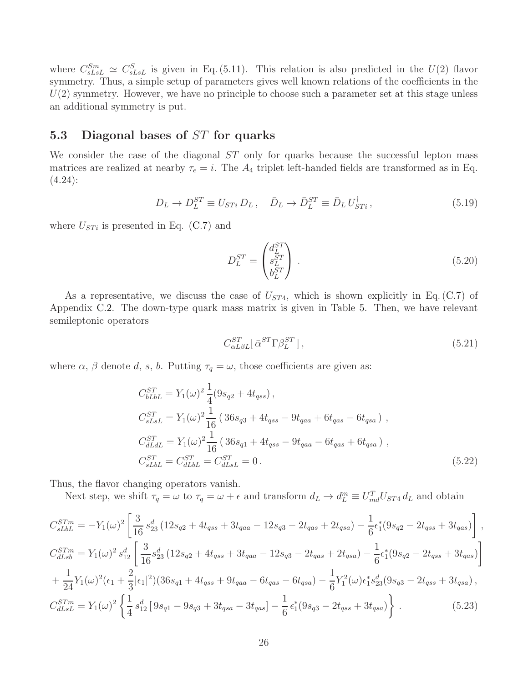where  $C_{sLsL}^{Sm} \simeq C_{sLsL}^{S}$  is given in Eq. [\(5.11\)](#page-24-1). This relation is also predicted in the  $U(2)$  flavor symmetry. Thus, a simple setup of parameters gives well known relations of the coefficients in the  $U(2)$  symmetry. However, we have no principle to choose such a parameter set at this stage unless an additional symmetry is put.

### <span id="page-26-0"></span>5.3 Diagonal bases of ST for quarks

We consider the case of the diagonal ST only for quarks because the successful lepton mass matrices are realized at nearby  $\tau_e = i$ . The  $A_4$  triplet left-handed fields are transformed as in Eq.  $(4.24):$  $(4.24):$ 

$$
D_L \to D_L^{ST} \equiv U_{STi} D_L \,, \quad \bar{D}_L \to \bar{D}_L^{ST} \equiv \bar{D}_L U_{STi}^{\dagger} \,, \tag{5.19}
$$

where  $U_{STi}$  is presented in Eq. [\(C.7\)](#page-35-1) and

$$
D_L^{ST} = \begin{pmatrix} d_L^{ST} \\ s_L^{ST} \\ b_L^{ST} \end{pmatrix} . \tag{5.20}
$$

As a representative, we discuss the case of  $U_{ST4}$ , which is shown explicitly in Eq. [\(C.7\)](#page-35-1) of Appendix [C.2.](#page-35-0) The down-type quark mass matrix is given in Table [5.](#page-17-0) Then, we have relevant semileptonic operators

<span id="page-26-2"></span><span id="page-26-1"></span>
$$
C_{\alpha L\beta L}^{ST}[\,\bar{\alpha}^{ST}\Gamma\beta_L^{ST}\,]\,,\tag{5.21}
$$

where  $\alpha$ ,  $\beta$  denote d, s, b. Putting  $\tau_q = \omega$ , those coefficients are given as:

$$
C_{bLbL}^{ST} = Y_1(\omega)^2 \frac{1}{4} (9s_{q2} + 4t_{qss}),
$$
  
\n
$$
C_{sLsL}^{ST} = Y_1(\omega)^2 \frac{1}{16} (36s_{q3} + 4t_{qss} - 9t_{qaa} + 6t_{qas} - 6t_{qsa}),
$$
  
\n
$$
C_{dLdL}^{ST} = Y_1(\omega)^2 \frac{1}{16} (36s_{q1} + 4t_{qss} - 9t_{qaa} - 6t_{qas} + 6t_{qsa}),
$$
  
\n
$$
C_{sLbL}^{ST} = C_{dLbL}^{ST} = C_{dLsL}^{ST} = 0.
$$
\n(5.22)

Thus, the flavor changing operators vanish.

Next step, we shift  $\tau_q = \omega$  to  $\tau_q = \omega + \epsilon$  and transform  $d_L \to d_L^m \equiv U_{md}^T U_{ST4} d_L$  and obtain

$$
C_{sLbL}^{STm} = -Y_1(\omega)^2 \left[ \frac{3}{16} s_{23}^d (12s_{q2} + 4t_{qss} + 3t_{qaa} - 12s_{q3} - 2t_{qas} + 2t_{qsa}) - \frac{1}{6} \epsilon_1^*(9s_{q2} - 2t_{qss} + 3t_{qas}) \right],
$$
  
\n
$$
C_{dLsb}^{STm} = Y_1(\omega)^2 s_{12}^d \left[ \frac{3}{16} s_{23}^d (12s_{q2} + 4t_{qss} + 3t_{qaa} - 12s_{q3} - 2t_{qas} + 2t_{qsa}) - \frac{1}{6} \epsilon_1^*(9s_{q2} - 2t_{qss} + 3t_{qas}) \right]
$$
  
\n
$$
+ \frac{1}{24} Y_1(\omega)^2 (\epsilon_1 + \frac{2}{3} |\epsilon_1|^2) (36s_{q1} + 4t_{qss} + 9t_{qaa} - 6t_{qas} - 6t_{qsa}) - \frac{1}{6} Y_1^2(\omega) \epsilon_1^* s_{23}^d (9s_{q3} - 2t_{qss} + 3t_{qsa}),
$$
  
\n
$$
C_{dLsL}^{STm} = Y_1(\omega)^2 \left\{ \frac{1}{4} s_{12}^d [9s_{q1} - 9s_{q3} + 3t_{qsa} - 3t_{qas}] - \frac{1}{6} \epsilon_1^*(9s_{q3} - 2t_{qss} + 3t_{qsa}) \right\}.
$$
 (5.23)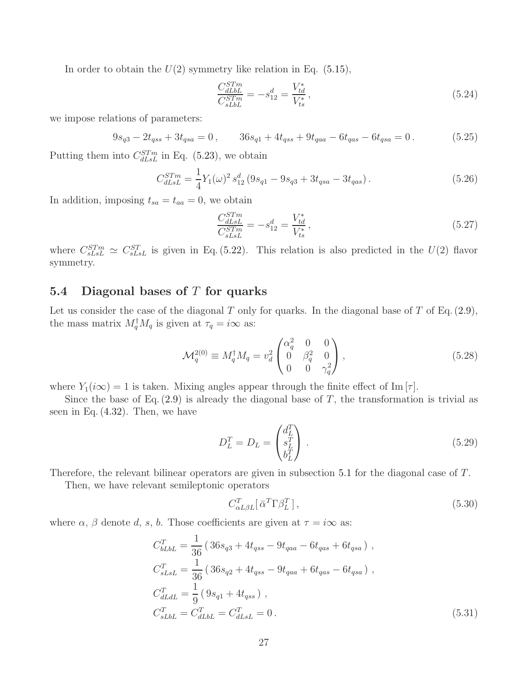In order to obtain the  $U(2)$  symmetry like relation in Eq.  $(5.15)$ ,

$$
\frac{C_{dLbL}^{STm}}{C_{sLbL}^{STm}} = -s_{12}^d = \frac{V_{td}^*}{V_{ts}^*},\tag{5.24}
$$

we impose relations of parameters:

$$
9s_{q3} - 2t_{qss} + 3t_{qsa} = 0, \t 36s_{q1} + 4t_{qss} + 9t_{qaa} - 6t_{qas} - 6t_{qsa} = 0.
$$
(5.25)

Putting them into  $C_{dLsL}^{STm}$  in Eq. [\(5.23\)](#page-26-1), we obtain

$$
C_{dLsL}^{STm} = \frac{1}{4} Y_1(\omega)^2 s_{12}^d \left( 9s_{q1} - 9s_{q3} + 3t_{qsa} - 3t_{qas} \right).
$$
 (5.26)

In addition, imposing  $t_{sa} = t_{aa} = 0$ , we obtain

$$
\frac{C_{dLS}}{C_{SLm}^{STm}} = -s_{12}^d = \frac{V_{td}^*}{V_{ts}^*},\tag{5.27}
$$

where  $C_{sLsL}^{STm} \simeq C_{sLsL}^{ST}$  is given in Eq. [\(5.22\)](#page-26-2). This relation is also predicted in the  $U(2)$  flavor symmetry.

### <span id="page-27-0"></span>5.4 Diagonal bases of  $T$  for quarks

Let us consider the case of the diagonal T only for quarks. In the diagonal base of T of Eq.  $(2.9)$ , the mass matrix  $M_q^{\dagger} M_q$  is given at  $\tau_q = i\infty$  as:

$$
\mathcal{M}_q^{2(0)} \equiv M_q^{\dagger} M_q = v_d^2 \begin{pmatrix} \alpha_q^2 & 0 & 0 \\ 0 & \beta_q^2 & 0 \\ 0 & 0 & \gamma_q^2 \end{pmatrix},
$$
\n(5.28)

where  $Y_1(i\infty) = 1$  is taken. Mixing angles appear through the finite effect of Im  $[\tau]$ .

Since the base of Eq.  $(2.9)$  is already the diagonal base of T, the transformation is trivial as seen in Eq.  $(4.32)$ . Then, we have

$$
D_L^T = D_L = \begin{pmatrix} d_L^T \\ s_L^T \\ b_L^T \end{pmatrix} . \tag{5.29}
$$

Therefore, the relevant bilinear operators are given in subsection [5.1](#page-23-0) for the diagonal case of T.

Then, we have relevant semileptonic operators

$$
C_{\alpha L\beta L}^T \left[ \bar{\alpha}^T \Gamma \beta_L^T \right],\tag{5.30}
$$

where  $\alpha$ ,  $\beta$  denote d, s, b. Those coefficients are given at  $\tau = i\infty$  as:

$$
C_{bLbL}^{T} = \frac{1}{36} \left( 36s_{q3} + 4t_{qss} - 9t_{qaa} - 6t_{qas} + 6t_{qsa} \right),
$$
  
\n
$$
C_{sLsL}^{T} = \frac{1}{36} \left( 36s_{q2} + 4t_{qss} - 9t_{qaa} + 6t_{qas} - 6t_{qsa} \right),
$$
  
\n
$$
C_{dLdL}^{T} = \frac{1}{9} \left( 9s_{q1} + 4t_{qss} \right),
$$
  
\n
$$
C_{sLbL}^{T} = C_{dLbL}^{T} = C_{dLsL}^{T} = 0.
$$
\n(5.31)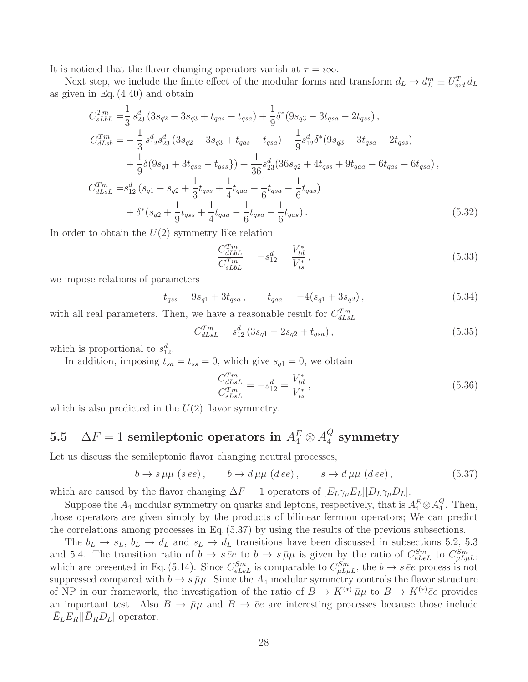It is noticed that the flavor changing operators vanish at  $\tau = i\infty$ .

Next step, we include the finite effect of the modular forms and transform  $d_L \to d_L^m \equiv U_{md}^T d_L$ as given in Eq. [\(4.40\)](#page-20-2) and obtain

$$
C_{sLbL}^{Tm} = \frac{1}{3} s_{23}^d \left( 3s_{q2} - 3s_{q3} + t_{qas} - t_{qsa} \right) + \frac{1}{9} \delta^*(9s_{q3} - 3t_{qsa} - 2t_{qss}),
$$
  
\n
$$
C_{dLsb}^{Tm} = -\frac{1}{3} s_{12}^d s_{23}^d \left( 3s_{q2} - 3s_{q3} + t_{qas} - t_{qsa} \right) - \frac{1}{9} s_{12}^d \delta^*(9s_{q3} - 3t_{qsa} - 2t_{qss})
$$
  
\n
$$
+ \frac{1}{9} \delta(9s_{q1} + 3t_{qsa} - t_{qss}) + \frac{1}{36} s_{23}^d (36s_{q2} + 4t_{qss} + 9t_{qaa} - 6t_{qas} - 6t_{qsa}),
$$
  
\n
$$
C_{dLsL}^{Tm} = s_{12}^d \left( s_{q1} - s_{q2} + \frac{1}{3} t_{qss} + \frac{1}{4} t_{qaa} + \frac{1}{6} t_{qsa} - \frac{1}{6} t_{qas} \right)
$$
  
\n
$$
+ \delta^*(s_{q2} + \frac{1}{9} t_{qss} + \frac{1}{4} t_{qaa} - \frac{1}{6} t_{qsa} - \frac{1}{6} t_{qas}).
$$
\n(5.32)

In order to obtain the  $U(2)$  symmetry like relation

$$
\frac{C_{dLbL}^{Tm}}{C_{sLbL}^{Tm}} = -s_{12}^d = \frac{V_{td}^*}{V_{ts}^*},\tag{5.33}
$$

we impose relations of parameters

$$
t_{qss} = 9s_{q1} + 3t_{qsa} , \t t_{qaa} = -4(s_{q1} + 3s_{q2}) , \t (5.34)
$$

with all real parameters. Then, we have a reasonable result for  $C_{dLsL}^{Tm}$ 

$$
C_{dLsL}^{Tm} = s_{12}^d \left( 3s_{q1} - 2s_{q2} + t_{qsa} \right), \tag{5.35}
$$

which is proportional to  $s_{12}^d$ .

In addition, imposing  $t_{sa} = t_{ss} = 0$ , which give  $s_{q1} = 0$ , we obtain

<span id="page-28-1"></span>
$$
\frac{C_{dLsL}^{Tm}}{C_{sLsL}^{Tm}} = -s_{12}^d = \frac{V_{td}^*}{V_{ts}^*},
$$
\n(5.36)

which is also predicted in the  $U(2)$  flavor symmetry.

#### <span id="page-28-0"></span> $5.5 \quad \Delta F=1 \,\, {\rm semileptonic \,\, operators \,\, in} \,\, A_4^E \otimes A_4^Q$  $\frac{Q}{4}$  symmetry

Let us discuss the semileptonic flavor changing neutral processes.

$$
b \to s \bar{\mu}\mu \ (s \bar{e}e), \qquad b \to d \bar{\mu}\mu \ (d \bar{e}e), \qquad s \to d \bar{\mu}\mu \ (d \bar{e}e), \tag{5.37}
$$

which are caused by the flavor changing  $\Delta F = 1$  operators of  $[\bar{E}_L \gamma_\mu E_L][\bar{D}_L \gamma_\mu D_L]$ .

Suppose the  $A_4$  modular symmetry on quarks and leptons, respectively, that is  $A_4^E \otimes A_4^Q$  $\frac{Q}{4}$ . Then, those operators are given simply by the products of bilinear fermion operators; We can predict the correlations among processes in Eq. [\(5.37\)](#page-28-1) by using the results of the previous subsections.

The  $b_L \rightarrow s_L$ ,  $b_L \rightarrow d_L$  and  $s_L \rightarrow d_L$  transitions have been discussed in subsections [5.2,](#page-23-1) [5.3](#page-26-0) and [5.4.](#page-27-0) The transition ratio of  $b \to s \bar{e}e$  to  $b \to s \bar{\mu}\mu$  is given by the ratio of  $C_{eL}^{Sm}$  to  $C_{\mu L\mu L}^{Sm}$ , which are presented in Eq. [\(5.14\)](#page-25-1). Since  $C_{eL}^{Sm}$  is comparable to  $C_{\mu L\mu L}^{Sm}$ , the  $b \to s \bar{e}e$  process is not suppressed compared with  $b \to s \bar{\mu}\mu$ . Since the  $A_4$  modular symmetry controls the flavor structure of NP in our framework, the investigation of the ratio of  $B \to K^{(*)} \bar{\mu}\mu$  to  $B \to K^{(*)} \bar{e}e$  provides an important test. Also  $B \to \bar{\mu}\mu$  and  $B \to \bar{e}e$  are interesting processes because those include  $\left[\bar{E}_L E_R\right] \left[\bar{D}_R D_L\right]$  operator.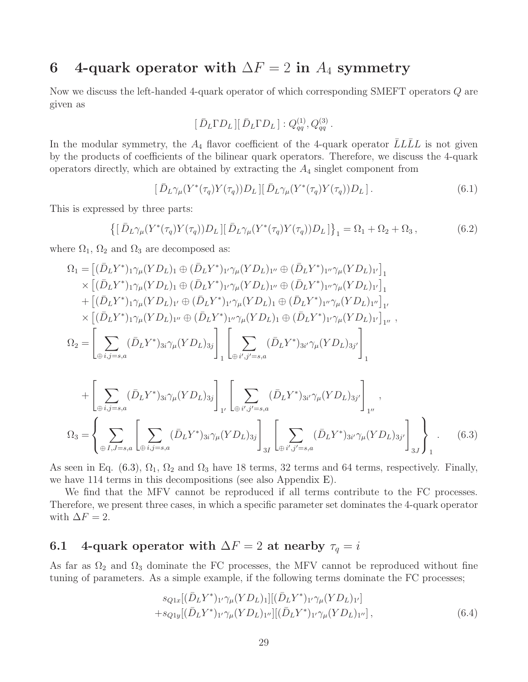## <span id="page-29-0"></span>6 4-quark operator with  $\Delta F = 2$  in  $A_4$  symmetry

Now we discuss the left-handed 4-quark operator of which corresponding SMEFT operators Q are given as

$$
[\,\bar{D}_L\Gamma D_L\,][\,\bar{D}_L\Gamma D_L\,]:Q_{qq}^{(1)},Q_{qq}^{(3)}\,.
$$

In the modular symmetry, the  $A_4$  flavor coefficient of the 4-quark operator  $\overline{L}L\overline{L}L$  is not given by the products of coefficients of the bilinear quark operators. Therefore, we discuss the 4-quark operators directly, which are obtained by extracting the  $A_4$  singlet component from

$$
\left[\bar{D}_L\gamma_\mu(Y^*(\tau_q)Y(\tau_q))D_L\right]\left[\bar{D}_L\gamma_\mu(Y^*(\tau_q)Y(\tau_q))D_L\right].\tag{6.1}
$$

This is expressed by three parts:

$$
\left\{ \left[ \bar{D}_L \gamma_\mu (Y^*(\tau_q) Y(\tau_q)) D_L \right] \left[ \bar{D}_L \gamma_\mu (Y^*(\tau_q) Y(\tau_q)) D_L \right] \right\}_1 = \Omega_1 + \Omega_2 + \Omega_3, \tag{6.2}
$$

where  $\Omega_1$ ,  $\Omega_2$  and  $\Omega_3$  are decomposed as:

$$
\Omega_{1} = [(\bar{D}_{L}Y^{*})_{1}\gamma_{\mu}(YD_{L})_{1} \oplus (\bar{D}_{L}Y^{*})_{1}\gamma_{\mu}(YD_{L})_{1} \cdots \oplus (\bar{D}_{L}Y^{*})_{1}\gamma_{\mu}(YD_{L})_{1}]_{1} \times [(\bar{D}_{L}Y^{*})_{1}\gamma_{\mu}(YD_{L})_{1} \oplus (\bar{D}_{L}Y^{*})_{1}\gamma_{\mu}(YD_{L})_{1} \cdots \oplus (\bar{D}_{L}Y^{*})_{1}\gamma_{\mu}(YD_{L})_{1}]_{1} \n+ [(\bar{D}_{L}Y^{*})_{1}\gamma_{\mu}(YD_{L})_{1} \cdots \oplus (\bar{D}_{L}Y^{*})_{1}\gamma_{\mu}(YD_{L})_{1} \oplus (\bar{D}_{L}Y^{*})_{1}\gamma_{\mu}(YD_{L})_{1}\cdots]_{1} \times [(\bar{D}_{L}Y^{*})_{1}\gamma_{\mu}(YD_{L})_{1} \cdots \oplus (\bar{D}_{L}Y^{*})_{1}\gamma_{\mu}(YD_{L})_{1} \oplus (\bar{D}_{L}Y^{*})_{1}\gamma_{\mu}(YD_{L})_{1}\cdots]_{1} \n\Omega_{2} = \left[\sum_{\oplus i,j=s,a} (\bar{D}_{L}Y^{*})_{3i}\gamma_{\mu}(YD_{L})_{3j}\right]_{1} \left[\sum_{\oplus i',j'=s,a} (\bar{D}_{L}Y^{*})_{3i'}\gamma_{\mu}(YD_{L})_{3j'}\right]_{1}
$$

$$
+\left[\sum_{\oplus i,j=s,a} (\bar{D}_L Y^*)_{3i} \gamma_\mu (Y D_L)_{3j}\right]_{1'} \left[\sum_{\oplus i',j'=s,a} (\bar{D}_L Y^*)_{3i'} \gamma_\mu (Y D_L)_{3j'}\right]_{1''},
$$
  

$$
\Omega_3 = \left\{\sum_{\oplus I,J=s,a} \left[\sum_{\oplus i,j=s,a} (\bar{D}_L Y^*)_{3i} \gamma_\mu (Y D_L)_{3j}\right]_{3I} \left[\sum_{\oplus i',j'=s,a} (\bar{D}_L Y^*)_{3i'} \gamma_\mu (Y D_L)_{3j'}\right]_{3J}\right\}_1.
$$
 (6.3)

As seen in Eq. [\(6.3\)](#page-29-2),  $\Omega_1$ ,  $\Omega_2$  and  $\Omega_3$  have 18 terms, 32 terms and 64 terms, respectively. Finally, we have 114 terms in this decompositions (see also Appendix [E\)](#page-38-0).

We find that the MFV cannot be reproduced if all terms contribute to the FC processes. Therefore, we present three cases, in which a specific parameter set dominates the 4-quark operator with  $\Delta F = 2$ .

### <span id="page-29-1"></span>6.1 4-quark operator with  $\Delta F = 2$  at nearby  $\tau_q = i$

As far as  $\Omega_2$  and  $\Omega_3$  dominate the FC processes, the MFV cannot be reproduced without fine tuning of parameters. As a simple example, if the following terms dominate the FC processes;

<span id="page-29-2"></span>
$$
s_{Q1x}[(\bar{D}_L Y^*)_{1'}\gamma_\mu (Y D_L)_{1}][(\bar{D}_L Y^*)_{1'}\gamma_\mu (Y D_L)_{1'}]+s_{Q1y}[(\bar{D}_L Y^*)_{1'}\gamma_\mu (Y D_L)_{1''}][(\bar{D}_L Y^*)_{1'}\gamma_\mu (Y D_L)_{1''}],
$$
\n(6.4)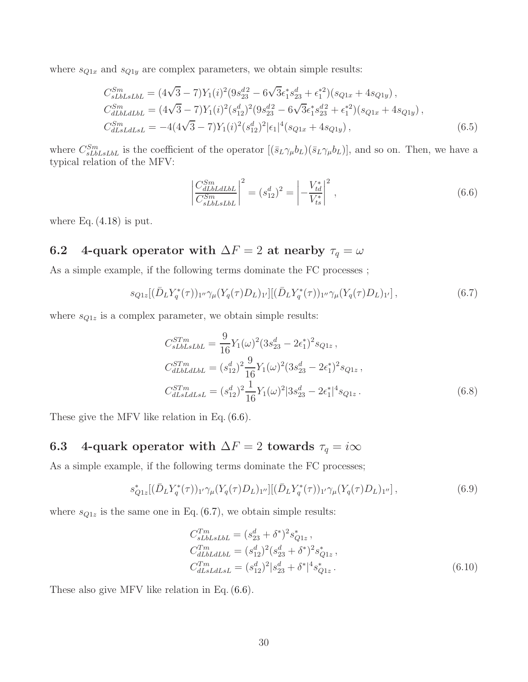where  $s_{Q1x}$  and  $s_{Q1y}$  are complex parameters, we obtain simple results:

$$
C_{sLbLstbL}^{Sm} = (4\sqrt{3} - 7)Y_1(i)^2(9s_{23}^{d2} - 6\sqrt{3}\epsilon_1^*s_{23}^d + \epsilon_1^{*2})(s_{Q1x} + 4s_{Q1y}),
$$
  
\n
$$
C_{dLbLdtbL}^{Sm} = (4\sqrt{3} - 7)Y_1(i)^2(s_{12}^d)^2(9s_{23}^{d2} - 6\sqrt{3}\epsilon_1^*s_{23}^{d2} + \epsilon_1^{*2})(s_{Q1x} + 4s_{Q1y}),
$$
  
\n
$$
C_{dLsLdLsL}^{Sm} = -4(4\sqrt{3} - 7)Y_1(i)^2(s_{12}^d)^2|\epsilon_1|^4(s_{Q1x} + 4s_{Q1y}),
$$
\n(6.5)

where  $C_{sLbLsLbL}^{Sm}$  is the coefficient of the operator  $[(\bar{s}_L\gamma_\mu b_L)(\bar{s}_L\gamma_\mu b_L)],$  and so on. Then, we have a typical relation of the MFV:

<span id="page-30-3"></span><span id="page-30-2"></span>
$$
\left| \frac{C_{dLbL dL bL}^{Sm}}{C_{sL bL sL bL}^{Sm}} \right|^2 = (s_{12}^d)^2 = \left| -\frac{V_{td}^*}{V_{ts}^*} \right|^2, \qquad (6.6)
$$

where Eq.  $(4.18)$  is put.

## <span id="page-30-0"></span>6.2 4-quark operator with  $\Delta F = 2$  at nearby  $\tau_q = \omega$

As a simple example, if the following terms dominate the FC processes ;

$$
s_{Q1z}[(\bar{D}_L Y_q^*(\tau))_{1''}\gamma_\mu(Y_q(\tau)D_L)_{1'}][(\bar{D}_L Y_q^*(\tau))_{1''}\gamma_\mu(Y_q(\tau)D_L)_{1'}],\tag{6.7}
$$

where  $s_{Q1z}$  is a complex parameter, we obtain simple results:

$$
C_{sLbLslbL}^{STm} = \frac{9}{16} Y_1(\omega)^2 (3s_{23}^d - 2\epsilon_1^*)^2 s_{Q1z} ,
$$
  
\n
$$
C_{dLbLdlbL}^{STm} = (s_{12}^d)^2 \frac{9}{16} Y_1(\omega)^2 (3s_{23}^d - 2\epsilon_1^*)^2 s_{Q1z} ,
$$
  
\n
$$
C_{dLsLdlsL}^{STm} = (s_{12}^d)^2 \frac{1}{16} Y_1(\omega)^2 |3s_{23}^d - 2\epsilon_1^*|^4 s_{Q1z} .
$$
\n(6.8)

These give the MFV like relation in Eq. [\(6.6\)](#page-30-2).

## <span id="page-30-1"></span>6.3 4-quark operator with  $\Delta F = 2$  towards  $\tau_q = i\infty$

As a simple example, if the following terms dominate the FC processes;

$$
s_{Q1z}^*[(\bar{D}_L Y_q^*(\tau))_{1'}\gamma_\mu(Y_q(\tau)D_L)_{1''}][(\bar{D}_L Y_q^*(\tau))_{1'}\gamma_\mu(Y_q(\tau)D_L)_{1''}],
$$
\n(6.9)

where  $s_{Q1z}$  is the same one in Eq. [\(6.7\)](#page-30-3), we obtain simple results:

$$
C_{sLbLsLbL}^{Tm} = (s_{23}^d + \delta^*)^2 s_{Q1z}^*,
$$
  
\n
$$
C_{dLbLdLbL}^{Tm} = (s_{12}^d)^2 (s_{23}^d + \delta^*)^2 s_{Q1z}^*,
$$
  
\n
$$
C_{dLsLdLsL}^{Tm} = (s_{12}^d)^2 |s_{23}^d + \delta^*|^4 s_{Q1z}^*.
$$
\n(6.10)

These also give MFV like relation in Eq. [\(6.6\)](#page-30-2).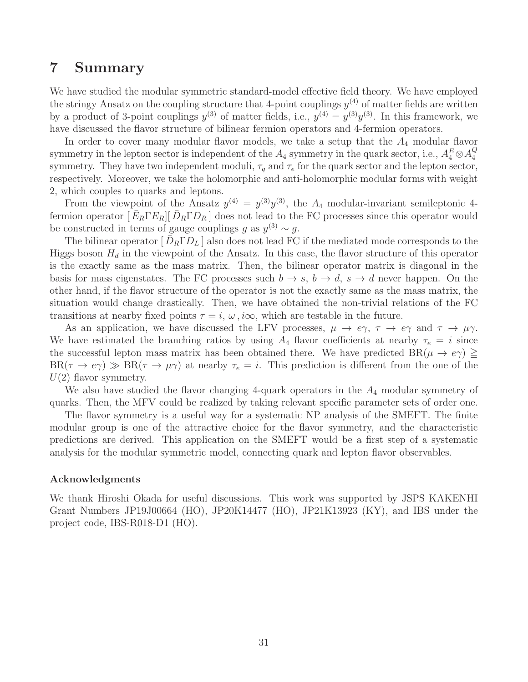## <span id="page-31-0"></span>7 Summary

We have studied the modular symmetric standard-model effective field theory. We have employed the stringy Ansatz on the coupling structure that 4-point couplings  $y^{(4)}$  of matter fields are written by a product of 3-point couplings  $y^{(3)}$  of matter fields, i.e.,  $y^{(4)} = y^{(3)}y^{(3)}$ . In this framework, we have discussed the flavor structure of bilinear fermion operators and 4-fermion operators.

In order to cover many modular flavor models, we take a setup that the  $A_4$  modular flavor symmetry in the lepton sector is independent of the  $A_4$  symmetry in the quark sector, i.e.,  $A_4^E \otimes A_4^Q$ 4 symmetry. They have two independent moduli,  $\tau_q$  and  $\tau_e$  for the quark sector and the lepton sector, respectively. Moreover, we take the holomorphic and anti-holomorphic modular forms with weight 2, which couples to quarks and leptons.

From the viewpoint of the Ansatz  $y^{(4)} = y^{(3)}y^{(3)}$ , the  $A_4$  modular-invariant semileptonic 4fermion operator  $[\bar{E}_R \Gamma E_R] [\bar{D}_R \Gamma D_R]$  does not lead to the FC processes since this operator would be constructed in terms of gauge couplings g as  $y^{(3)} \sim g$ .

The bilinear operator  $[\bar{D}_R \Gamma D_L]$  also does not lead FC if the mediated mode corresponds to the Higgs boson  $H_d$  in the viewpoint of the Ansatz. In this case, the flavor structure of this operator is the exactly same as the mass matrix. Then, the bilinear operator matrix is diagonal in the basis for mass eigenstates. The FC processes such  $b \to s$ ,  $b \to d$ ,  $s \to d$  never happen. On the other hand, if the flavor structure of the operator is not the exactly same as the mass matrix, the situation would change drastically. Then, we have obtained the non-trivial relations of the FC transitions at nearby fixed points  $\tau = i$ ,  $\omega$ ,  $i\infty$ , which are testable in the future.

As an application, we have discussed the LFV processes,  $\mu \to e\gamma$ ,  $\tau \to e\gamma$  and  $\tau \to \mu\gamma$ . We have estimated the branching ratios by using  $A_4$  flavor coefficients at nearby  $\tau_e = i$  since the successful lepton mass matrix has been obtained there. We have predicted  $BR(\mu \to e\gamma) \geq$  $BR(\tau \to e\gamma) \gg BR(\tau \to \mu\gamma)$  at nearby  $\tau_e = i$ . This prediction is different from the one of the  $U(2)$  flavor symmetry.

We also have studied the flavor changing 4-quark operators in the  $A_4$  modular symmetry of quarks. Then, the MFV could be realized by taking relevant specific parameter sets of order one.

The flavor symmetry is a useful way for a systematic NP analysis of the SMEFT. The finite modular group is one of the attractive choice for the flavor symmetry, and the characteristic predictions are derived. This application on the SMEFT would be a first step of a systematic analysis for the modular symmetric model, connecting quark and lepton flavor observables.

#### Acknowledgments

We thank Hiroshi Okada for useful discussions. This work was supported by JSPS KAKENHI Grant Numbers JP19J00664 (HO), JP20K14477 (HO), JP21K13923 (KY), and IBS under the project code, IBS-R018-D1 (HO).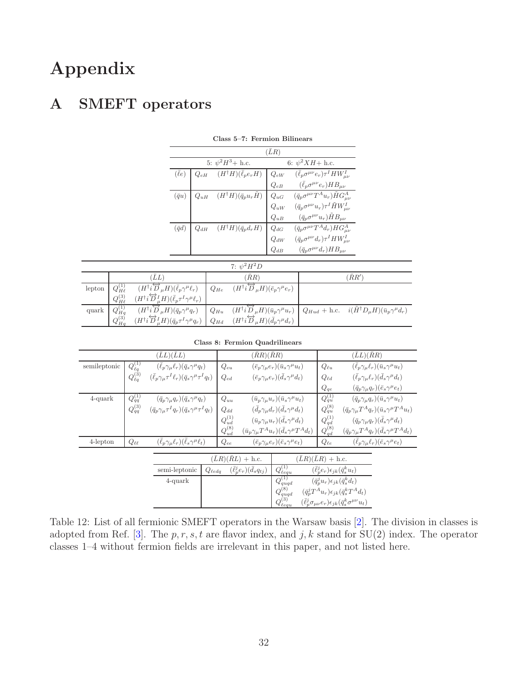# Appendix

## <span id="page-32-0"></span>A SMEFT operators

|                 |          | 5: $\psi^2 H^3$ + h.c.                     | 6: $\psi^2 X H + \text{h.c.}$ |                                                                                                                                                                                                                                                                                                                   |  |
|-----------------|----------|--------------------------------------------|-------------------------------|-------------------------------------------------------------------------------------------------------------------------------------------------------------------------------------------------------------------------------------------------------------------------------------------------------------------|--|
| $(\bar{\ell}e)$ |          |                                            |                               | $\label{eq:QeH} \begin{array}{ c c c c c c c c} \hline \begin{array}{ccc} Q_{eH} & (H^\dagger H)(\bar{\ell}_p e_r H) & Q_{eW} & (\bar{\ell}_p \sigma^{\mu\nu} e_r) \tau^I H W^I_{\mu\nu} \end{array} \\ \hline \begin{array}{c} Q_{eB} & (\bar{\ell}_p \sigma^{\mu\nu} e_r) H B_{\mu\nu} \end{array} \end{array}$ |  |
|                 |          |                                            |                               |                                                                                                                                                                                                                                                                                                                   |  |
| $(\bar{q}u)$    |          |                                            |                               |                                                                                                                                                                                                                                                                                                                   |  |
|                 |          |                                            |                               | $\begin{array}{ c c } \hline \,Q_{uH} & (H^\dagger H)(\bar q_p u_r \tilde H) & Q_{uG} & (\bar q_p \sigma^{\mu\nu} T^A u_r) \tilde H G^A_{\mu\nu} \\ & Q_{uW} & (\bar q_p \sigma^{\mu\nu} u_r) \tau^I \, \tilde H W^I_{\mu\nu} \\ & Q_{uB} & (\bar q_p \sigma^{\mu\nu} u_r) \tilde H B_{\mu\nu} \end{array}$       |  |
|                 |          |                                            |                               |                                                                                                                                                                                                                                                                                                                   |  |
| $(\bar{q}d)$    | $Q_{dH}$ | $(H^{\dagger}H)(\bar{q}_p d_r H)$ $Q_{dG}$ |                               | $\begin{array}{ll} \hbox{\large \it Q}_{dG}&(\bar{q}_{p}\sigma^{\mu\nu}T^{A}d_{r})HG^{A}_{\mu\nu}\\ Q_{dW}&(\bar{q}_{p}\sigma^{\mu\nu}d_{r})\tau^{I}HW^{I}_{\mu\nu}\\ Q_{dB}&(\bar{q}_{p}\sigma^{\mu\nu}d_{r})HB_{\mu\nu} \end{array}$                                                                            |  |
|                 |          |                                            |                               |                                                                                                                                                                                                                                                                                                                   |  |
|                 |          |                                            |                               |                                                                                                                                                                                                                                                                                                                   |  |

| Class 5–7: Fermion Bilinears |  |  |
|------------------------------|--|--|
|------------------------------|--|--|

|        |                   |                                                                                                    | 7: $\psi^2 H^2 D$                                                                                                                                            |                              |
|--------|-------------------|----------------------------------------------------------------------------------------------------|--------------------------------------------------------------------------------------------------------------------------------------------------------------|------------------------------|
|        |                   | 'LL                                                                                                | $(\bar R R)$                                                                                                                                                 | $^{\prime}\bar{R}R^{\prime}$ |
| lepton | $Q_{H\ell}^{(1)}$ | $(H^{\dagger}i\overleftrightarrow{D}_{\mu}H)(\overline{\ell}_{p}\gamma^{\mu}\ell_{r})$ $Q_{He}$    | $(H^{\dagger}i\overleftrightarrow{D}_{\mu}H)(\bar{e}_{p}\gamma^{\mu}e_{r})$                                                                                  |                              |
|        | $Q_{H\ell}^{(3)}$ | $(H^{\dagger} i \overleftrightarrow{D}_\mu^I H)(\bar{\ell}_p \tau^I \gamma^\mu \ell_r)$            |                                                                                                                                                              |                              |
| quark  | $Q_{Hq}^{(1)}$    | $\overline{(H^{\dagger}i\overleftrightarrow{D}_{\mu}H)(\bar{q}_p\gamma^{\mu}q_r)}$                 | $(H^{\dagger}i\overleftrightarrow{D}_{\mu}H)(\bar{u}_p\gamma^{\mu}u_r)\big Q_{Hud} + \text{h.c.}$ $i(\tilde{H}^{\dagger}D_{\mu}H)(\bar{u}_p\gamma^{\mu}d_r)$ |                              |
|        | $Q_{Ha}^{(3)}$    | $(H^{\dagger}i\overleftrightarrow{D}_{\mu}^{I}H)(\bar{q}_{p}\tau^{I}\gamma^{\mu}q_{r})$   $Q_{Hd}$ | $(H^{\dagger}i\overleftrightarrow{D}_{\mu}H)(\bar{d}_{p}\gamma^{\mu}d_{r})$                                                                                  |                              |

|  |  | Class 8: Fermion Quadrilinears |
|--|--|--------------------------------|
|--|--|--------------------------------|

|              |                            | $(\bar{L}L)(\bar{L}L)$                                                               |                |                | $(\bar RR)(\bar RR)$                                           |                                                        |              |                                                     | $(\bar{L}L)(\bar{R}R)$                                                                         |                                                                |
|--------------|----------------------------|--------------------------------------------------------------------------------------|----------------|----------------|----------------------------------------------------------------|--------------------------------------------------------|--------------|-----------------------------------------------------|------------------------------------------------------------------------------------------------|----------------------------------------------------------------|
| semileptonic | $Q_{\ell q}^{(1)}$         | $(\bar{\ell}_p \gamma_\mu \ell_r)(\bar{q}_s \gamma^\mu q_t)$                         |                | $Q_{eu}$       |                                                                | $(\bar{e}_p \gamma_\mu e_r)(\bar{u}_s \gamma^\mu u_t)$ |              | $Q_{\ell u}$                                        |                                                                                                | $(\bar{\ell}_p \gamma_\mu \ell_r)(\bar{u}_s \gamma^\mu u_t)$   |
|              | $Q_{\ell q}^{(\tilde{3})}$ | $(\bar{\ell}_{p}\gamma_{\mu}\tau^{I}\ell_{r})(\bar{q}_{s}\gamma^{\mu}\tau^{I}q_{t})$ |                | $Q_{ed}$       | $(\bar{e}_p \gamma_\mu e_r)(\bar{d}_s \gamma^\mu d_t)$         |                                                        | $Q_{\ell d}$ |                                                     | $(\bar{\ell}_p \gamma_\mu \ell_r)(\bar{d}_s \gamma^\mu d_t)$                                   |                                                                |
|              |                            |                                                                                      |                |                |                                                                |                                                        |              | $Q_{qe}$                                            |                                                                                                | $(\bar{q}_p \gamma_\mu q_r)(\bar{e}_s \gamma^\mu e_t)$         |
| $4$ -quark   | $Q_{qq}^{(1)}$             | $(\bar{q}_p \gamma_\mu q_r)(\bar{q}_s \gamma^\mu q_t)$                               |                | $Q_{uu}$       |                                                                | $(\bar{u}_p \gamma_\mu u_r)(\bar{u}_s \gamma^\mu u_t)$ |              | $Q_{qu}^{(1)}$                                      |                                                                                                | $(\bar{q}_p \gamma_\mu q_r)(\bar{u}_s \gamma^\mu u_t)$         |
|              | $Q_{qq}^{(3)}$             | $(\bar{q}_p \gamma_\mu \tau^I q_r)(\bar{q}_s \gamma^\mu \tau^I q_t)$                 |                | $Q_{dd}$       | $(\bar{d}_{p}\gamma_{\mu}d_{r})(\bar{d}_{s}\gamma^{\mu}d_{t})$ |                                                        |              | $Q_{qu}^{(8)}$                                      |                                                                                                | $(\bar{q}_p \gamma_\mu T^A q_r)(\bar{u}_s \gamma^\mu T^A u_t)$ |
|              |                            |                                                                                      |                | $Q_{ud}^{(1)}$ |                                                                | $(\bar{u}_p \gamma_\mu u_r)(\bar{d}_s \gamma^\mu d_t)$ |              | $Q_{qd}^{(1)}$                                      |                                                                                                | $(\bar{q}_p \gamma_\mu q_r)(\bar{d}_s \gamma^\mu d_t)$         |
|              |                            |                                                                                      |                | $Q_{ud}^{(8)}$ | $(\bar{u}_p \gamma_\mu T^A u_r)(\bar{d}_s \gamma^\mu T^A d_t)$ |                                                        |              | $Q_{qd}^{(8)}$                                      |                                                                                                | $(\bar{q}_p \gamma_\mu T^A q_r)(\bar{d}_s \gamma^\mu T^A d_t)$ |
| $4$ -lepton  | $Q_{\ell\ell}$             | $(\bar{\ell}_p \gamma_\mu \ell_r)(\bar{\ell}_s \gamma^\mu \ell_t)$                   |                | $Q_{ee}$       |                                                                | $(\bar{e}_p \gamma_\mu e_r)(\bar{e}_s \gamma^\mu e_t)$ |              | $Q_{\ell e}$                                        |                                                                                                | $(\bar{\ell}_p \gamma_\mu \ell_r)(\bar{e}_s \gamma^\mu e_t)$   |
|              |                            |                                                                                      |                |                | $(\bar{L}R)(\bar{R}L) + \text{h.c.}$                           |                                                        |              | $(\bar{L}R)(\bar{L}R)$ + h.c.                       |                                                                                                |                                                                |
|              |                            | semi-leptonic                                                                        | $Q_{\ell edq}$ |                | $(\ell_p^j e_r)(d_s q_{tj})$                                   | $Q_{\ell equ}^{(1)}$                                   |              | $(\ell_p^j e_r) \epsilon_{jk} (\bar{q}_s^k u_t)$    |                                                                                                |                                                                |
|              |                            | $4$ -quark                                                                           |                |                |                                                                | $Q_{quqd}^{(1)}$                                       |              | $(\bar{q}_p^j u_r) \epsilon_{jk} (\bar{q}_s^k d_t)$ |                                                                                                |                                                                |
|              |                            |                                                                                      |                |                |                                                                | $Q_{quqd}^{(8)}$                                       |              |                                                     | $(\bar{q}_p^j T^A u_r) \epsilon_{jk} (\bar{q}_s^k T^A d_t)$                                    |                                                                |
|              |                            |                                                                                      |                |                |                                                                | $Q_{\ell equ}^{(3)}$                                   |              |                                                     | $(\bar{\ell}_{p}^{j} \sigma_{\mu\nu} e_r) \epsilon_{jk} (\bar{q}_{s}^{k} \sigma^{\mu\nu} u_t)$ |                                                                |

<span id="page-32-1"></span>Table 12: List of all fermionic SMEFT operators in the Warsaw basis [\[2\]](#page-41-1). The division in classes is adopted from Ref. [\[3\]](#page-41-2). The  $p, r, s, t$  are flavor index, and j, k stand for SU(2) index. The operator classes 1–4 without fermion fields are irrelevant in this paper, and not listed here.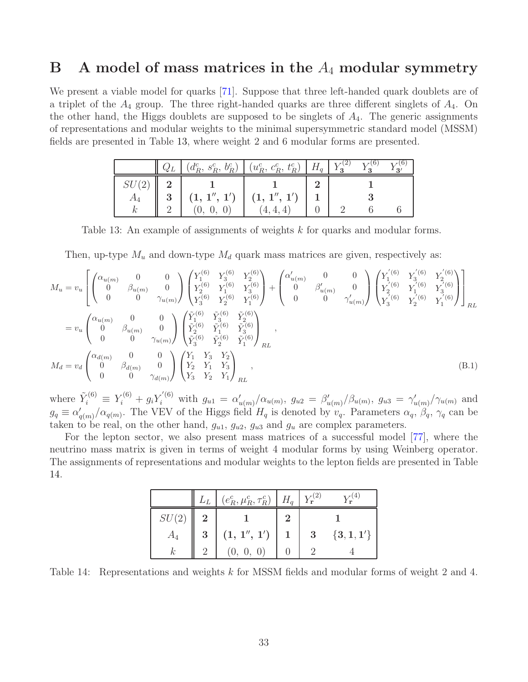## <span id="page-33-0"></span> $\mathbf{B}$  A model of mass matrices in the  $A_4$  modular symmetry

We present a viable model for quarks [\[71\]](#page-44-0). Suppose that three left-handed quark doublets are of a triplet of the  $A_4$  group. The three right-handed quarks are three different singlets of  $A_4$ . On the other hand, the Higgs doublets are supposed to be singlets of  $A_4$ . The generic assignments of representations and modular weights to the minimal supersymmetric standard model (MSSM) fields are presented in Table [13,](#page-33-2) where weight 2 and 6 modular forms are presented.

|        |   | $(d_R^c, s_R^c, b_R^c)$ $(u_R^c, c_R^c, t_R^c)$ $H_q$ $Y_3^{(2)}$ $Y_3^{(6)}$ |  |  |
|--------|---|-------------------------------------------------------------------------------|--|--|
| SU(2)  |   |                                                                               |  |  |
| $A_4$  | 3 | $(1, 1'', 1')$ $(1, 1'', 1')$                                                 |  |  |
| $\sim$ |   | 4, 4,                                                                         |  |  |

<span id="page-33-2"></span>Table 13: An example of assignments of weights k for quarks and modular forms.

Then, up-type  $M_u$  and down-type  $M_d$  quark mass matrices are given, respectively as:

$$
M_{u} = v_{u} \left[ \begin{pmatrix} \alpha_{u(m)} & 0 & 0 \\ 0 & \beta_{u(m)} & 0 \\ 0 & 0 & \gamma_{u(m)} \end{pmatrix} \begin{pmatrix} Y_{1}^{(6)} & Y_{3}^{(6)} & Y_{2}^{(6)} \\ Y_{2}^{(6)} & Y_{1}^{(6)} & Y_{3}^{(6)} \\ Y_{3}^{(6)} & Y_{2}^{(6)} & Y_{1}^{(6)} \end{pmatrix} + \begin{pmatrix} \alpha'_{u(m)} & 0 & 0 \\ 0 & \beta'_{u(m)} & 0 \\ 0 & 0 & \gamma'_{u(m)} \end{pmatrix} \begin{pmatrix} Y_{1}^{(6)} & Y_{3}^{(6)} \\ Y_{2}^{(6)} & Y_{1}^{(6)} & 0 \\ Y_{3}^{(6)} & Y_{2}^{(6)} & Y_{1}^{(6)} \end{pmatrix} \right]_{RL}
$$
  
\n
$$
= v_{u} \begin{pmatrix} \alpha_{u(m)} & 0 & 0 \\ 0 & \beta_{u(m)} & 0 \\ 0 & 0 & \gamma_{u(m)} \end{pmatrix} \begin{pmatrix} \tilde{Y}_{1}^{(6)} & \tilde{Y}_{3}^{(6)} & \tilde{Y}_{2}^{(6)} \\ \tilde{Y}_{2}^{(6)} & \tilde{Y}_{1}^{(6)} & \tilde{Y}_{3}^{(6)} \\ \tilde{Y}_{3}^{(6)} & \tilde{Y}_{2}^{(6)} & \tilde{Y}_{1}^{(6)} \end{pmatrix}_{RL}
$$
  
\n
$$
M_{d} = v_{d} \begin{pmatrix} \alpha_{d(m)} & 0 & 0 \\ 0 & \beta_{d(m)} & 0 \\ 0 & 0 & \gamma_{d(m)} \end{pmatrix} \begin{pmatrix} Y_{1} & Y_{3} & Y_{2} \\ Y_{2} & Y_{1} & Y_{3} \\ Y_{3} & Y_{2} & Y_{1} \end{pmatrix}_{RL},
$$
  
\n
$$
(B.1)
$$

where  $\tilde{Y}_i^{(6)} \equiv Y_i^{(6)} + g_i Y_i^{'(6)}$  with  $g_{u1} = \alpha'_{u(m)}/\alpha_{u(m)}, g_{u2} = \beta'_{u(m)}/\beta_{u(m)}, g_{u3} = \gamma'_{u(m)}/\gamma_{u(m)}$  and  $g_q \equiv \alpha'_{q(m)}/\alpha_{q(m)}$ . The VEV of the Higgs field  $H_q$  is denoted by  $v_q$ . Parameters  $\alpha_q$ ,  $\beta_q$ ,  $\gamma_q$  can be taken to be real, on the other hand,  $g_{u1}$ ,  $g_{u2}$ ,  $g_{u3}$  and  $g_u$  are complex parameters.

For the lepton sector, we also present mass matrices of a successful model [\[77\]](#page-44-1), where the neutrino mass matrix is given in terms of weight 4 modular forms by using Weinberg operator. The assignments of representations and modular weights to the lepton fields are presented in Table [14.](#page-33-3)

<span id="page-33-1"></span>

|       |                | $L_L \mid (e_R^c, \mu_R^c, \tau_R^c) \mid H_q \mid Y_{\mathbf{r}}^{(2)}$                        |          |              |
|-------|----------------|-------------------------------------------------------------------------------------------------|----------|--------------|
| SU(2) |                |                                                                                                 |          |              |
|       | 3 <sup>3</sup> | $\begin{array}{ c c c c c }\hline (1,\,1^{\prime\prime},\,1^{\prime}) & 1 \ \hline \end{array}$ | $\bf{3}$ | $\{3,1,1'\}$ |
|       |                | (0, 0, 0)                                                                                       |          |              |

<span id="page-33-3"></span>Table 14: Representations and weights k for MSSM fields and modular forms of weight 2 and 4.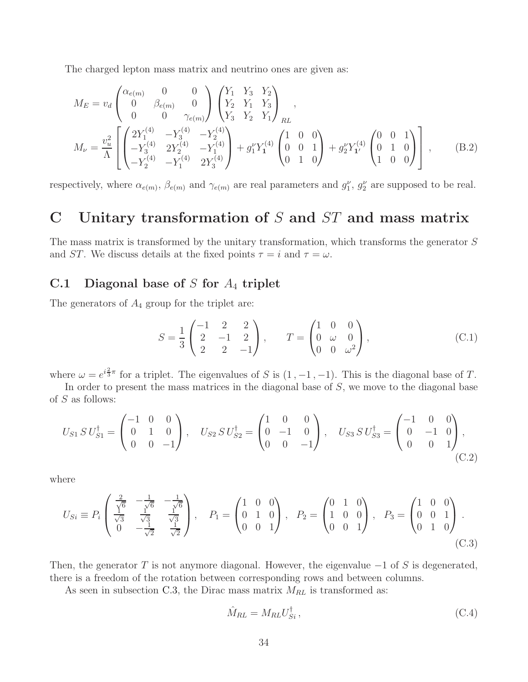The charged lepton mass matrix and neutrino ones are given as:

$$
M_E = v_d \begin{pmatrix} \alpha_{e(m)} & 0 & 0 \\ 0 & \beta_{e(m)} & 0 \\ 0 & 0 & \gamma_{e(m)} \end{pmatrix} \begin{pmatrix} Y_1 & Y_3 & Y_2 \\ Y_2 & Y_1 & Y_3 \\ Y_3 & Y_2 & Y_1 \end{pmatrix}_{RL},
$$
  
\n
$$
M_{\nu} = \frac{v_u^2}{\Lambda} \begin{bmatrix} 2Y_1^{(4)} & -Y_3^{(4)} & -Y_2^{(4)} \\ -Y_3^{(4)} & 2Y_2^{(4)} & -Y_1^{(4)} \\ -Y_2^{(4)} & -Y_1^{(4)} & 2Y_3^{(4)} \end{bmatrix} + g_1^{\nu} Y_1^{(4)} \begin{pmatrix} 1 & 0 & 0 \\ 0 & 0 & 1 \\ 0 & 1 & 0 \end{pmatrix} + g_2^{\nu} Y_1^{(4)} \begin{pmatrix} 0 & 0 & 1 \\ 0 & 1 & 0 \\ 1 & 0 & 0 \end{pmatrix} \end{bmatrix},
$$
 (B.2)

respectively, where  $\alpha_{e(m)}$ ,  $\beta_{e(m)}$  and  $\gamma_{e(m)}$  are real parameters and  $g_1^{\nu}$ ,  $g_2^{\nu}$  are supposed to be real.

## <span id="page-34-0"></span>C Unitary transformation of  $S$  and  $ST$  and mass matrix

The mass matrix is transformed by the unitary transformation, which transforms the generator S and ST. We discuss details at the fixed points  $\tau = i$  and  $\tau = \omega$ .

### <span id="page-34-1"></span>C.1 Diagonal base of  $S$  for  $A_4$  triplet

The generators of  $A_4$  group for the triplet are:

<span id="page-34-4"></span><span id="page-34-2"></span>
$$
S = \frac{1}{3} \begin{pmatrix} -1 & 2 & 2 \\ 2 & -1 & 2 \\ 2 & 2 & -1 \end{pmatrix}, \qquad T = \begin{pmatrix} 1 & 0 & 0 \\ 0 & \omega & 0 \\ 0 & 0 & \omega^2 \end{pmatrix},
$$
(C.1)

where  $\omega = e^{i\frac{2}{3}\pi}$  for a triplet. The eigenvalues of S is  $(1, -1, -1)$ . This is the diagonal base of T.

In order to present the mass matrices in the diagonal base of S, we move to the diagonal base of S as follows:

$$
U_{S1} S U_{S1}^{\dagger} = \begin{pmatrix} -1 & 0 & 0 \\ 0 & 1 & 0 \\ 0 & 0 & -1 \end{pmatrix}, \quad U_{S2} S U_{S2}^{\dagger} = \begin{pmatrix} 1 & 0 & 0 \\ 0 & -1 & 0 \\ 0 & 0 & -1 \end{pmatrix}, \quad U_{S3} S U_{S3}^{\dagger} = \begin{pmatrix} -1 & 0 & 0 \\ 0 & -1 & 0 \\ 0 & 0 & 1 \end{pmatrix}, \tag{C.2}
$$

where

$$
U_{Si} \equiv P_i \begin{pmatrix} \frac{2}{\sqrt{6}} & -\frac{1}{\sqrt{6}} & -\frac{1}{\sqrt{6}} \\ \frac{1}{\sqrt{3}} & \frac{1}{\sqrt{3}} & \frac{1}{\sqrt{3}} \\ 0 & -\frac{1}{\sqrt{2}} & \frac{1}{\sqrt{2}} \end{pmatrix}, \quad P_1 = \begin{pmatrix} 1 & 0 & 0 \\ 0 & 1 & 0 \\ 0 & 0 & 1 \end{pmatrix}, \quad P_2 = \begin{pmatrix} 0 & 1 & 0 \\ 1 & 0 & 0 \\ 0 & 0 & 1 \end{pmatrix}, \quad P_3 = \begin{pmatrix} 1 & 0 & 0 \\ 0 & 0 & 1 \\ 0 & 1 & 0 \end{pmatrix}.
$$
\n(C.3)

Then, the generator T is not anymore diagonal. However, the eigenvalue  $-1$  of S is degenerated, there is a freedom of the rotation between corresponding rows and between columns.

As seen in subsection [C.3,](#page-36-0) the Dirac mass matrix  $M_{RL}$  is transformed as:

<span id="page-34-3"></span>
$$
\hat{M}_{RL} = M_{RL} U_{Si}^{\dagger} ,\qquad (C.4)
$$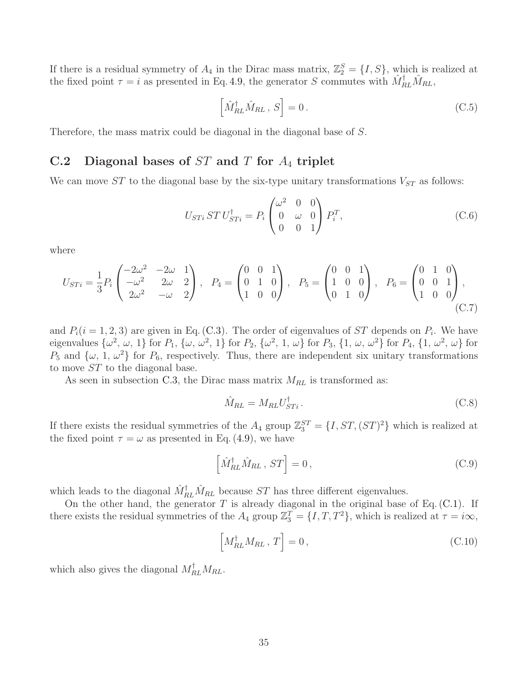If there is a residual symmetry of  $A_4$  in the Dirac mass matrix,  $\mathbb{Z}_2^S = \{I, S\}$ , which is realized at the fixed point  $\tau = i$  as presented in Eq. [4.9,](#page-12-2) the generator S commutes with  $\hat{M}_{RL}^{\dagger} \hat{M}_{RL}$ ,

$$
\left[\hat{M}_{RL}^{\dagger}\hat{M}_{RL}, S\right] = 0. \tag{C.5}
$$

<span id="page-35-0"></span>Therefore, the mass matrix could be diagonal in the diagonal base of S.

## C.2 Diagonal bases of  $ST$  and  $T$  for  $A_4$  triplet

We can move  $ST$  to the diagonal base by the six-type unitary transformations  $V_{ST}$  as follows:

$$
U_{STi} ST U_{STi}^{\dagger} = P_i \begin{pmatrix} \omega^2 & 0 & 0 \\ 0 & \omega & 0 \\ 0 & 0 & 1 \end{pmatrix} P_i^T,
$$
 (C.6)

where

$$
U_{STi} = \frac{1}{3} P_i \begin{pmatrix} -2\omega^2 & -2\omega & 1 \\ -\omega^2 & 2\omega & 2 \\ 2\omega^2 & -\omega & 2 \end{pmatrix}, \quad P_4 = \begin{pmatrix} 0 & 0 & 1 \\ 0 & 1 & 0 \\ 1 & 0 & 0 \end{pmatrix}, \quad P_5 = \begin{pmatrix} 0 & 0 & 1 \\ 1 & 0 & 0 \\ 0 & 1 & 0 \end{pmatrix}, \quad P_6 = \begin{pmatrix} 0 & 1 & 0 \\ 0 & 0 & 1 \\ 1 & 0 & 0 \end{pmatrix}, \tag{C.7}
$$

and  $P_i(i = 1, 2, 3)$  are given in Eq. [\(C.3\)](#page-34-3). The order of eigenvalues of ST depends on  $P_i$ . We have eigenvalues  $\{\omega^2, \omega, 1\}$  for  $P_1$ ,  $\{\omega, \omega^2, 1\}$  for  $P_2$ ,  $\{\omega^2, 1, \omega\}$  for  $P_3$ ,  $\{1, \omega, \omega^2\}$  for  $P_4$ ,  $\{1, \omega^2, \omega\}$  for  $P_5$  and  $\{\omega, 1, \omega^2\}$  for  $P_6$ , respectively. Thus, there are independent six unitary transformations to move ST to the diagonal base.

As seen in subsection [C.3,](#page-36-0) the Dirac mass matrix  $M_{RL}$  is transformed as:

<span id="page-35-1"></span>
$$
\hat{M}_{RL} = M_{RL} U_{STi}^{\dagger} \,. \tag{C.8}
$$

If there exists the residual symmetries of the  $A_4$  group  $\mathbb{Z}_3^{ST} = \{I, ST, (ST)^2\}$  which is realized at the fixed point  $\tau = \omega$  as presented in Eq. [\(4.9\)](#page-12-2), we have

$$
\left[\hat{M}_{RL}^{\dagger}\hat{M}_{RL}, ST\right] = 0, \tag{C.9}
$$

which leads to the diagonal  $\hat{M}^\dagger_{RL} \hat{M}_{RL}$  because ST has three different eigenvalues.

On the other hand, the generator  $T$  is already diagonal in the original base of Eq. [\(C.1\)](#page-34-4). If there exists the residual symmetries of the  $A_4$  group  $\mathbb{Z}_3^T = \{I, T, T^2\}$ , which is realized at  $\tau = i\infty$ ,

$$
\left[M_{RL}^{\dagger}M_{RL}, T\right] = 0, \tag{C.10}
$$

which also gives the diagonal  $M_{RL}^{\dagger}M_{RL}$ .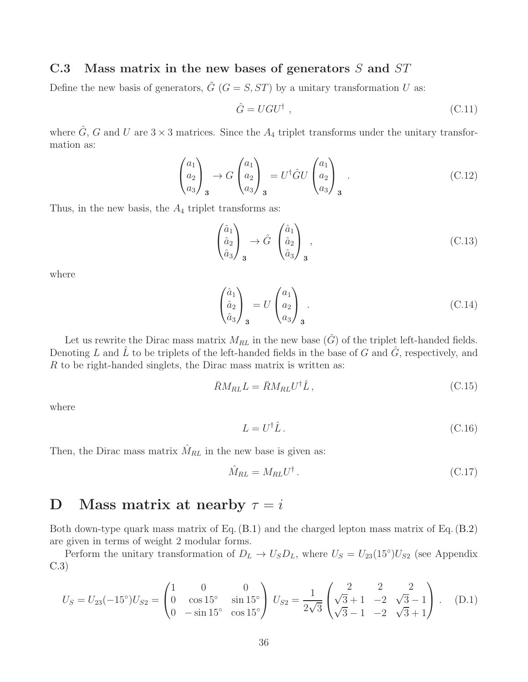## <span id="page-36-0"></span>C.3 Mass matrix in the new bases of generators  $S$  and  $ST$

Define the new basis of generators,  $\tilde{G}$  ( $G = S, ST$ ) by a unitary transformation U as:

$$
\hat{G} = UGU^{\dagger} \tag{C.11}
$$

where  $\hat{G}$ , G and U are  $3 \times 3$  matrices. Since the  $A_4$  triplet transforms under the unitary transformation as:

$$
\begin{pmatrix} a_1 \\ a_2 \\ a_3 \end{pmatrix}_3 \rightarrow G \begin{pmatrix} a_1 \\ a_2 \\ a_3 \end{pmatrix}_3 = U^{\dagger} \hat{G} U \begin{pmatrix} a_1 \\ a_2 \\ a_3 \end{pmatrix}_3 . \tag{C.12}
$$

Thus, in the new basis, the  $A_4$  triplet transforms as:

$$
\begin{pmatrix} \hat{a}_1 \\ \hat{a}_2 \\ \hat{a}_3 \end{pmatrix}_{\mathbf{3}} \rightarrow \hat{G} \begin{pmatrix} \hat{a}_1 \\ \hat{a}_2 \\ \hat{a}_3 \end{pmatrix}_{\mathbf{3}}, \tag{C.13}
$$

where

$$
\begin{pmatrix} \hat{a}_1 \\ \hat{a}_2 \\ \hat{a}_3 \end{pmatrix}_{\mathbf{3}} = U \begin{pmatrix} a_1 \\ a_2 \\ a_3 \end{pmatrix}_{\mathbf{3}}.
$$
\n(C.14)

Let us rewrite the Dirac mass matrix  $M_{RL}$  in the new base  $(\hat{G})$  of the triplet left-handed fields. Denoting  $L$  and  $L$  to be triplets of the left-handed fields in the base of  $G$  and  $G$ , respectively, and  $R$  to be right-handed singlets, the Dirac mass matrix is written as:

$$
\bar{R}M_{RL}L = \bar{R}M_{RL}U^{\dagger}\hat{L},\qquad (C.15)
$$

where

$$
L = U^{\dagger} \hat{L} \,. \tag{C.16}
$$

Then, the Dirac mass matrix  $\hat{M}_{RL}$  in the new base is given as:

<span id="page-36-2"></span>
$$
\hat{M}_{RL} = M_{RL} U^{\dagger} \,. \tag{C.17}
$$

## <span id="page-36-1"></span>D Mass matrix at nearby  $\tau = i$

Both down-type quark mass matrix of Eq. [\(B.1\)](#page-33-1) and the charged lepton mass matrix of Eq. [\(B.2\)](#page-34-2) are given in terms of weight 2 modular forms.

Perform the unitary transformation of  $D_L \to U_S D_L$ , where  $U_S = U_{23}(15°)U_{S2}$  (see Appendix [C.3\)](#page-36-0)

$$
U_S = U_{23}(-15^\circ)U_{S2} = \begin{pmatrix} 1 & 0 & 0 \\ 0 & \cos 15^\circ & \sin 15^\circ \\ 0 & -\sin 15^\circ & \cos 15^\circ \end{pmatrix} U_{S2} = \frac{1}{2\sqrt{3}} \begin{pmatrix} 2 & 2 & 2 \\ \sqrt{3} + 1 & -2 & \sqrt{3} - 1 \\ \sqrt{3} - 1 & -2 & \sqrt{3} + 1 \end{pmatrix} .
$$
 (D.1)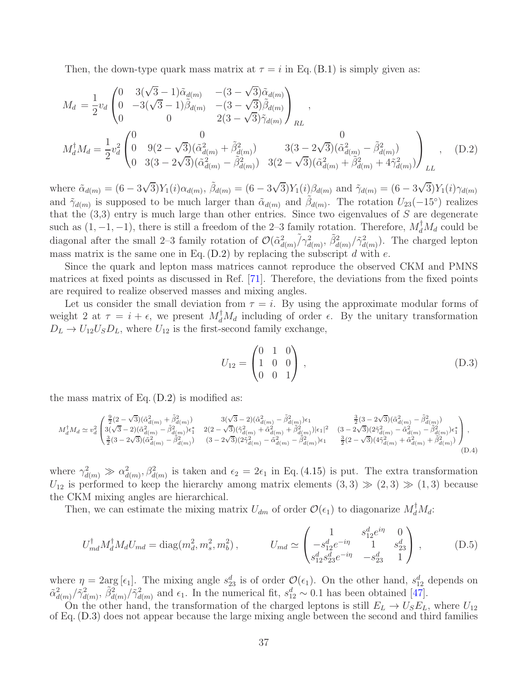Then, the down-type quark mass matrix at  $\tau = i$  in Eq. [\(B.1\)](#page-33-1) is simply given as:

$$
M_{d} = \frac{1}{2}v_{d} \begin{pmatrix} 0 & 3(\sqrt{3}-1)\tilde{\alpha}_{d(m)} & -(3-\sqrt{3})\tilde{\alpha}_{d(m)} \\ 0 & -3(\sqrt{3}-1)\tilde{\beta}_{d(m)} & -(3-\sqrt{3})\tilde{\beta}_{d(m)} \\ 0 & 0 & 2(3-\sqrt{3})\tilde{\gamma}_{d(m)} \end{pmatrix}_{RL},
$$
  
\n
$$
M_{d}^{\dagger}M_{d} = \frac{1}{2}v_{d}^{2} \begin{pmatrix} 0 & 0 & 0 \\ 0 & 9(2-\sqrt{3})(\tilde{\alpha}_{d(m)}^{2} + \tilde{\beta}_{d(m)}^{2}) & 3(3-2\sqrt{3})(\tilde{\alpha}_{d(m)}^{2} - \tilde{\beta}_{d(m)}^{2}) \\ 0 & 3(3-2\sqrt{3})(\tilde{\alpha}_{d(m)}^{2} - \tilde{\beta}_{d(m)}^{2}) & 3(2-\sqrt{3})(\tilde{\alpha}_{d(m)}^{2} + \tilde{\beta}_{d(m)}^{2} + 4\tilde{\gamma}_{d(m)}^{2}) \end{pmatrix}_{LL},
$$
 (D.2)

where  $\tilde{\alpha}_{d(m)} = (6 - 3\sqrt{3})Y_1(i)\alpha_{d(m)}, \tilde{\beta}_{d(m)} = (6 - 3\sqrt{3})Y_1(i)\beta_{d(m)}$  and  $\tilde{\gamma}_{d(m)} = (6 - 3\sqrt{3})Y_1(i)\gamma_{d(m)}$ and  $\tilde{\gamma}_{d(m)}$  is supposed to be much larger than  $\tilde{\alpha}_{d(m)}$  and  $\tilde{\beta}_{d(m)}$ . The rotation  $U_{23}(-15^{\circ})$  realizes that the  $(3,3)$  entry is much large than other entries. Since two eigenvalues of S are degenerate such as  $(1, -1, -1)$ , there is still a freedom of the 2–3 family rotation. Therefore,  $M_d^{\dagger} M_d$  could be diagonal after the small 2–3 family rotation of  $\mathcal{O}(\tilde{\alpha}_{d(m)}^2/\gamma_{d(m)}^2, \tilde{\beta}_{d(m)}^2/\gamma_{d(m)}^2)$ . The charged lepton mass matrix is the same one in Eq.  $(D.2)$  by replacing the subscript d with e.

Since the quark and lepton mass matrices cannot reproduce the observed CKM and PMNS matrices at fixed points as discussed in Ref. [\[71\]](#page-44-0). Therefore, the deviations from the fixed points are required to realize observed masses and mixing angles.

Let us consider the small deviation from  $\tau = i$ . By using the approximate modular forms of weight 2 at  $\tau = i + \epsilon$ , we present  $M_d^{\dagger} M_d$  including of order  $\epsilon$ . By the unitary transformation  $D_L \rightarrow U_{12}U_S D_L$ , where  $U_{12}$  is the first-second family exchange,

<span id="page-37-2"></span><span id="page-37-1"></span><span id="page-37-0"></span>
$$
U_{12} = \begin{pmatrix} 0 & 1 & 0 \\ 1 & 0 & 0 \\ 0 & 0 & 1 \end{pmatrix}, \tag{D.3}
$$

the mass matrix of Eq. [\(D.2\)](#page-37-1) is modified as:

$$
M_d^\dagger M_d \simeq v_d^2 \begin{pmatrix} \frac{9}{2}(2-\sqrt{3})(\tilde{\alpha}_{d(m)}^2+\tilde{\beta}_{d(m)}^2) & 3(\sqrt{3}-2)(\tilde{\alpha}_{d(m)}^2-\tilde{\beta}_{d(m)}^2)\epsilon_1 & \frac{3}{2}(3-2\sqrt{3})(\tilde{\alpha}_{d(m)}^2-\tilde{\beta}_{d(m)}^2)\\ 3(\sqrt{3}-2)(\tilde{\alpha}_{d(m)}^2-\tilde{\beta}_{d(m)}^2)\epsilon_1^* & 2(2-\sqrt{3})(\tilde{\gamma}_{d(m)}^2+\tilde{\alpha}_{d(m)}^2+\tilde{\beta}_{d(m)}^2)|\epsilon_1|^2 & (3-2\sqrt{3})(2\tilde{\gamma}_{d(m)}^2-\tilde{\alpha}_{d(m)}^2-\tilde{\beta}_{d(m)}^2)\epsilon_1^*\\ \frac{3}{2}(3-2\sqrt{3})(\tilde{\alpha}_{d(m)}^2-\tilde{\beta}_{d(m)}^2) & (3-2\sqrt{3})(2\tilde{\gamma}_{d(m)}^2-\tilde{\alpha}_{d(m)}^2-\tilde{\beta}_{d(m)}^2)\epsilon_1 & \frac{3}{2}(2-\sqrt{3})(4\tilde{\gamma}_{d(m)}^2+\tilde{\alpha}_{d(m)}^2+\tilde{\beta}_{d(m)}^2)\\ \frac{3}{2}(3-2\sqrt{3})(\tilde{\alpha}_{d(m)}^2-\tilde{\beta}_{d(m)}^2) & (3-2\sqrt{3})(2\tilde{\gamma}_{d(m)}^2-\tilde{\alpha}_{d(m)}^2-\tilde{\beta}_{d(m)}^2)\epsilon_1 & \frac{3}{2}(2-\sqrt{3})(4\tilde{\gamma}_{d(m)}^2+\tilde{\alpha}_{d(m)}^2+\tilde{\beta}_{d(m)}^2)\\ (0.4)
$$

where  $\gamma_{d(m)}^2 \gg \alpha_{d(m)}^2$ ,  $\beta_{d(m)}^2$  is taken and  $\epsilon_2 = 2\epsilon_1$  in Eq. [\(4.15\)](#page-14-3) is put. The extra transformation  $U_{12}$  is performed to keep the hierarchy among matrix elements  $(3,3) \gg (2,3) \gg (1,3)$  because the CKM mixing angles are hierarchical.

Then, we can estimate the mixing matrix  $U_{dm}$  of order  $\mathcal{O}(\epsilon_1)$  to diagonarize  $M_d^{\dagger} M_d$ :

$$
U_{md}^{\dagger} M_d^{\dagger} M_d U_{md} = \text{diag}(m_d^2, m_s^2, m_b^2), \qquad U_{md} \simeq \begin{pmatrix} 1 & s_{12}^d e^{i\eta} & 0\\ -s_{12}^d e^{-i\eta} & 1 & s_{23}^d\\ s_{12}^d s_{23}^d e^{-i\eta} & -s_{23}^d & 1 \end{pmatrix}, \qquad (D.5)
$$

where  $\eta = 2 \arg[\epsilon_1]$ . The mixing angle  $s_{23}^d$  is of order  $\mathcal{O}(\epsilon_1)$ . On the other hand,  $s_{12}^d$  depends on  $\tilde{\alpha}_{d(m)}^2/\tilde{\gamma}_{d(m)}^2$ ,  $\tilde{\beta}_{d(m)}^2/\tilde{\gamma}_{d(m)}^2$  and  $\epsilon_1$ . In the numerical fit,  $s_{12}^d \sim 0.1$  has been obtained [\[47\]](#page-43-1).

On the other hand, the transformation of the charged leptons is still  $E_L \rightarrow U_S E_L$ , where  $U_{12}$ of Eq. [\(D.3\)](#page-37-2) does not appear because the large mixing angle between the second and third families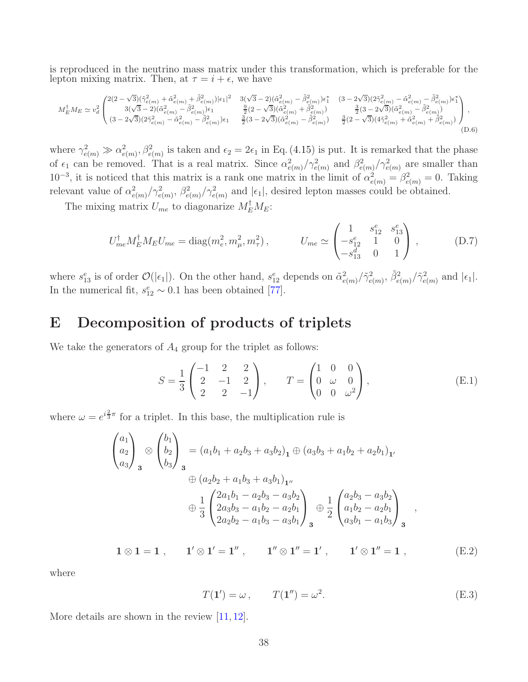is reproduced in the neutrino mass matrix under this transformation, which is preferable for the lepton mixing matrix. Then, at  $\tau = i + \epsilon$ , we have

$$
M_{E}^{\dagger}M_{E}\simeq v_{d}^{2}\left(\begin{matrix} 2(2-\sqrt{3})(\tilde{\gamma}_{e(m)}^{2}+\tilde{\alpha}_{e(m)}^{2}+\tilde{\beta}_{e(m)}^{2})|\epsilon_{1}|^{2} & 3(\sqrt{3}-2)(\tilde{\alpha}_{e(m)}^{2}-\tilde{\beta}_{e(m)}^{2})\epsilon_{1}^{*} & (3-2\sqrt{3})(2\tilde{\gamma}_{e(m)}^{2}-\tilde{\alpha}_{e(m)}^{2}-\tilde{\beta}_{e(m)}^{2})\epsilon_{1}^{*} \\ 3(\sqrt{3}-2)(\tilde{\alpha}_{e(m)}^{2}-\tilde{\beta}_{e(m)}^{2})\epsilon_{1} & \frac{9}{2}(2-\sqrt{3})(\tilde{\alpha}_{e(m)}^{2}+\tilde{\beta}_{e(m)}^{2}) & \frac{3}{2}(3-2\sqrt{3})(\tilde{\alpha}_{e(m)}^{2}-\tilde{\beta}_{e(m)}^{2}) \\ (3-2\sqrt{3})(2\tilde{\gamma}_{e(m)}^{2}-\tilde{\alpha}_{e(m)}^{2}-\tilde{\beta}_{e(m)}^{2})\epsilon_{1} & \frac{3}{2}(3-2\sqrt{3})(\tilde{\alpha}_{e(m)}^{2}-\tilde{\beta}_{e(m)}^{2}) & \frac{3}{2}(2-\sqrt{3})(4\tilde{\gamma}_{e(m)}^{2}+\tilde{\alpha}_{e(m)}^{2}+\tilde{\beta}_{e(m)}^{2}) \\ (3-2\sqrt{3})(2\tilde{\gamma}_{e(m)}^{2}-\tilde{\alpha}_{e(m)}^{2}-\tilde{\beta}_{e(m)}^{2})\epsilon_{1} & \frac{3}{2}(3-2\sqrt{3})(\tilde{\alpha}_{e(m)}^{2}-\tilde{\beta}_{e(m)}^{2}) & \frac{3}{2}(2-\sqrt{3})(4\tilde{\gamma}_{e(m)}^{2}+\tilde{\alpha}_{e(m)}^{2}+\tilde{\beta}_{e(m)}^{2}) \\ (0.6)
$$

where  $\gamma_{e(m)}^2 \gg \alpha_{e(m)}^2$ ,  $\beta_{e(m)}^2$  is taken and  $\epsilon_2 = 2\epsilon_1$  in Eq. [\(4.15\)](#page-14-3) is put. It is remarked that the phase of  $\epsilon_1$  can be removed. That is a real matrix. Since  $\alpha_{e(m)}^2/\gamma_{e(m)}^2$  and  $\beta_{e(m)}^2/\gamma_{e(m)}^2$  are smaller than  $10^{-3}$ , it is noticed that this matrix is a rank one matrix in the limit of  $\alpha_{e(m)}^2 = \beta_{e(m)}^2 = 0$ . Taking relevant value of  $\alpha_{e(m)}^2/\gamma_{e(m)}^2$ ,  $\beta_{e(m)}^2/\gamma_{e(m)}^2$  and  $|\epsilon_1|$ , desired lepton masses could be obtained.

The mixing matrix  $U_{me}$  to diagonarize  $M_E^{\dagger} M_E$ :

$$
U_{me}^{\dagger} M_{E}^{\dagger} M_{E} U_{me} = \text{diag}(m_e^2, m_\mu^2, m_\tau^2), \qquad U_{me} \simeq \begin{pmatrix} 1 & s_{12}^e & s_{13}^e \\ -s_{12}^e & 1 & 0 \\ -s_{13}^d & 0 & 1 \end{pmatrix}, \qquad (D.7)
$$

where  $s_{13}^e$  is of order  $\mathcal{O}(|\epsilon_1|)$ . On the other hand,  $s_{12}^e$  depends on  $\tilde{\alpha}_{e(m)}^2/\tilde{\gamma}_{e(m)}^2$ ,  $\tilde{\beta}_{e(m)}^2/\tilde{\gamma}_{e(m)}^2$  and  $|\epsilon_1|$ . In the numerical fit,  $s_{12}^e \sim 0.1$  has been obtained [\[77\]](#page-44-1).

## <span id="page-38-0"></span>E Decomposition of products of triplets

We take the generators of  $A_4$  group for the triplet as follows:

$$
S = \frac{1}{3} \begin{pmatrix} -1 & 2 & 2 \\ 2 & -1 & 2 \\ 2 & 2 & -1 \end{pmatrix}, \qquad T = \begin{pmatrix} 1 & 0 & 0 \\ 0 & \omega & 0 \\ 0 & 0 & \omega^2 \end{pmatrix},
$$
(E.1)

where  $\omega = e^{i\frac{2}{3}\pi}$  for a triplet. In this base, the multiplication rule is

$$
\begin{pmatrix}\na_1 \\
a_2 \\
a_3\n\end{pmatrix}_3 \otimes \begin{pmatrix}\nb_1 \\
b_2 \\
b_3\n\end{pmatrix}_3 = (a_1b_1 + a_2b_3 + a_3b_2)_1 \oplus (a_3b_3 + a_1b_2 + a_2b_1)_1,
$$
  
\n
$$
\oplus (a_2b_2 + a_1b_3 + a_3b_1)_{1''}
$$
  
\n
$$
\oplus \frac{1}{3} \begin{pmatrix}\n2a_1b_1 - a_2b_3 - a_3b_2 \\
2a_3b_3 - a_1b_2 - a_2b_1 \\
2a_2b_2 - a_1b_3 - a_3b_1\n\end{pmatrix}_3 \oplus \frac{1}{2} \begin{pmatrix}\na_2b_3 - a_3b_2 \\
a_1b_2 - a_2b_1 \\
a_3b_1 - a_1b_3\n\end{pmatrix}_3,
$$

$$
1 \otimes 1 = 1 , \qquad 1' \otimes 1' = 1'', \qquad 1'' \otimes 1'' = 1', \qquad 1' \otimes 1'' = 1 , \qquad (E.2)
$$

where

$$
T(\mathbf{1}') = \omega, \qquad T(\mathbf{1}'') = \omega^2. \tag{E.3}
$$

More details are shown in the review [\[11,](#page-41-10) [12\]](#page-41-11).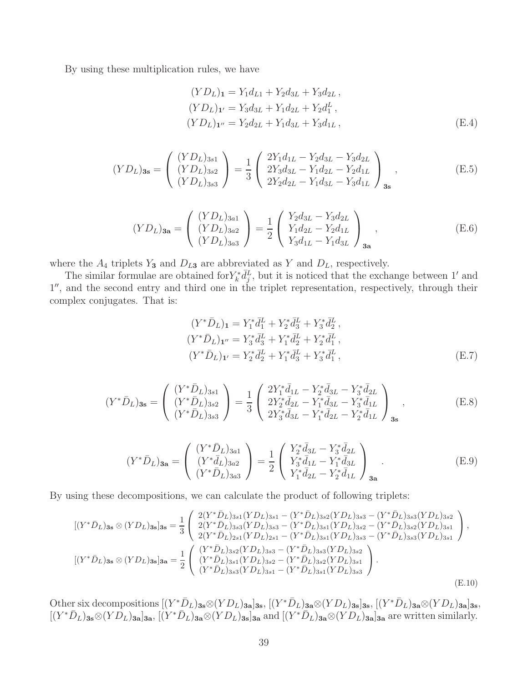By using these multiplication rules, we have

$$
(YDL)1 = Y1dL1 + Y2d3L + Y3d2L,
$$
  
\n
$$
(YDL)1' = Y3d3L + Y1d2L + Y2dLL,
$$
  
\n
$$
(YDL)1'' = Y2d2L + Y1d3L + Y3d1L,
$$
 (E.4)

$$
(YD_L)_{3s} = \begin{pmatrix} (YD_L)_{3s1} \\ (YD_L)_{3s2} \\ (YD_L)_{3s3} \end{pmatrix} = \frac{1}{3} \begin{pmatrix} 2Y_1d_{1L} - Y_2d_{3L} - Y_3d_{2L} \\ 2Y_3d_{3L} - Y_1d_{2L} - Y_2d_{1L} \\ 2Y_2d_{2L} - Y_1d_{3L} - Y_3d_{1L} \end{pmatrix}_{3s}, \tag{E.5}
$$

$$
(YD_L)_{3a} = \begin{pmatrix} (YD_L)_{3a1} \\ (YD_L)_{3a2} \\ (YD_L)_{3a3} \end{pmatrix} = \frac{1}{2} \begin{pmatrix} Y_2 d_{3L} - Y_3 d_{2L} \\ Y_1 d_{2L} - Y_2 d_{1L} \\ Y_3 d_{1L} - Y_1 d_{3L} \end{pmatrix}_{3a},
$$
(E.6)

where the  $A_4$  triplets  $Y_3$  and  $D_{L3}$  are abbreviated as Y and  $D_L$ , respectively.

The similar formulae are obtained for  $Y^*_{k}\bar{d}_j^L$ , but it is noticed that the exchange between 1' and 1 ′′, and the second entry and third one in the triplet representation, respectively, through their complex conjugates. That is:

$$
(Y^*\bar{D}_L)_1 = Y_1^*\bar{d}_1^L + Y_2^*\bar{d}_3^L + Y_3^*\bar{d}_2^L,
$$
  
\n
$$
(Y^*\bar{D}_L)_{1''} = Y_3^*\bar{d}_3^L + Y_1^*\bar{d}_2^L + Y_2^*\bar{d}_1^L,
$$
  
\n
$$
(Y^*\bar{D}_L)_{1'} = Y_2^*\bar{d}_2^L + Y_1^*\bar{d}_3^L + Y_3^*\bar{d}_1^L,
$$
  
\n(E.7)

$$
(Y^*\bar{D}_L)_{3s} = \begin{pmatrix} (Y^*\bar{D}_L)_{3s1} \\ (Y^*\bar{D}_L)_{3s2} \\ (Y^*\bar{D}_L)_{3s3} \end{pmatrix} = \frac{1}{3} \begin{pmatrix} 2Y_1^*\bar{d}_{1L} - Y_2^*\bar{d}_{3L} - Y_3^*\bar{d}_{2L} \\ 2Y_2^*\bar{d}_{2L} - Y_1^*\bar{d}_{3L} - Y_3^*\bar{d}_{1L} \\ 2Y_3^*\bar{d}_{3L} - Y_1^*\bar{d}_{2L} - Y_2^*\bar{d}_{1L} \end{pmatrix}_{3s}, \tag{E.8}
$$

$$
(Y^*\bar{D}_L)_{3a} = \begin{pmatrix} (Y^*\bar{D}_L)_{3a1} \\ (Y^*\bar{d}_L)_{3a2} \\ (Y^*\bar{D}_L)_{3a3} \end{pmatrix} = \frac{1}{2} \begin{pmatrix} Y_2^*\bar{d}_{3L} - Y_3^*\bar{d}_{2L} \\ Y_3^*\bar{d}_{1L} - Y_1^*\bar{d}_{3L} \\ Y_1^*\bar{d}_{2L} - Y_2^*\bar{d}_{1L} \end{pmatrix}_{3a} . \tag{E.9}
$$

By using these decompositions, we can calculate the product of following triplets:

$$
[(Y^*\bar{D}_L)_{3s} \otimes (YD_L)_{3s}]_{3s} = \frac{1}{3} \begin{pmatrix} 2(Y^*\bar{D}_L)_{3s1}(YD_L)_{3s1} - (Y^*\bar{D}_L)_{3s2}(YD_L)_{3s3} - (Y^*\bar{D}_L)_{3s3}(YD_L)_{3s2} \\ 2(Y^*\bar{D}_L)_{3s3}(YD_L)_{3s3} - (Y^*\bar{D}_L)_{3s1}(YD_L)_{3s2} - (Y^*\bar{D}_L)_{3s2}(YD_L)_{3s1} \\ 2(Y^*\bar{D}_L)_{2s1}(YD_L)_{2s1} - (Y^*\bar{D}_L)_{3s1}(YD_L)_{3s3} - (Y^*\bar{D}_L)_{3s3}(YD_L)_{3s1} \end{pmatrix},
$$
  
\n
$$
[(Y^*\bar{D}_L)_{3s} \otimes (YD_L)_{3s}]_{3s} = \frac{1}{2} \begin{pmatrix} (Y^*\bar{D}_L)_{3s2}(YD_L)_{3s3} - (Y^*\bar{D}_L)_{3s3}(YD_L)_{3s2} \\ (Y^*\bar{D}_L)_{3s1}(YD_L)_{3s2} - (Y^*\bar{D}_L)_{3s2}(YD_L)_{3s1} \\ (Y^*\bar{D}_L)_{3s3}(YD_L)_{3s1} - (Y^*\bar{D}_L)_{3s1}(YD_L)_{3s3} \end{pmatrix}.
$$
  
\n(E.10)

Other six decompositions  $[(Y^*\bar{D}_L)_{3s}\otimes (YD_L)_{3a}]_{3s}$ ,  $[(Y^*\bar{D}_L)_{3a}\otimes (YD_L)_{3s}]_{3s}$ ,  $[(Y^*\bar{D}_L)_{3a}\otimes (YD_L)_{3a}]_{3s}$ ,  $[(Y^*\bar{D}_L)_{3s}\otimes (Y\bar{D}_L)_{3a}]_{3a}, \quad (Y^*\bar{D}_L)_{3a}\otimes (YD_L)_{3s}]_{3a}$  and  $[(Y^*\bar{D}_L)_{3a}\otimes (YD_L)_{3a}]_{3a}$  are written similarly.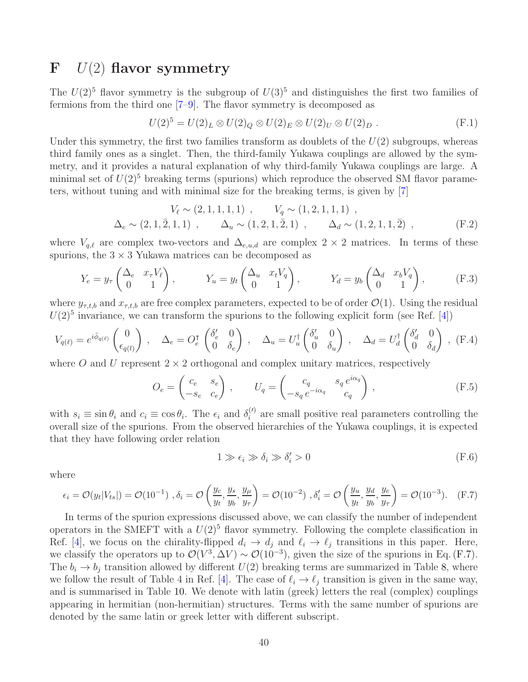## <span id="page-40-0"></span> $\mathbf{F}$   $U(2)$  flavor symmetry

The  $U(2)^5$  flavor symmetry is the subgroup of  $U(3)^5$  and distinguishes the first two families of fermions from the third one [\[7](#page-41-6)[–9\]](#page-41-7). The flavor symmetry is decomposed as

$$
U(2)^5 = U(2)_L \otimes U(2)_Q \otimes U(2)_E \otimes U(2)_U \otimes U(2)_D .
$$
 (F.1)

Under this symmetry, the first two families transform as doublets of the  $U(2)$  subgroups, whereas third family ones as a singlet. Then, the third-family Yukawa couplings are allowed by the symmetry, and it provides a natural explanation of why third-family Yukawa couplings are large. A minimal set of  $U(2)^5$  breaking terms (spurions) which reproduce the observed SM flavor parameters, without tuning and with minimal size for the breaking terms, is given by [\[7\]](#page-41-6)

$$
V_{\ell} \sim (2, 1, 1, 1, 1) , \qquad V_{q} \sim (1, 2, 1, 1, 1) ,
$$
  
\n
$$
\Delta_{e} \sim (2, 1, \overline{2}, 1, 1) , \qquad \Delta_{u} \sim (1, 2, 1, \overline{2}, 1) , \qquad \Delta_{d} \sim (1, 2, 1, 1, \overline{2}) , \qquad (F.2)
$$

where  $V_{q,\ell}$  are complex two-vectors and  $\Delta_{e,u,d}$  are complex 2 × 2 matrices. In terms of these spurions, the  $3 \times 3$  Yukawa matrices can be decomposed as

$$
Y_e = y_\tau \begin{pmatrix} \Delta_e & x_\tau V_\ell \\ 0 & 1 \end{pmatrix}, \qquad Y_u = y_t \begin{pmatrix} \Delta_u & x_t V_q \\ 0 & 1 \end{pmatrix}, \qquad Y_d = y_b \begin{pmatrix} \Delta_d & x_b V_q \\ 0 & 1 \end{pmatrix}, \qquad (F.3)
$$

where  $y_{\tau,t,b}$  and  $x_{\tau,t,b}$  are free complex parameters, expected to be of order  $\mathcal{O}(1)$ . Using the residual  $U(2)^5$  invariance, we can transform the spurions to the following explicit form (see Ref. [\[4\]](#page-41-3))

$$
V_{q(\ell)} = e^{i\bar{\phi}_{q(\ell)}} \begin{pmatrix} 0 \\ \epsilon_{q(l)} \end{pmatrix} , \quad \Delta_e = O_e^{\mathsf{T}} \begin{pmatrix} \delta'_e & 0 \\ 0 & \delta_e \end{pmatrix} , \quad \Delta_u = U_u^{\dagger} \begin{pmatrix} \delta'_u & 0 \\ 0 & \delta_u \end{pmatrix} , \quad \Delta_d = U_d^{\dagger} \begin{pmatrix} \delta'_d & 0 \\ 0 & \delta_d \end{pmatrix} , \quad (F.4)
$$

where O and U represent  $2 \times 2$  orthogonal and complex unitary matrices, respectively

$$
O_e = \begin{pmatrix} c_e & s_e \\ -s_e & c_e \end{pmatrix}, \qquad U_q = \begin{pmatrix} c_q & s_q \, e^{i\alpha_q} \\ -s_q \, e^{-i\alpha_q} & c_q \end{pmatrix}, \tag{F.5}
$$

with  $s_i \equiv \sin \theta_i$  and  $c_i \equiv \cos \theta_i$ . The  $\epsilon_i$  and  $\delta_i^{(l)}$  are small positive real parameters controlling the overall size of the spurions. From the observed hierarchies of the Yukawa couplings, it is expected that they have following order relation

$$
1 \gg \epsilon_i \gg \delta_i \gg \delta'_i > 0 \tag{F.6}
$$

where

<span id="page-40-1"></span>
$$
\epsilon_i = \mathcal{O}(y_t|V_{ts}|) = \mathcal{O}(10^{-1}), \delta_i = \mathcal{O}\left(\frac{y_c}{y_t}, \frac{y_s}{y_b}, \frac{y_\mu}{y_\tau}\right) = \mathcal{O}(10^{-2}), \delta_i' = \mathcal{O}\left(\frac{y_u}{y_t}, \frac{y_d}{y_b}, \frac{y_e}{y_\tau}\right) = \mathcal{O}(10^{-3}).\tag{F.7}
$$

In terms of the spurion expressions discussed above, we can classify the number of independent operators in the SMEFT with a  $U(2)^5$  flavor symmetry. Following the complete classification in Ref. [\[4\]](#page-41-3), we focus on the chirality-flipped  $d_i \to d_j$  and  $\ell_i \to \ell_j$  transitions in this paper. Here, we classify the operators up to  $\mathcal{O}(V^3, \Delta V) \sim \mathcal{O}(10^{-3})$ , given the size of the spurions in Eq. [\(F.7\)](#page-40-1). The  $b_i \rightarrow b_j$  transition allowed by different  $U(2)$  breaking terms are summarized in Table [8,](#page-20-1) where we follow the result of Table 4 in Ref. [\[4\]](#page-41-3). The case of  $\ell_i \to \ell_j$  transition is given in the same way, and is summarised in Table [10.](#page-22-1) We denote with latin (greek) letters the real (complex) couplings appearing in hermitian (non-hermitian) structures. Terms with the same number of spurions are denoted by the same latin or greek letter with different subscript.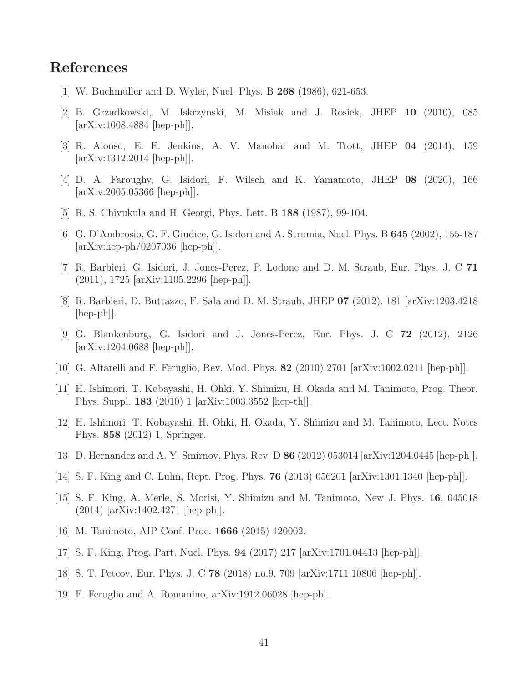## <span id="page-41-0"></span>References

- <span id="page-41-1"></span>[1] W. Buchmuller and D. Wyler, Nucl. Phys. B 268 (1986), 621-653.
- <span id="page-41-2"></span>[2] B. Grzadkowski, M. Iskrzynski, M. Misiak and J. Rosiek, JHEP 10 (2010), 085 [arXiv:1008.4884 [hep-ph]].
- <span id="page-41-3"></span>[3] R. Alonso, E. E. Jenkins, A. V. Manohar and M. Trott, JHEP 04 (2014), 159 [arXiv:1312.2014 [hep-ph]].
- <span id="page-41-4"></span>[4] D. A. Faroughy, G. Isidori, F. Wilsch and K. Yamamoto, JHEP 08 (2020), 166 [arXiv:2005.05366 [hep-ph]].
- <span id="page-41-5"></span>[5] R. S. Chivukula and H. Georgi, Phys. Lett. B 188 (1987), 99-104.
- <span id="page-41-6"></span>[6] G. D'Ambrosio, G. F. Giudice, G. Isidori and A. Strumia, Nucl. Phys. B 645 (2002), 155-187 [arXiv:hep-ph/0207036 [hep-ph]].
- [7] R. Barbieri, G. Isidori, J. Jones-Perez, P. Lodone and D. M. Straub, Eur. Phys. J. C 71 (2011), 1725 [arXiv:1105.2296 [hep-ph]].
- <span id="page-41-7"></span>[8] R. Barbieri, D. Buttazzo, F. Sala and D. M. Straub, JHEP 07 (2012), 181 [arXiv:1203.4218 [hep-ph]].
- [9] G. Blankenburg, G. Isidori and J. Jones-Perez, Eur. Phys. J. C 72 (2012), 2126 [arXiv:1204.0688 [hep-ph]].
- <span id="page-41-10"></span><span id="page-41-8"></span>[10] G. Altarelli and F. Feruglio, Rev. Mod. Phys. 82 (2010) 2701 [arXiv:1002.0211 [hep-ph]].
- [11] H. Ishimori, T. Kobayashi, H. Ohki, Y. Shimizu, H. Okada and M. Tanimoto, Prog. Theor. Phys. Suppl. 183 (2010) 1 [arXiv:1003.3552 [hep-th]].
- <span id="page-41-11"></span>[12] H. Ishimori, T. Kobayashi, H. Ohki, H. Okada, Y. Shimizu and M. Tanimoto, Lect. Notes Phys. 858 (2012) 1, Springer.
- [13] D. Hernandez and A. Y. Smirnov, Phys. Rev. D 86 (2012) 053014 [arXiv:1204.0445 [hep-ph]].
- [14] S. F. King and C. Luhn, Rept. Prog. Phys. 76 (2013) 056201 [arXiv:1301.1340 [hep-ph]].
- [15] S. F. King, A. Merle, S. Morisi, Y. Shimizu and M. Tanimoto, New J. Phys. 16, 045018 (2014) [arXiv:1402.4271 [hep-ph]].
- [16] M. Tanimoto, AIP Conf. Proc. 1666 (2015) 120002.
- [17] S. F. King, Prog. Part. Nucl. Phys. 94 (2017) 217 [arXiv:1701.04413 [hep-ph]].
- <span id="page-41-9"></span>[18] S. T. Petcov, Eur. Phys. J. C 78 (2018) no.9, 709 [arXiv:1711.10806 [hep-ph]].
- [19] F. Feruglio and A. Romanino, arXiv:1912.06028 [hep-ph].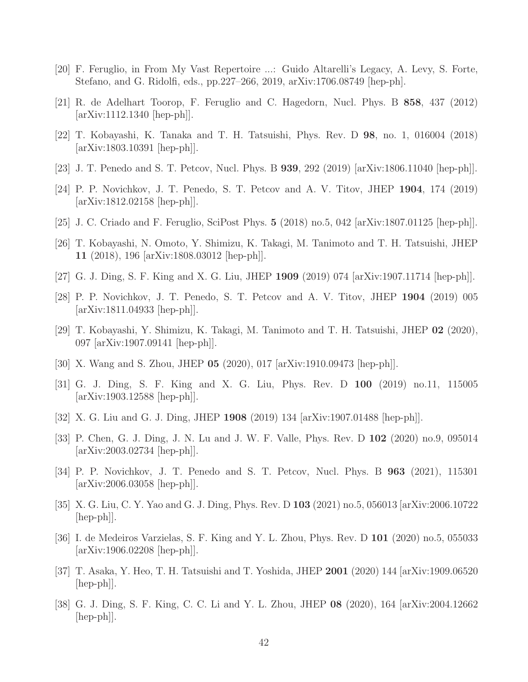- <span id="page-42-1"></span><span id="page-42-0"></span>[20] F. Feruglio, in From My Vast Repertoire ...: Guido Altarelli's Legacy, A. Levy, S. Forte, Stefano, and G. Ridolfi, eds., pp.227–266, 2019, arXiv:1706.08749 [hep-ph].
- <span id="page-42-2"></span>[21] R. de Adelhart Toorop, F. Feruglio and C. Hagedorn, Nucl. Phys. B 858, 437 (2012) [arXiv:1112.1340 [hep-ph]].
- <span id="page-42-3"></span>[22] T. Kobayashi, K. Tanaka and T. H. Tatsuishi, Phys. Rev. D 98, no. 1, 016004 (2018) [arXiv:1803.10391 [hep-ph]].
- <span id="page-42-4"></span>[23] J. T. Penedo and S. T. Petcov, Nucl. Phys. B 939, 292 (2019) [arXiv:1806.11040 [hep-ph]].
- <span id="page-42-5"></span>[24] P. P. Novichkov, J. T. Penedo, S. T. Petcov and A. V. Titov, JHEP 1904, 174 (2019) [arXiv:1812.02158 [hep-ph]].
- <span id="page-42-10"></span>[25] J. C. Criado and F. Feruglio, SciPost Phys. 5 (2018) no.5, 042 [arXiv:1807.01125 [hep-ph]].
- <span id="page-42-6"></span>[26] T. Kobayashi, N. Omoto, Y. Shimizu, K. Takagi, M. Tanimoto and T. H. Tatsuishi, JHEP 11 (2018), 196 [arXiv:1808.03012 [hep-ph]].
- <span id="page-42-7"></span>[27] G. J. Ding, S. F. King and X. G. Liu, JHEP 1909 (2019) 074 [arXiv:1907.11714 [hep-ph]].
- [28] P. P. Novichkov, J. T. Penedo, S. T. Petcov and A. V. Titov, JHEP 1904 (2019) 005 [arXiv:1811.04933 [hep-ph]].
- [29] T. Kobayashi, Y. Shimizu, K. Takagi, M. Tanimoto and T. H. Tatsuishi, JHEP 02 (2020), 097 [arXiv:1907.09141 [hep-ph]].
- <span id="page-42-9"></span><span id="page-42-8"></span>[30] X. Wang and S. Zhou, JHEP 05 (2020), 017 [arXiv:1910.09473 [hep-ph]].
- <span id="page-42-11"></span>[31] G. J. Ding, S. F. King and X. G. Liu, Phys. Rev. D 100 (2019) no.11, 115005 [arXiv:1903.12588 [hep-ph]].
- <span id="page-42-12"></span>[32] X. G. Liu and G. J. Ding, JHEP 1908 (2019) 134 [arXiv:1907.01488 [hep-ph]].
- [33] P. Chen, G. J. Ding, J. N. Lu and J. W. F. Valle, Phys. Rev. D 102 (2020) no.9, 095014 [arXiv:2003.02734 [hep-ph]].
- <span id="page-42-13"></span>[34] P. P. Novichkov, J. T. Penedo and S. T. Petcov, Nucl. Phys. B 963 (2021), 115301 [arXiv:2006.03058 [hep-ph]].
- <span id="page-42-14"></span>[35] X. G. Liu, C. Y. Yao and G. J. Ding, Phys. Rev. D 103 (2021) no.5, 056013 [arXiv:2006.10722  $\vert \text{hep-ph} \vert$ .
- <span id="page-42-15"></span>[36] I. de Medeiros Varzielas, S. F. King and Y. L. Zhou, Phys. Rev. D 101 (2020) no.5, 055033 [arXiv:1906.02208 [hep-ph]].
- [37] T. Asaka, Y. Heo, T. H. Tatsuishi and T. Yoshida, JHEP 2001 (2020) 144 [arXiv:1909.06520  $\vert \text{hep-ph} \vert$ .
- [38] G. J. Ding, S. F. King, C. C. Li and Y. L. Zhou, JHEP 08 (2020), 164 [arXiv:2004.12662 [hep-ph]].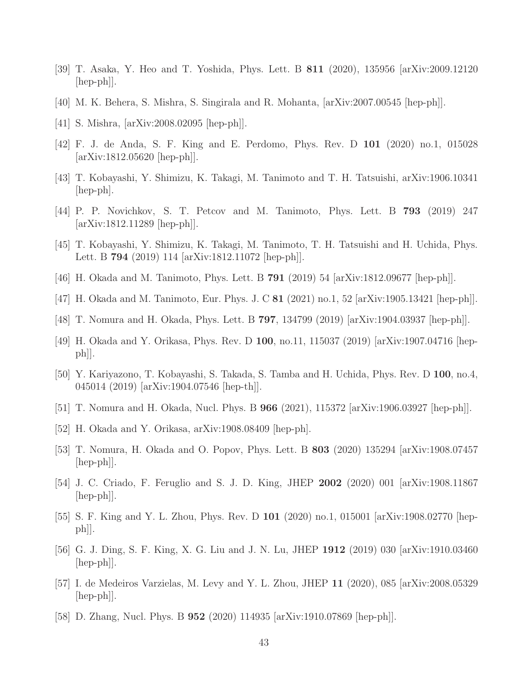- [39] T. Asaka, Y. Heo and T. Yoshida, Phys. Lett. B 811 (2020), 135956 [arXiv:2009.12120  $\vert \text{hep-ph} \vert$ .
- [40] M. K. Behera, S. Mishra, S. Singirala and R. Mohanta, [arXiv:2007.00545 [hep-ph]].
- [41] S. Mishra, [arXiv:2008.02095 [hep-ph]].
- [42] F. J. de Anda, S. F. King and E. Perdomo, Phys. Rev. D 101 (2020) no.1, 015028 [arXiv:1812.05620 [hep-ph]].
- [43] T. Kobayashi, Y. Shimizu, K. Takagi, M. Tanimoto and T. H. Tatsuishi, arXiv:1906.10341 [hep-ph].
- <span id="page-43-0"></span>[44] P. P. Novichkov, S. T. Petcov and M. Tanimoto, Phys. Lett. B 793 (2019) 247 [arXiv:1812.11289 [hep-ph]].
- [45] T. Kobayashi, Y. Shimizu, K. Takagi, M. Tanimoto, T. H. Tatsuishi and H. Uchida, Phys. Lett. B 794 (2019) 114 [arXiv:1812.11072 [hep-ph]].
- <span id="page-43-1"></span>[46] H. Okada and M. Tanimoto, Phys. Lett. B 791 (2019) 54 [arXiv:1812.09677 [hep-ph]].
- [47] H. Okada and M. Tanimoto, Eur. Phys. J. C 81 (2021) no.1, 52 [arXiv:1905.13421 [hep-ph]].
- [48] T. Nomura and H. Okada, Phys. Lett. B 797, 134799 (2019) [arXiv:1904.03937 [hep-ph]].
- [49] H. Okada and Y. Orikasa, Phys. Rev. D 100, no.11, 115037 (2019) [arXiv:1907.04716 [hep $ph$ .
- [50] Y. Kariyazono, T. Kobayashi, S. Takada, S. Tamba and H. Uchida, Phys. Rev. D 100, no.4, 045014 (2019) [arXiv:1904.07546 [hep-th]].
- [51] T. Nomura and H. Okada, Nucl. Phys. B  $966$  (2021), 115372 [arXiv:1906.03927 [hep-ph]].
- [52] H. Okada and Y. Orikasa, arXiv:1908.08409 [hep-ph].
- [53] T. Nomura, H. Okada and O. Popov, Phys. Lett. B 803 (2020) 135294 [arXiv:1908.07457  $\vert \text{hep-ph} \vert$ .
- [54] J. C. Criado, F. Feruglio and S. J. D. King, JHEP 2002 (2020) 001 [arXiv:1908.11867 [hep-ph]].
- [55] S. F. King and Y. L. Zhou, Phys. Rev. D 101 (2020) no.1, 015001 [arXiv:1908.02770 [hepph]].
- [56] G. J. Ding, S. F. King, X. G. Liu and J. N. Lu, JHEP 1912 (2019) 030 [arXiv:1910.03460 [hep-ph]].
- [57] I. de Medeiros Varzielas, M. Levy and Y. L. Zhou, JHEP 11 (2020), 085 [arXiv:2008.05329 [hep-ph]].
- [58] D. Zhang, Nucl. Phys. B 952 (2020) 114935 [arXiv:1910.07869 [hep-ph]].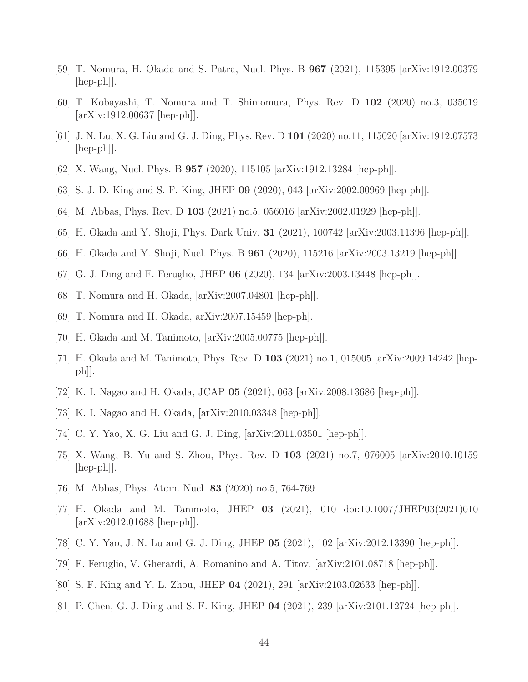- [59] T. Nomura, H. Okada and S. Patra, Nucl. Phys. B 967 (2021), 115395 [arXiv:1912.00379 [hep-ph]].
- [60] T. Kobayashi, T. Nomura and T. Shimomura, Phys. Rev. D 102 (2020) no.3, 035019 [arXiv:1912.00637 [hep-ph]].
- [61] J. N. Lu, X. G. Liu and G. J. Ding, Phys. Rev. D 101 (2020) no.11, 115020 [arXiv:1912.07573  $\vert \text{hep-ph} \vert$ .
- [62] X. Wang, Nucl. Phys. B 957 (2020), 115105 [arXiv:1912.13284 [hep-ph]].
- [63] S. J. D. King and S. F. King, JHEP 09 (2020), 043 [arXiv:2002.00969 [hep-ph]].
- [64] M. Abbas, Phys. Rev. D 103 (2021) no.5, 056016 [arXiv:2002.01929 [hep-ph]].
- [65] H. Okada and Y. Shoji, Phys. Dark Univ. 31 (2021), 100742 [arXiv:2003.11396 [hep-ph]].
- [66] H. Okada and Y. Shoji, Nucl. Phys. B 961 (2020), 115216 [arXiv:2003.13219 [hep-ph]].
- [67] G. J. Ding and F. Feruglio, JHEP 06 (2020), 134 [arXiv:2003.13448 [hep-ph]].
- [68] T. Nomura and H. Okada, [arXiv:2007.04801 [hep-ph]].
- [69] T. Nomura and H. Okada, arXiv:2007.15459 [hep-ph].
- <span id="page-44-0"></span>[70] H. Okada and M. Tanimoto, [arXiv:2005.00775 [hep-ph]].
- [71] H. Okada and M. Tanimoto, Phys. Rev. D 103 (2021) no.1, 015005 [arXiv:2009.14242 [hepph]].
- [72] K. I. Nagao and H. Okada, JCAP 05 (2021), 063 [arXiv:2008.13686 [hep-ph]].
- [73] K. I. Nagao and H. Okada, [arXiv:2010.03348 [hep-ph]].
- [74] C. Y. Yao, X. G. Liu and G. J. Ding, [arXiv:2011.03501 [hep-ph]].
- [75] X. Wang, B. Yu and S. Zhou, Phys. Rev. D 103 (2021) no.7, 076005 [arXiv:2010.10159 [hep-ph]].
- <span id="page-44-1"></span>[76] M. Abbas, Phys. Atom. Nucl. 83 (2020) no.5, 764-769.
- [77] H. Okada and M. Tanimoto, JHEP 03 (2021), 010 doi:10.1007/JHEP03(2021)010 [arXiv:2012.01688 [hep-ph]].
- [78] C. Y. Yao, J. N. Lu and G. J. Ding, JHEP 05 (2021), 102 [arXiv:2012.13390 [hep-ph]].
- [79] F. Feruglio, V. Gherardi, A. Romanino and A. Titov, [arXiv:2101.08718 [hep-ph]].
- [80] S. F. King and Y. L. Zhou, JHEP 04 (2021), 291 [arXiv:2103.02633 [hep-ph]].
- [81] P. Chen, G. J. Ding and S. F. King, JHEP 04 (2021), 239 [arXiv:2101.12724 [hep-ph]].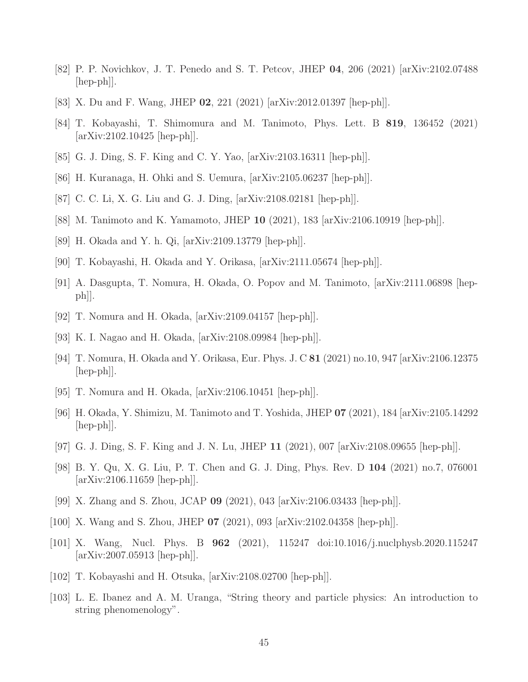- [82] P. P. Novichkov, J. T. Penedo and S. T. Petcov, JHEP 04, 206 (2021) [arXiv:2102.07488  $\vert \text{hep-ph} \vert$ .
- [83] X. Du and F. Wang, JHEP 02, 221 (2021) [arXiv:2012.01397 [hep-ph]].
- [84] T. Kobayashi, T. Shimomura and M. Tanimoto, Phys. Lett. B 819, 136452 (2021) [arXiv:2102.10425 [hep-ph]].
- [85] G. J. Ding, S. F. King and C. Y. Yao, [arXiv:2103.16311 [hep-ph]].
- [86] H. Kuranaga, H. Ohki and S. Uemura, [arXiv:2105.06237 [hep-ph]].
- [87] C. C. Li, X. G. Liu and G. J. Ding, [arXiv:2108.02181 [hep-ph]].
- [88] M. Tanimoto and K. Yamamoto, JHEP 10 (2021), 183 [arXiv:2106.10919 [hep-ph]].
- [89] H. Okada and Y. h. Qi, [arXiv:2109.13779 [hep-ph]].
- [90] T. Kobayashi, H. Okada and Y. Orikasa, [arXiv:2111.05674 [hep-ph]].
- [91] A. Dasgupta, T. Nomura, H. Okada, O. Popov and M. Tanimoto, [arXiv:2111.06898 [hepph]].
- [92] T. Nomura and H. Okada, [arXiv:2109.04157 [hep-ph]].
- [93] K. I. Nagao and H. Okada, [arXiv:2108.09984 [hep-ph]].
- [94] T. Nomura, H. Okada and Y. Orikasa, Eur. Phys. J. C 81 (2021) no.10, 947 [arXiv:2106.12375  $\vert \text{hep-ph} \vert$ .
- [95] T. Nomura and H. Okada, [arXiv:2106.10451 [hep-ph]].
- [96] H. Okada, Y. Shimizu, M. Tanimoto and T. Yoshida, JHEP 07 (2021), 184 [arXiv:2105.14292 [hep-ph]].
- [97] G. J. Ding, S. F. King and J. N. Lu, JHEP 11 (2021), 007 [arXiv:2108.09655 [hep-ph]].
- [98] B. Y. Qu, X. G. Liu, P. T. Chen and G. J. Ding, Phys. Rev. D 104 (2021) no.7, 076001 [arXiv:2106.11659 [hep-ph]].
- [99] X. Zhang and S. Zhou, JCAP 09 (2021), 043 [arXiv:2106.03433 [hep-ph]].
- <span id="page-45-0"></span>[100] X. Wang and S. Zhou, JHEP 07 (2021), 093 [arXiv:2102.04358 [hep-ph]].
- [101] X. Wang, Nucl. Phys. B 962 (2021), 115247 doi:10.1016/j.nuclphysb.2020.115247 [arXiv:2007.05913 [hep-ph]].
- <span id="page-45-2"></span><span id="page-45-1"></span>[102] T. Kobayashi and H. Otsuka, [arXiv:2108.02700 [hep-ph]].
- [103] L. E. Ibanez and A. M. Uranga, "String theory and particle physics: An introduction to string phenomenology".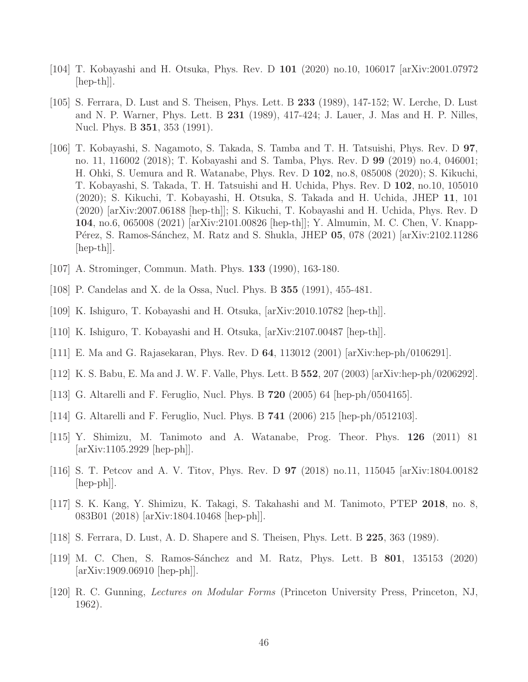- <span id="page-46-6"></span><span id="page-46-0"></span>[104] T. Kobayashi and H. Otsuka, Phys. Rev. D 101 (2020) no.10, 106017 [arXiv:2001.07972  $\vert \text{hep-th} \vert$ .
- [105] S. Ferrara, D. Lust and S. Theisen, Phys. Lett. B 233 (1989), 147-152; W. Lerche, D. Lust and N. P. Warner, Phys. Lett. B 231 (1989), 417-424; J. Lauer, J. Mas and H. P. Nilles, Nucl. Phys. B 351, 353 (1991).
- <span id="page-46-1"></span>[106] T. Kobayashi, S. Nagamoto, S. Takada, S. Tamba and T. H. Tatsuishi, Phys. Rev. D 97, no. 11, 116002 (2018); T. Kobayashi and S. Tamba, Phys. Rev. D 99 (2019) no.4, 046001; H. Ohki, S. Uemura and R. Watanabe, Phys. Rev. D 102, no.8, 085008 (2020); S. Kikuchi, T. Kobayashi, S. Takada, T. H. Tatsuishi and H. Uchida, Phys. Rev. D 102, no.10, 105010 (2020); S. Kikuchi, T. Kobayashi, H. Otsuka, S. Takada and H. Uchida, JHEP 11, 101 (2020) [arXiv:2007.06188 [hep-th]]; S. Kikuchi, T. Kobayashi and H. Uchida, Phys. Rev. D 104, no.6, 065008 (2021) [arXiv:2101.00826 [hep-th]]; Y. Almumin, M. C. Chen, V. Knapp-Pérez, S. Ramos-Sánchez, M. Ratz and S. Shukla, JHEP 05, 078 (2021) [arXiv:2102.11286  $\vert \text{hep-th} \vert$ .
- <span id="page-46-3"></span><span id="page-46-2"></span>[107] A. Strominger, Commun. Math. Phys. **133** (1990), 163-180.
- <span id="page-46-4"></span>[108] P. Candelas and X. de la Ossa, Nucl. Phys. B 355 (1991), 455-481.
- <span id="page-46-5"></span>[109] K. Ishiguro, T. Kobayashi and H. Otsuka, [arXiv:2010.10782 [hep-th]].
- <span id="page-46-7"></span>[110] K. Ishiguro, T. Kobayashi and H. Otsuka, [arXiv:2107.00487 [hep-th]].
- [111] E. Ma and G. Rajasekaran, Phys. Rev. D 64, 113012 (2001) [arXiv:hep-ph/0106291].
- [112] K. S. Babu, E. Ma and J. W. F. Valle, Phys. Lett. B 552, 207 (2003) [arXiv:hep-ph/0206292].
- [113] G. Altarelli and F. Feruglio, Nucl. Phys. B  $720$  (2005) 64 [hep-ph/0504165].
- [114] G. Altarelli and F. Feruglio, Nucl. Phys. B 741 (2006) 215 [hep-ph/0512103].
- [115] Y. Shimizu, M. Tanimoto and A. Watanabe, Prog. Theor. Phys. 126 (2011) 81 [arXiv:1105.2929 [hep-ph]].
- [116] S. T. Petcov and A. V. Titov, Phys. Rev. D 97 (2018) no.11, 115045 [arXiv:1804.00182  $\vert \text{hep-ph} \vert$ .
- <span id="page-46-8"></span>[117] S. K. Kang, Y. Shimizu, K. Takagi, S. Takahashi and M. Tanimoto, PTEP 2018, no. 8, 083B01 (2018) [arXiv:1804.10468 [hep-ph]].
- <span id="page-46-10"></span><span id="page-46-9"></span>[118] S. Ferrara, D. Lust, A. D. Shapere and S. Theisen, Phys. Lett. B 225, 363 (1989).
- [119] M. C. Chen, S. Ramos-Sánchez and M. Ratz, Phys. Lett. B **801**, 135153 (2020)  $\arXiv:1909.06910$  [hep-ph].
- <span id="page-46-11"></span>[120] R. C. Gunning, Lectures on Modular Forms (Princeton University Press, Princeton, NJ, 1962).